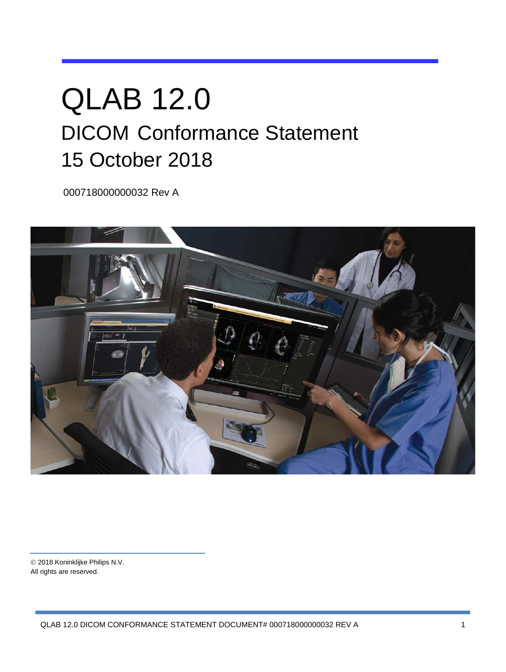# QLAB 12.0 DICOM Conformance Statement 15 October 2018

000718000000032 Rev A



 2018 Koninklijke Philips N.V. All rights are reserved.

QLAB 12.0 DICOM CONFORMANCE STATEMENT DOCUMENT# 000718000000032 REV A 1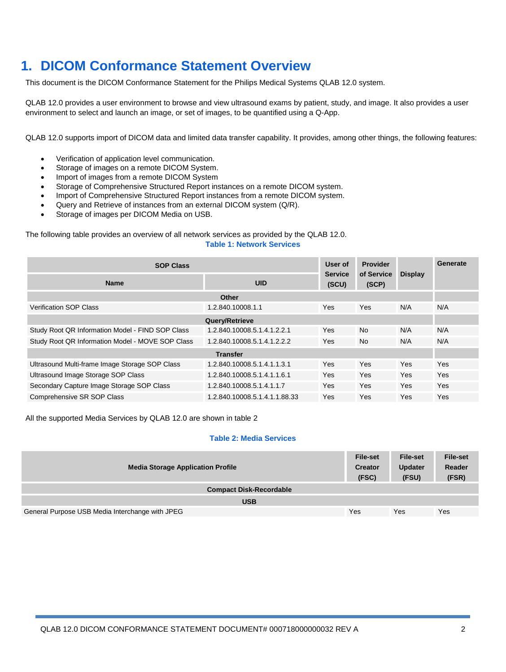## **1. DICOM Conformance Statement Overview**

This document is the DICOM Conformance Statement for the Philips Medical Systems QLAB 12.0 system.

QLAB 12.0 provides a user environment to browse and view ultrasound exams by patient, study, and image. It also provides a user environment to select and launch an image, or set of images, to be quantified using a Q-App.

QLAB 12.0 supports import of DICOM data and limited data transfer capability. It provides, among other things, the following features:

- Verification of application level communication.
- Storage of images on a remote DICOM System.
- Import of images from a remote DICOM System
- Storage of Comprehensive Structured Report instances on a remote DICOM system.
- Import of Comprehensive Structured Report instances from a remote DICOM system.
- Query and Retrieve of instances from an external DICOM system (Q/R).
- Storage of images per DICOM Media on USB.

The following table provides an overview of all network services as provided by the QLAB 12.0.

#### **Table 1: Network Services**

| <b>SOP Class</b>                                 |                               | User of                 | <b>Provider</b>     |                | Generate   |
|--------------------------------------------------|-------------------------------|-------------------------|---------------------|----------------|------------|
| <b>Name</b>                                      | <b>UID</b>                    | <b>Service</b><br>(SCU) | of Service<br>(SCP) | <b>Display</b> |            |
|                                                  | <b>Other</b>                  |                         |                     |                |            |
| <b>Verification SOP Class</b>                    | 1.2.840.10008.1.1             | Yes                     | Yes                 | N/A            | N/A        |
|                                                  | Query/Retrieve                |                         |                     |                |            |
| Study Root QR Information Model - FIND SOP Class | 1.2.840.10008.5.1.4.1.2.2.1   | <b>Yes</b>              | N <sub>o</sub>      | N/A            | N/A        |
| Study Root QR Information Model - MOVE SOP Class | 1.2.840.10008.5.1.4.1.2.2.2   | <b>Yes</b>              | <b>No</b>           | N/A            | N/A        |
| <b>Transfer</b>                                  |                               |                         |                     |                |            |
| Ultrasound Multi-frame Image Storage SOP Class   | 1.2.840.10008.5.1.4.1.1.3.1   | Yes                     | Yes                 | Yes            | Yes        |
| Ultrasound Image Storage SOP Class               | 1.2.840.10008.5.1.4.1.1.6.1   | <b>Yes</b>              | Yes                 | Yes            | Yes        |
| Secondary Capture Image Storage SOP Class        | 1.2.840.10008.5.1.4.1.1.7     | <b>Yes</b>              | Yes                 | Yes            | <b>Yes</b> |
| Comprehensive SR SOP Class                       | 1.2.840.10008.5.1.4.1.1.88.33 | Yes                     | <b>Yes</b>          | Yes            | Yes        |

All the supported Media Services by QLAB 12.0 are shown in table 2

#### **Table 2: Media Services**

| <b>Media Storage Application Profile</b>        | <b>File-set</b><br><b>Creator</b><br>(FSC) | File-set<br><b>Updater</b><br>(FSU) | <b>File-set</b><br>Reader<br>(FSR) |
|-------------------------------------------------|--------------------------------------------|-------------------------------------|------------------------------------|
| <b>Compact Disk-Recordable</b>                  |                                            |                                     |                                    |
| <b>USB</b>                                      |                                            |                                     |                                    |
| General Purpose USB Media Interchange with JPEG | Yes                                        | Yes                                 | Yes                                |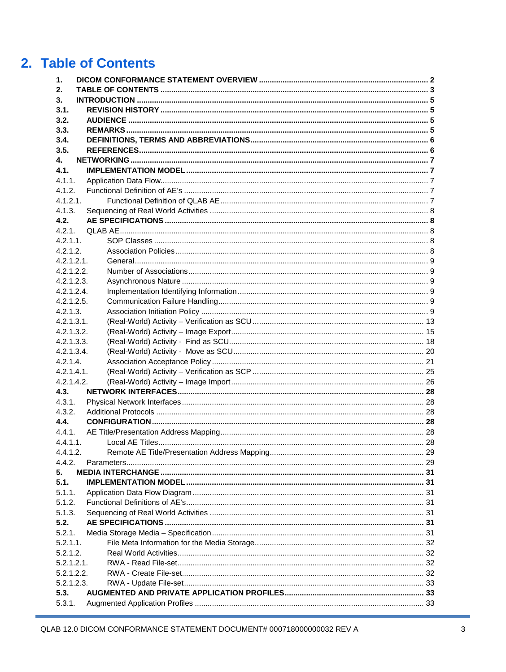## 2. Table of Contents

| 1.          |  |
|-------------|--|
| 2.          |  |
| 3.          |  |
| 3.1.        |  |
| 3.2.        |  |
| 3.3.        |  |
| 3.4.        |  |
| 3.5.        |  |
| 4.          |  |
| 4.1.        |  |
| 4.1.1.      |  |
| 4.1.2.      |  |
| 4.1.2.1.    |  |
| 4.1.3.      |  |
| 4.2.        |  |
| 4.2.1.      |  |
| $4.2.1.1$ . |  |
| 4.2.1.2.    |  |
| 4.2.1.2.1.  |  |
| 4.2.1.2.2.  |  |
| 4.2.1.2.3.  |  |
| 4.2.1.2.4.  |  |
| 4.2.1.2.5.  |  |
| 4.2.1.3.    |  |
| 4.2.1.3.1.  |  |
| 4.2.1.3.2.  |  |
| 4.2.1.3.3.  |  |
| 4.2.1.3.4.  |  |
| 4.2.1.4.    |  |
| 4.2.1.4.1.  |  |
| 4.2.1.4.2.  |  |
| 4.3.        |  |
| 4.3.1.      |  |
| 4.3.2.      |  |
| 4.4.        |  |
| 4.4.1.      |  |
| 4.4.1.1.    |  |
| 4.4.1.2.    |  |
| 4.4.2.      |  |
| 5.          |  |
| 5.1.        |  |
| 5.1.1.      |  |
| 5.1.2.      |  |
| 5.1.3.      |  |
| 5.2.        |  |
| 5.2.1.      |  |
| 5.2.1.1.    |  |
| 5.2.1.2.    |  |
| 5.2.1.2.1.  |  |
| 5.2.1.2.2.  |  |
| 5.2.1.2.3.  |  |
| 5.3.        |  |
| 5.3.1.      |  |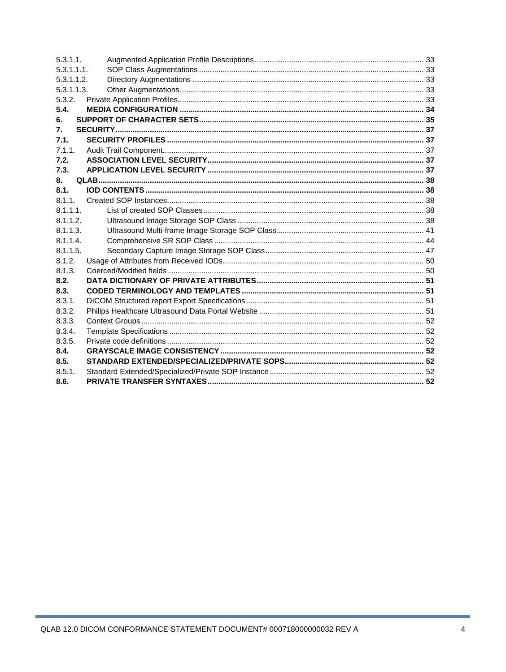| 5.3.1.1.    |  |
|-------------|--|
| 5.3.1.1.1.  |  |
| 5.3.1.1.2.  |  |
| 5.3.1.1.3.  |  |
| 5.3.2.      |  |
| 5.4.        |  |
| 6.          |  |
| 7.          |  |
| 7.1.        |  |
| 7.1.1.      |  |
| 7.2.        |  |
| 7.3.        |  |
| 8.          |  |
| 8.1.        |  |
| 8.1.1.      |  |
| $8.1.1.1$ . |  |
| 8.1.1.2.    |  |
| 8.1.1.3.    |  |
| $8.1.1.4$ . |  |
| 8.1.1.5.    |  |
| 8.1.2.      |  |
| 8.1.3.      |  |
| 8.2.        |  |
| 8.3.        |  |
| 8.3.1.      |  |
| 8.3.2.      |  |
| 8.3.3.      |  |
| 8.3.4.      |  |
| 8.3.5.      |  |
| 8.4.        |  |
| 8.5.        |  |
| 8.5.1.      |  |
| 8.6.        |  |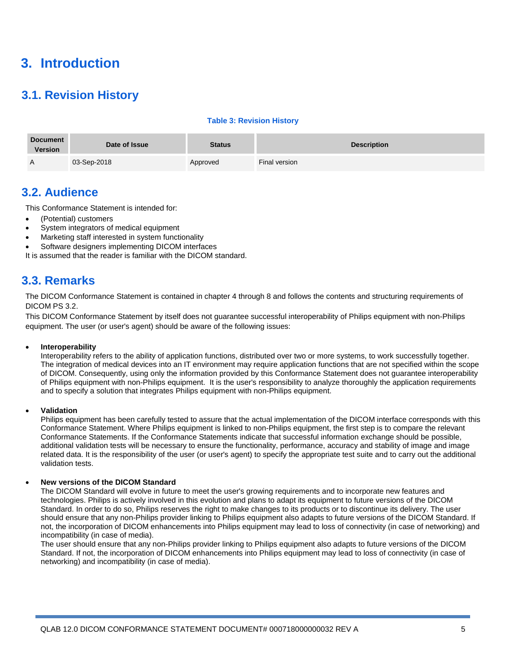## **3. Introduction**

## **3.1. Revision History**

#### **Table 3: Revision History**

| <b>Document</b><br><b>Version</b> | Date of Issue | Status   | <b>Description</b> |
|-----------------------------------|---------------|----------|--------------------|
| $\overline{A}$                    | 03-Sep-2018   | Approved | Final version      |

## **3.2. Audience**

This Conformance Statement is intended for:

- (Potential) customers
- System integrators of medical equipment
- Marketing staff interested in system functionality
- Software designers implementing DICOM interfaces

It is assumed that the reader is familiar with the DICOM standard.

## **3.3. Remarks**

The DICOM Conformance Statement is contained in chapter 4 through 8 and follows the contents and structuring requirements of DICOM PS 3.2.

This DICOM Conformance Statement by itself does not guarantee successful interoperability of Philips equipment with non-Philips equipment. The user (or user's agent) should be aware of the following issues:

#### • **Interoperability**

Interoperability refers to the ability of application functions, distributed over two or more systems, to work successfully together. The integration of medical devices into an IT environment may require application functions that are not specified within the scope of DICOM. Consequently, using only the information provided by this Conformance Statement does not guarantee interoperability of Philips equipment with non-Philips equipment. It is the user's responsibility to analyze thoroughly the application requirements and to specify a solution that integrates Philips equipment with non-Philips equipment.

#### • **Validation**

Philips equipment has been carefully tested to assure that the actual implementation of the DICOM interface corresponds with this Conformance Statement. Where Philips equipment is linked to non-Philips equipment, the first step is to compare the relevant Conformance Statements. If the Conformance Statements indicate that successful information exchange should be possible, additional validation tests will be necessary to ensure the functionality, performance, accuracy and stability of image and image related data. It is the responsibility of the user (or user's agent) to specify the appropriate test suite and to carry out the additional validation tests.

#### • **New versions of the DICOM Standard**

The DICOM Standard will evolve in future to meet the user's growing requirements and to incorporate new features and technologies. Philips is actively involved in this evolution and plans to adapt its equipment to future versions of the DICOM Standard. In order to do so, Philips reserves the right to make changes to its products or to discontinue its delivery. The user should ensure that any non-Philips provider linking to Philips equipment also adapts to future versions of the DICOM Standard. If not, the incorporation of DICOM enhancements into Philips equipment may lead to loss of connectivity (in case of networking) and incompatibility (in case of media).

The user should ensure that any non-Philips provider linking to Philips equipment also adapts to future versions of the DICOM Standard. If not, the incorporation of DICOM enhancements into Philips equipment may lead to loss of connectivity (in case of networking) and incompatibility (in case of media).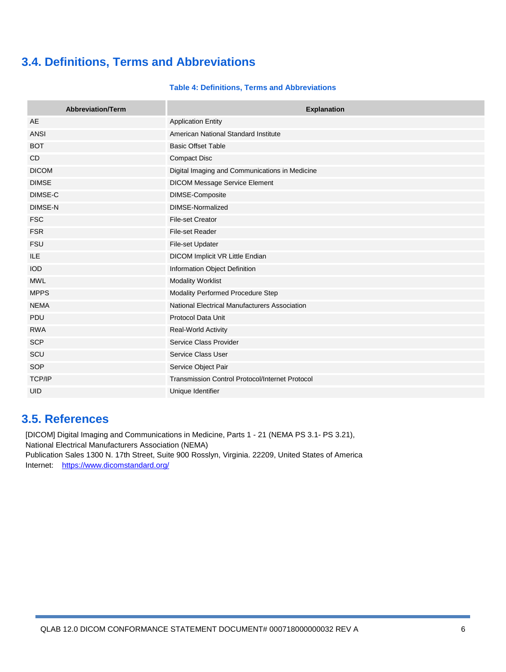## **3.4. Definitions, Terms and Abbreviations**

#### **Table 4: Definitions, Terms and Abbreviations**

| <b>Abbreviation/Term</b> | <b>Explanation</b>                                     |
|--------------------------|--------------------------------------------------------|
| AE                       | <b>Application Entity</b>                              |
| <b>ANSI</b>              | American National Standard Institute                   |
| <b>BOT</b>               | <b>Basic Offset Table</b>                              |
| C <sub>D</sub>           | <b>Compact Disc</b>                                    |
| <b>DICOM</b>             | Digital Imaging and Communications in Medicine         |
| <b>DIMSE</b>             | DICOM Message Service Element                          |
| DIMSE-C                  | DIMSE-Composite                                        |
| <b>DIMSE-N</b>           | DIMSE-Normalized                                       |
| <b>FSC</b>               | <b>File-set Creator</b>                                |
| <b>FSR</b>               | File-set Reader                                        |
| <b>FSU</b>               | File-set Updater                                       |
| ILE                      | DICOM Implicit VR Little Endian                        |
| <b>IOD</b>               | Information Object Definition                          |
| <b>MWL</b>               | <b>Modality Worklist</b>                               |
| <b>MPPS</b>              | Modality Performed Procedure Step                      |
| <b>NEMA</b>              | National Electrical Manufacturers Association          |
| PDU                      | <b>Protocol Data Unit</b>                              |
| <b>RWA</b>               | <b>Real-World Activity</b>                             |
| <b>SCP</b>               | Service Class Provider                                 |
| SCU                      | Service Class User                                     |
| SOP                      | Service Object Pair                                    |
| <b>TCP/IP</b>            | <b>Transmission Control Protocol/Internet Protocol</b> |
| <b>UID</b>               | Unique Identifier                                      |

## **3.5. References**

[DICOM] Digital Imaging and Communications in Medicine, Parts 1 - 21 (NEMA PS 3.1- PS 3.21), National Electrical Manufacturers Association (NEMA) Publication Sales 1300 N. 17th Street, Suite 900 Rosslyn, Virginia. 22209, United States of America Internet: https://www.dicomstandard.org/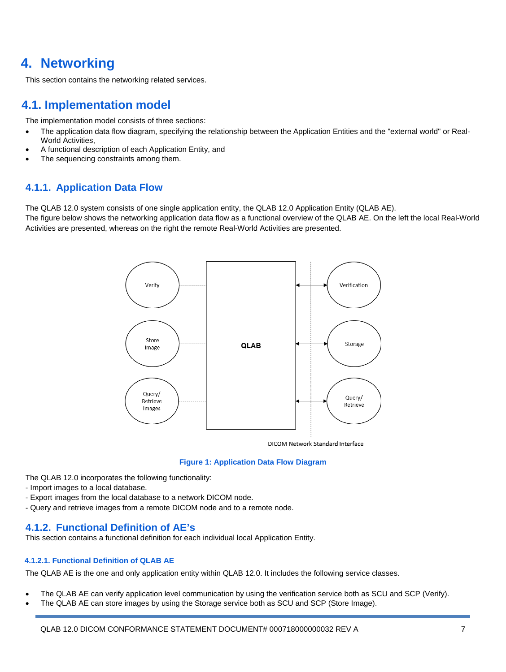## **4. Networking**

This section contains the networking related services.

## **4.1. Implementation model**

The implementation model consists of three sections:

- The application data flow diagram, specifying the relationship between the Application Entities and the "external world" or Real-World Activities,
- A functional description of each Application Entity, and
- The sequencing constraints among them.

### **4.1.1. Application Data Flow**

The QLAB 12.0 system consists of one single application entity, the QLAB 12.0 Application Entity (QLAB AE).

The figure below shows the networking application data flow as a functional overview of the QLAB AE. On the left the local Real-World Activities are presented, whereas on the right the remote Real-World Activities are presented.



DICOM Network Standard Interface

#### **Figure 1: Application Data Flow Diagram**

The QLAB 12.0 incorporates the following functionality:

- Import images to a local database.
- Export images from the local database to a network DICOM node.
- Query and retrieve images from a remote DICOM node and to a remote node.

#### **4.1.2. Functional Definition of AE's**

This section contains a functional definition for each individual local Application Entity.

#### **4.1.2.1. Functional Definition of QLAB AE**

The QLAB AE is the one and only application entity within QLAB 12.0. It includes the following service classes.

- The QLAB AE can verify application level communication by using the verification service both as SCU and SCP (Verify).
- The QLAB AE can store images by using the Storage service both as SCU and SCP (Store Image).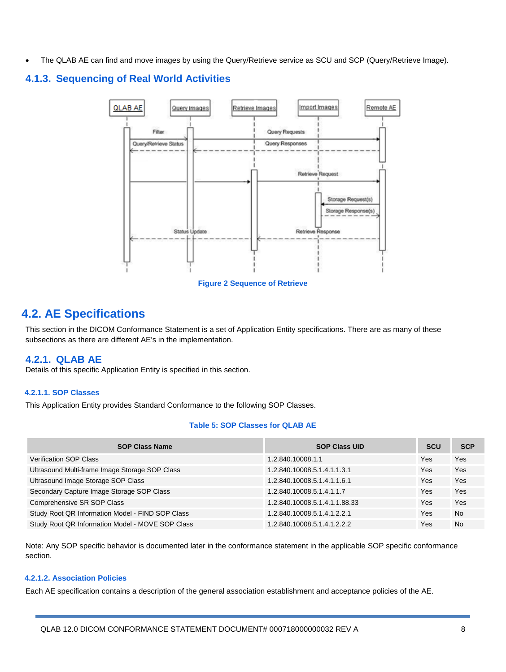• The QLAB AE can find and move images by using the Query/Retrieve service as SCU and SCP (Query/Retrieve Image).

## **4.1.3. Sequencing of Real World Activities**



**Figure 2 Sequence of Retrieve**

## **4.2. AE Specifications**

This section in the DICOM Conformance Statement is a set of Application Entity specifications. There are as many of these subsections as there are different AE's in the implementation.

### **4.2.1. QLAB AE**

Details of this specific Application Entity is specified in this section.

#### **4.2.1.1. SOP Classes**

This Application Entity provides Standard Conformance to the following SOP Classes.

#### **Table 5: SOP Classes for QLAB AE**

| <b>SOP Class Name</b>                            | <b>SOP Class UID</b>          | <b>SCU</b> | <b>SCP</b> |
|--------------------------------------------------|-------------------------------|------------|------------|
| <b>Verification SOP Class</b>                    | 1.2.840.10008.1.1             | Yes        | Yes        |
| Ultrasound Multi-frame Image Storage SOP Class   | 1.2.840.10008.5.1.4.1.1.3.1   | <b>Yes</b> | Yes        |
| Ultrasound Image Storage SOP Class               | 1.2.840.10008.5.1.4.1.1.6.1   | <b>Yes</b> | Yes        |
| Secondary Capture Image Storage SOP Class        | 1.2.840.10008.5.1.4.1.1.7     | Yes        | Yes        |
| Comprehensive SR SOP Class                       | 1.2.840.10008.5.1.4.1.1.88.33 | <b>Yes</b> | Yes        |
| Study Root QR Information Model - FIND SOP Class | 1.2.840.10008.5.1.4.1.2.2.1   | Yes        | <b>No</b>  |
| Study Root QR Information Model - MOVE SOP Class | 1.2.840.10008.5.1.4.1.2.2.2   | Yes        | <b>No</b>  |

Note: Any SOP specific behavior is documented later in the conformance statement in the applicable SOP specific conformance section.

#### **4.2.1.2. Association Policies**

Each AE specification contains a description of the general association establishment and acceptance policies of the AE.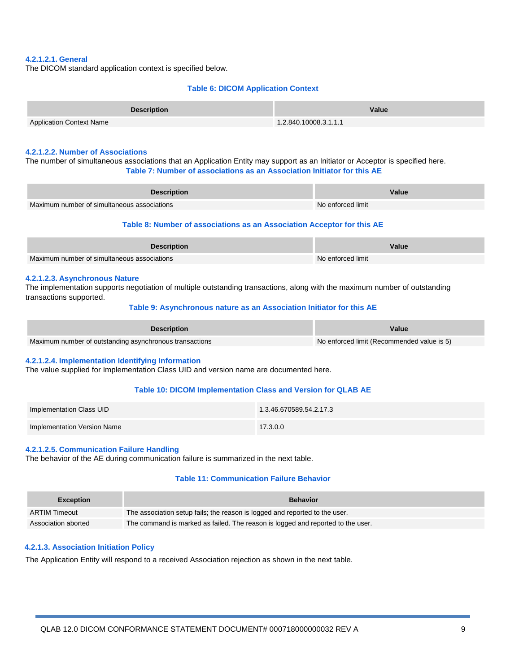#### **4.2.1.2.1. General**

The DICOM standard application context is specified below.

#### **Table 6: DICOM Application Context**

| <b>Description</b>              | Value                 |
|---------------------------------|-----------------------|
| <b>Application Context Name</b> | 1.2.840.10008.3.1.1.1 |

#### **4.2.1.2.2. Number of Associations**

The number of simultaneous associations that an Application Entity may support as an Initiator or Acceptor is specified here. **Table 7: Number of associations as an Association Initiator for this AE**

| <b>Description</b>                          | Value             |
|---------------------------------------------|-------------------|
| Maximum number of simultaneous associations | No enforced limit |

#### **Table 8: Number of associations as an Association Acceptor for this AE**

| <b>Description</b>                          | Value             |
|---------------------------------------------|-------------------|
| Maximum number of simultaneous associations | No enforced limit |

#### **4.2.1.2.3. Asynchronous Nature**

The implementation supports negotiation of multiple outstanding transactions, along with the maximum number of outstanding transactions supported.

#### **Table 9: Asynchronous nature as an Association Initiator for this AE**

| <b>Description</b>                                      | Value                                      |
|---------------------------------------------------------|--------------------------------------------|
| Maximum number of outstanding asynchronous transactions | No enforced limit (Recommended value is 5) |

#### **4.2.1.2.4. Implementation Identifying Information**

The value supplied for Implementation Class UID and version name are documented here.

#### **Table 10: DICOM Implementation Class and Version for QLAB AE**

| Implementation Class UID    | 1.3.46.670589.54.2.17.3 |
|-----------------------------|-------------------------|
| Implementation Version Name | 17.3.0.0                |

#### **4.2.1.2.5. Communication Failure Handling**

The behavior of the AE during communication failure is summarized in the next table.

#### **Table 11: Communication Failure Behavior**

| <b>Exception</b>     | <b>Behavior</b>                                                                 |
|----------------------|---------------------------------------------------------------------------------|
| <b>ARTIM Timeout</b> | The association setup fails; the reason is logged and reported to the user.     |
| Association aborted  | The command is marked as failed. The reason is logged and reported to the user. |

#### **4.2.1.3. Association Initiation Policy**

The Application Entity will respond to a received Association rejection as shown in the next table.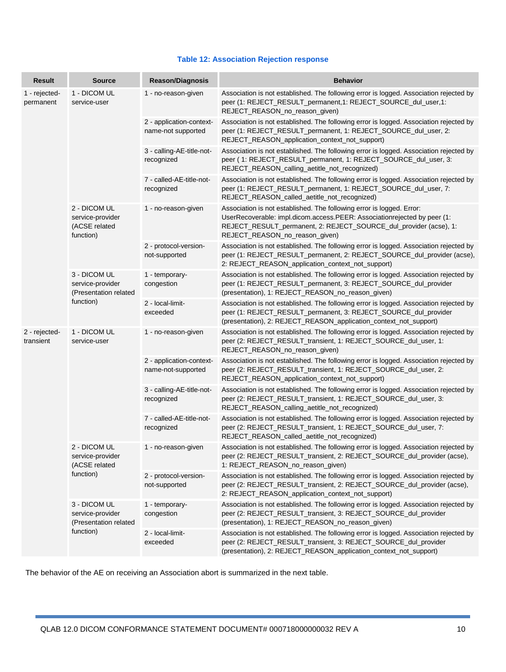#### **Table 12: Association Rejection response**

| <b>Result</b>              | <b>Source</b>                                                          | <b>Reason/Diagnosis</b>                        | <b>Behavior</b>                                                                                                                                                                                                                                          |
|----------------------------|------------------------------------------------------------------------|------------------------------------------------|----------------------------------------------------------------------------------------------------------------------------------------------------------------------------------------------------------------------------------------------------------|
| 1 - rejected-<br>permanent | 1 - DICOM UL<br>service-user                                           | 1 - no-reason-given                            | Association is not established. The following error is logged. Association rejected by<br>peer (1: REJECT_RESULT_permanent,1: REJECT_SOURCE_dul_user,1:<br>REJECT_REASON_no_reason_given)                                                                |
|                            |                                                                        | 2 - application-context-<br>name-not supported | Association is not established. The following error is logged. Association rejected by<br>peer (1: REJECT_RESULT_permanent, 1: REJECT_SOURCE_dul_user, 2:<br>REJECT_REASON_application_context_not_support)                                              |
|                            |                                                                        | 3 - calling-AE-title-not-<br>recognized        | Association is not established. The following error is logged. Association rejected by<br>peer (1: REJECT_RESULT_permanent, 1: REJECT_SOURCE_dul_user, 3:<br>REJECT_REASON_calling_aetitle_not_recognized)                                               |
|                            |                                                                        | 7 - called-AE-title-not-<br>recognized         | Association is not established. The following error is logged. Association rejected by<br>peer (1: REJECT_RESULT_permanent, 1: REJECT_SOURCE_dul_user, 7:<br>REJECT_REASON_called_aetitle_not_recognized)                                                |
|                            | 2 - DICOM UL<br>service-provider<br>(ACSE related<br>function)         | 1 - no-reason-given                            | Association is not established. The following error is logged. Error:<br>UserRecoverable: impl.dicom.access.PEER: Associationrejected by peer (1:<br>REJECT_RESULT_permanent, 2: REJECT_SOURCE_dul_provider (acse), 1:<br>REJECT_REASON_no_reason_given) |
|                            |                                                                        | 2 - protocol-version-<br>not-supported         | Association is not established. The following error is logged. Association rejected by<br>peer (1: REJECT_RESULT_permanent, 2: REJECT_SOURCE_dul_provider (acse),<br>2: REJECT_REASON_application_context_not_support)                                   |
|                            | 3 - DICOM UL<br>service-provider<br>(Presentation related<br>function) | 1 - temporary-<br>congestion                   | Association is not established. The following error is logged. Association rejected by<br>peer (1: REJECT_RESULT_permanent, 3: REJECT_SOURCE_dul_provider<br>(presentation), 1: REJECT_REASON_no_reason_given)                                           |
|                            |                                                                        | 2 - local-limit-<br>exceeded                   | Association is not established. The following error is logged. Association rejected by<br>peer (1: REJECT_RESULT_permanent, 3: REJECT_SOURCE_dul_provider<br>(presentation), 2: REJECT_REASON_application_context_not_support)                           |
| 2 - rejected-<br>transient | 1 - DICOM UL<br>service-user                                           | 1 - no-reason-given                            | Association is not established. The following error is logged. Association rejected by<br>peer (2: REJECT_RESULT_transient, 1: REJECT_SOURCE_dul_user, 1:<br>REJECT_REASON_no_reason_given)                                                              |
|                            |                                                                        | 2 - application-context-<br>name-not-supported | Association is not established. The following error is logged. Association rejected by<br>peer (2: REJECT_RESULT_transient, 1: REJECT_SOURCE_dul_user, 2:<br>REJECT_REASON_application_context_not_support)                                              |
|                            |                                                                        | 3 - calling-AE-title-not-<br>recognized        | Association is not established. The following error is logged. Association rejected by<br>peer (2: REJECT_RESULT_transient, 1: REJECT_SOURCE_dul_user, 3:<br>REJECT_REASON_calling_aetitle_not_recognized)                                               |
|                            |                                                                        | 7 - called-AE-title-not-<br>recognized         | Association is not established. The following error is logged. Association rejected by<br>peer (2: REJECT_RESULT_transient, 1: REJECT_SOURCE_dul_user, 7:<br>REJECT_REASON_called_aetitle_not_recognized)                                                |
|                            | 2 - DICOM UL<br>service-provider<br>(ACSE related                      | 1 - no-reason-given                            | Association is not established. The following error is logged. Association rejected by<br>peer (2: REJECT_RESULT_transient, 2: REJECT_SOURCE_dul_provider (acse),<br>1: REJECT_REASON_no_reason_given)                                                   |
|                            | function)                                                              | 2 - protocol-version-<br>not-supported         | Association is not established. The following error is logged. Association rejected by<br>peer (2: REJECT_RESULT_transient, 2: REJECT_SOURCE_dul_provider (acse),<br>2: REJECT_REASON_application_context_not_support)                                   |
|                            | 3 - DICOM UL<br>service-provider<br>(Presentation related              | 1 - temporary-<br>congestion                   | Association is not established. The following error is logged. Association rejected by<br>peer (2: REJECT_RESULT_transient, 3: REJECT_SOURCE_dul_provider<br>(presentation), 1: REJECT_REASON_no_reason_given)                                           |
|                            | function)                                                              | 2 - local-limit-<br>exceeded                   | Association is not established. The following error is logged. Association rejected by<br>peer (2: REJECT_RESULT_transient, 3: REJECT_SOURCE_dul_provider<br>(presentation), 2: REJECT_REASON_application_context_not_support)                           |

The behavior of the AE on receiving an Association abort is summarized in the next table.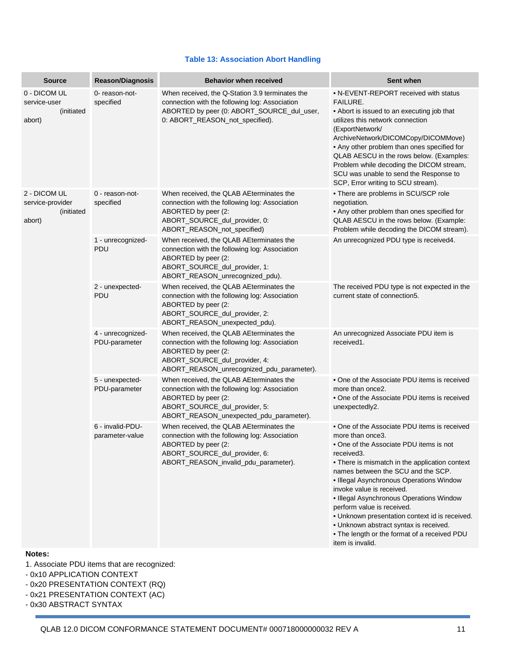#### **Table 13: Association Abort Handling**

| <b>Source</b>                                            | <b>Reason/Diagnosis</b>             | <b>Behavior when received</b>                                                                                                                                                                   | Sent when                                                                                                                                                                                                                                                                                                                                                                                                                                                                                                                            |
|----------------------------------------------------------|-------------------------------------|-------------------------------------------------------------------------------------------------------------------------------------------------------------------------------------------------|--------------------------------------------------------------------------------------------------------------------------------------------------------------------------------------------------------------------------------------------------------------------------------------------------------------------------------------------------------------------------------------------------------------------------------------------------------------------------------------------------------------------------------------|
| 0 - DICOM UL<br>service-user<br>(initiated<br>abort)     | 0- reason-not-<br>specified         | When received, the Q-Station 3.9 terminates the<br>connection with the following log: Association<br>ABORTED by peer (0: ABORT_SOURCE_dul_user,<br>0: ABORT_REASON_not_specified).              | • N-EVENT-REPORT received with status<br>FAILURE.<br>• Abort is issued to an executing job that<br>utilizes this network connection<br>(ExportNetwork/<br>ArchiveNetwork/DICOMCopy/DICOMMove)<br>• Any other problem than ones specified for<br>QLAB AESCU in the rows below. (Examples:<br>Problem while decoding the DICOM stream,<br>SCU was unable to send the Response to<br>SCP, Error writing to SCU stream).                                                                                                                 |
| 2 - DICOM UL<br>service-provider<br>(initiated<br>abort) | 0 - reason-not-<br>specified        | When received, the QLAB AEterminates the<br>connection with the following log: Association<br>ABORTED by peer (2:<br>ABORT_SOURCE_dul_provider, 0:<br>ABORT_REASON_not_specified)               | • There are problems in SCU/SCP role<br>negotiation.<br>• Any other problem than ones specified for<br>QLAB AESCU in the rows below. (Example:<br>Problem while decoding the DICOM stream).                                                                                                                                                                                                                                                                                                                                          |
|                                                          | 1 - unrecognized-<br><b>PDU</b>     | When received, the QLAB AEterminates the<br>connection with the following log: Association<br>ABORTED by peer (2:<br>ABORT_SOURCE_dul_provider, 1:<br>ABORT_REASON_unrecognized_pdu).           | An unrecognized PDU type is received4.                                                                                                                                                                                                                                                                                                                                                                                                                                                                                               |
|                                                          | 2 - unexpected-<br>PDU              | When received, the QLAB AEterminates the<br>connection with the following log: Association<br>ABORTED by peer (2:<br>ABORT SOURCE dul provider, 2:<br>ABORT_REASON_unexpected_pdu).             | The received PDU type is not expected in the<br>current state of connection5.                                                                                                                                                                                                                                                                                                                                                                                                                                                        |
|                                                          | 4 - unrecognized-<br>PDU-parameter  | When received, the QLAB AEterminates the<br>connection with the following log: Association<br>ABORTED by peer (2:<br>ABORT_SOURCE_dul_provider, 4:<br>ABORT_REASON_unrecognized_pdu_parameter). | An unrecognized Associate PDU item is<br>received1.                                                                                                                                                                                                                                                                                                                                                                                                                                                                                  |
|                                                          | 5 - unexpected-<br>PDU-parameter    | When received, the QLAB AEterminates the<br>connection with the following log: Association<br>ABORTED by peer (2:<br>ABORT_SOURCE_dul_provider, 5:<br>ABORT_REASON_unexpected_pdu_parameter).   | • One of the Associate PDU items is received<br>more than once2.<br>. One of the Associate PDU items is received<br>unexpectedly2.                                                                                                                                                                                                                                                                                                                                                                                                   |
|                                                          | 6 - invalid-PDU-<br>parameter-value | When received, the QLAB AEterminates the<br>connection with the following log: Association<br>ABORTED by peer (2:<br>ABORT_SOURCE_dul_provider, 6:<br>ABORT_REASON_invalid_pdu_parameter).      | • One of the Associate PDU items is received<br>more than once3.<br>• One of the Associate PDU items is not<br>received3.<br>• There is mismatch in the application context<br>names between the SCU and the SCP.<br>• Illegal Asynchronous Operations Window<br>invoke value is received.<br>· Illegal Asynchronous Operations Window<br>perform value is received.<br>. Unknown presentation context id is received.<br>. Unknown abstract syntax is received.<br>. The length or the format of a received PDU<br>item is invalid. |

#### **Notes:**

- 1. Associate PDU items that are recognized:
- 0x10 APPLICATION CONTEXT
- 0x20 PRESENTATION CONTEXT (RQ)
- 0x21 PRESENTATION CONTEXT (AC)
- 0x30 ABSTRACT SYNTAX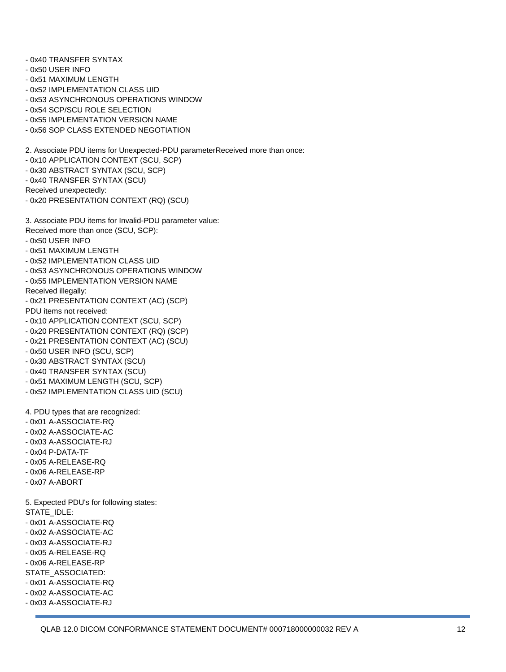- 0x40 TRANSFER SYNTAX
- 0x50 USER INFO
- 0x51 MAXIMUM LENGTH
- 0x52 IMPLEMENTATION CLASS UID
- 0x53 ASYNCHRONOUS OPERATIONS WINDOW
- 0x54 SCP/SCU ROLE SELECTION
- 0x55 IMPLEMENTATION VERSION NAME
- 0x56 SOP CLASS EXTENDED NEGOTIATION

2. Associate PDU items for Unexpected-PDU parameterReceived more than once:

- 0x10 APPLICATION CONTEXT (SCU, SCP)
- 0x30 ABSTRACT SYNTAX (SCU, SCP)
- 0x40 TRANSFER SYNTAX (SCU)

Received unexpectedly:

- 0x20 PRESENTATION CONTEXT (RQ) (SCU)
- 3. Associate PDU items for Invalid-PDU parameter value:
- Received more than once (SCU, SCP):
- 0x50 USER INFO
- 0x51 MAXIMUM LENGTH
- 0x52 IMPLEMENTATION CLASS UID
- 0x53 ASYNCHRONOUS OPERATIONS WINDOW
- 0x55 IMPLEMENTATION VERSION NAME
- Received illegally:
- 0x21 PRESENTATION CONTEXT (AC) (SCP)
- PDU items not received:
- 0x10 APPLICATION CONTEXT (SCU, SCP)
- 0x20 PRESENTATION CONTEXT (RQ) (SCP)
- 0x21 PRESENTATION CONTEXT (AC) (SCU)
- 0x50 USER INFO (SCU, SCP)
- 0x30 ABSTRACT SYNTAX (SCU)
- 0x40 TRANSFER SYNTAX (SCU)
- 0x51 MAXIMUM LENGTH (SCU, SCP)
- 0x52 IMPLEMENTATION CLASS UID (SCU)

4. PDU types that are recognized:

- 0x01 A-ASSOCIATE-RQ
- 0x02 A-ASSOCIATE-AC
- 0x03 A-ASSOCIATE-RJ
- 0x04 P-DATA-TF
- 0x05 A-RELEASE-RQ
- 0x06 A-RELEASE-RP
- 0x07 A-ABORT

5. Expected PDU's for following states: STATE\_IDLE:

- 0x01 A-ASSOCIATE-RQ
- 0x02 A-ASSOCIATE-AC
- 0x03 A-ASSOCIATE-RJ
- 0x05 A-RELEASE-RQ
- 0x06 A-RELEASE-RP
- STATE\_ASSOCIATED:
- 0x01 A-ASSOCIATE-RQ
- 0x02 A-ASSOCIATE-AC
- 0x03 A-ASSOCIATE-RJ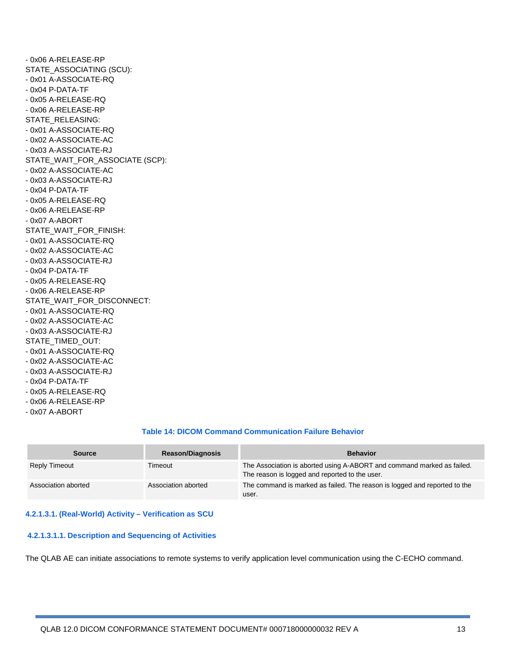- 0x06 A-RELEASE-RP STATE\_ASSOCIATING (SCU): - 0x01 A-ASSOCIATE-RQ - 0x04 P-DATA-TF - 0x05 A-RELEASE-RQ - 0x06 A-RELEASE-RP STATE\_RELEASING: - 0x01 A-ASSOCIATE-RQ - 0x02 A-ASSOCIATE-AC - 0x03 A-ASSOCIATE-RJ STATE\_WAIT\_FOR\_ASSOCIATE (SCP): - 0x02 A-ASSOCIATE-AC - 0x03 A-ASSOCIATE-RJ - 0x04 P-DATA-TF - 0x05 A-RELEASE-RQ - 0x06 A-RELEASE-RP - 0x07 A-ABORT STATE\_WAIT\_FOR\_FINISH: - 0x01 A-ASSOCIATE-RQ - 0x02 A-ASSOCIATE-AC - 0x03 A-ASSOCIATE-RJ - 0x04 P-DATA-TF - 0x05 A-RELEASE-RQ - 0x06 A-RELEASE-RP STATE\_WAIT\_FOR\_DISCONNECT: - 0x01 A-ASSOCIATE-RQ - 0x02 A-ASSOCIATE-AC - 0x03 A-ASSOCIATE-RJ STATE\_TIMED\_OUT: - 0x01 A-ASSOCIATE-RQ - 0x02 A-ASSOCIATE-AC - 0x03 A-ASSOCIATE-RJ - 0x04 P-DATA-TF - 0x05 A-RELEASE-RQ - 0x06 A-RELEASE-RP

- 0x07 A-ABORT

#### **Table 14: DICOM Command Communication Failure Behavior**

| <b>Source</b>        | <b>Reason/Diagnosis</b> | <b>Behavior</b>                                                                                                          |
|----------------------|-------------------------|--------------------------------------------------------------------------------------------------------------------------|
| <b>Reply Timeout</b> | Timeout                 | The Association is aborted using A-ABORT and command marked as failed.<br>The reason is logged and reported to the user. |
| Association aborted  | Association aborted     | The command is marked as failed. The reason is logged and reported to the<br>user.                                       |

#### **4.2.1.3.1. (Real-World) Activity – Verification as SCU**

#### **4.2.1.3.1.1. Description and Sequencing of Activities**

The QLAB AE can initiate associations to remote systems to verify application level communication using the C-ECHO command.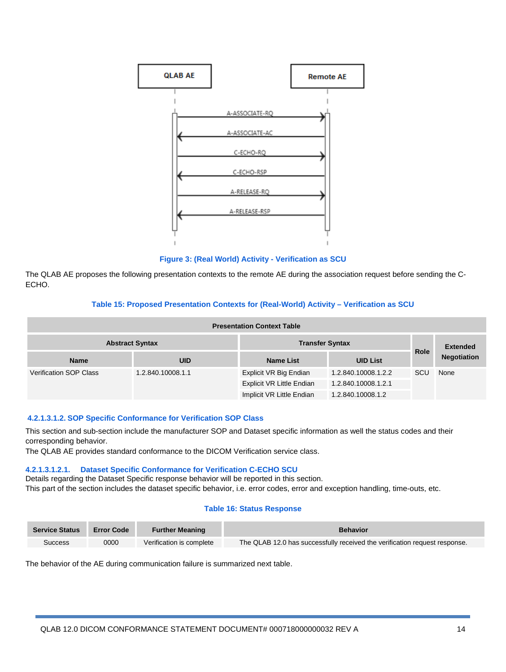

**Figure 3: (Real World) Activity - Verification as SCU**

The QLAB AE proposes the following presentation contexts to the remote AE during the association request before sending the C-ECHO.

#### **Table 15: Proposed Presentation Contexts for (Real-World) Activity – Verification as SCU**

| <b>Presentation Context Table</b> |                        |                           |                     |             |                    |
|-----------------------------------|------------------------|---------------------------|---------------------|-------------|--------------------|
|                                   | <b>Abstract Syntax</b> | <b>Transfer Syntax</b>    |                     |             | <b>Extended</b>    |
| <b>Name</b>                       | <b>UID</b>             | Name List                 | <b>UID List</b>     | <b>Role</b> | <b>Negotiation</b> |
| <b>Verification SOP Class</b>     | 1.2.840.10008.1.1      | Explicit VR Big Endian    | 1.2.840.10008.1.2.2 | SCU         | None               |
|                                   |                        | Explicit VR Little Endian | 1.2.840.10008.1.2.1 |             |                    |
|                                   |                        | Implicit VR Little Endian | 1.2.840.10008.1.2   |             |                    |

#### **4.2.1.3.1.2. SOP Specific Conformance for Verification SOP Class**

This section and sub-section include the manufacturer SOP and Dataset specific information as well the status codes and their corresponding behavior.

The QLAB AE provides standard conformance to the DICOM Verification service class.

#### **4.2.1.3.1.2.1. Dataset Specific Conformance for Verification C-ECHO SCU**

Details regarding the Dataset Specific response behavior will be reported in this section.

This part of the section includes the dataset specific behavior, i.e. error codes, error and exception handling, time-outs, etc.

#### **Table 16: Status Response**

| <b>Service Status</b> | <b>Error Code</b> | <b>Further Meaning</b><br><b>Behavior</b> |                                                                            |
|-----------------------|-------------------|-------------------------------------------|----------------------------------------------------------------------------|
| <b>Success</b>        | 0000              | Verification is complete                  | The QLAB 12.0 has successfully received the verification request response. |

The behavior of the AE during communication failure is summarized next table.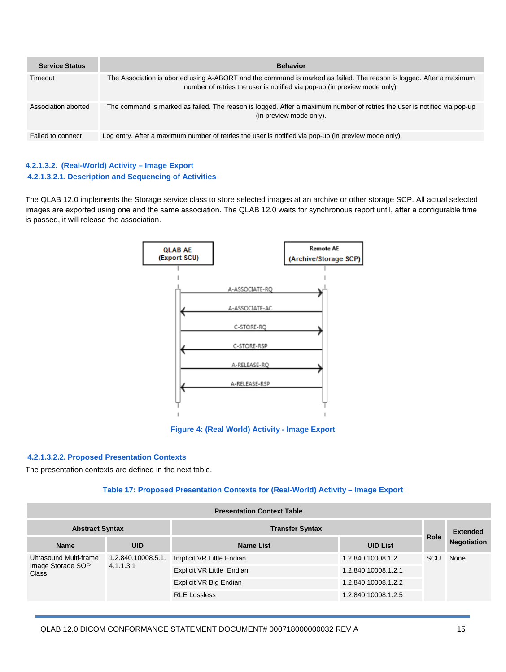| <b>Service Status</b> | <b>Behavior</b>                                                                                                                                                                                  |
|-----------------------|--------------------------------------------------------------------------------------------------------------------------------------------------------------------------------------------------|
| Timeout               | The Association is aborted using A-ABORT and the command is marked as failed. The reason is logged. After a maximum<br>number of retries the user is notified via pop-up (in preview mode only). |
| Association aborted   | The command is marked as failed. The reason is logged. After a maximum number of retries the user is notified via pop-up<br>(in preview mode only).                                              |
| Failed to connect     | Log entry. After a maximum number of retries the user is notified via pop-up (in preview mode only).                                                                                             |

#### **4.2.1.3.2. (Real-World) Activity – Image Export 4.2.1.3.2.1. Description and Sequencing of Activities**

The QLAB 12.0 implements the Storage service class to store selected images at an archive or other storage SCP. All actual selected images are exported using one and the same association. The QLAB 12.0 waits for synchronous report until, after a configurable time is passed, it will release the association.



**Figure 4: (Real World) Activity - Image Export**

#### **4.2.1.3.2.2. Proposed Presentation Contexts**

The presentation contexts are defined in the next table.

#### **Table 17: Proposed Presentation Contexts for (Real-World) Activity – Image Export**

|                                                             | <b>Presentation Context Table</b> |                        |                           |                     |                    |  |
|-------------------------------------------------------------|-----------------------------------|------------------------|---------------------------|---------------------|--------------------|--|
| <b>Abstract Syntax</b>                                      |                                   | <b>Transfer Syntax</b> |                           |                     | <b>Extended</b>    |  |
| <b>Name</b>                                                 | <b>UID</b>                        | <b>Name List</b>       | <b>UID List</b>           | <b>Role</b>         | <b>Negotiation</b> |  |
| Ultrasound Multi-frame<br>Image Storage SOP<br><b>Class</b> | 1.2.840.10008.5.1.<br>4.1.1.3.1   |                        | Implicit VR Little Endian | 1.2.840.10008.1.2   | SCU<br>None        |  |
|                                                             |                                   |                        | Explicit VR Little Endian | 1.2.840.10008.1.2.1 |                    |  |
|                                                             |                                   | Explicit VR Big Endian | 1.2.840.10008.1.2.2       |                     |                    |  |
|                                                             |                                   | <b>RLE Lossless</b>    | 1.2.840.10008.1.2.5       |                     |                    |  |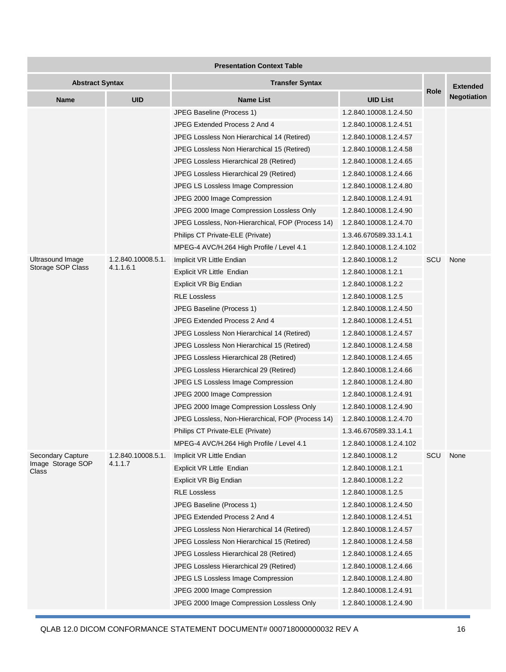| <b>Presentation Context Table</b>      |                               |                                                                                                                                                                                                                                                                                                                                     |                                                                                                                                                                                                              |      |                    |
|----------------------------------------|-------------------------------|-------------------------------------------------------------------------------------------------------------------------------------------------------------------------------------------------------------------------------------------------------------------------------------------------------------------------------------|--------------------------------------------------------------------------------------------------------------------------------------------------------------------------------------------------------------|------|--------------------|
| <b>Abstract Syntax</b>                 |                               | <b>Transfer Syntax</b>                                                                                                                                                                                                                                                                                                              |                                                                                                                                                                                                              |      | <b>Extended</b>    |
| Name                                   | <b>UID</b>                    | <b>Name List</b>                                                                                                                                                                                                                                                                                                                    | <b>UID List</b>                                                                                                                                                                                              | Role | <b>Negotiation</b> |
|                                        |                               | JPEG Baseline (Process 1)<br>JPEG Extended Process 2 And 4                                                                                                                                                                                                                                                                          | 1.2.840.10008.1.2.4.50<br>1.2.840.10008.1.2.4.51                                                                                                                                                             |      |                    |
|                                        |                               | JPEG Lossless Non Hierarchical 14 (Retired)<br>JPEG Lossless Non Hierarchical 15 (Retired)<br>JPEG Lossless Hierarchical 28 (Retired)                                                                                                                                                                                               | 1.2.840.10008.1.2.4.57<br>1.2.840.10008.1.2.4.58<br>1.2.840.10008.1.2.4.65                                                                                                                                   |      |                    |
|                                        |                               | JPEG Lossless Hierarchical 29 (Retired)<br>JPEG LS Lossless Image Compression<br>JPEG 2000 Image Compression<br>JPEG 2000 Image Compression Lossless Only<br>JPEG Lossless, Non-Hierarchical, FOP (Process 14)                                                                                                                      | 1.2.840.10008.1.2.4.66<br>1.2.840.10008.1.2.4.80<br>1.2.840.10008.1.2.4.91<br>1.2.840.10008.1.2.4.90<br>1.2.840.10008.1.2.4.70                                                                               |      |                    |
| Ultrasound Image                       | 1.2.840.10008.5.1.            | Philips CT Private-ELE (Private)<br>MPEG-4 AVC/H.264 High Profile / Level 4.1<br>Implicit VR Little Endian                                                                                                                                                                                                                          | 1.3.46.670589.33.1.4.1<br>1.2.840.10008.1.2.4.102<br>1.2.840.10008.1.2                                                                                                                                       | SCU  | None               |
| Storage SOP Class                      | 4.1.1.6.1                     | Explicit VR Little Endian<br>Explicit VR Big Endian<br><b>RLE Lossless</b>                                                                                                                                                                                                                                                          | 1.2.840.10008.1.2.1<br>1.2.840.10008.1.2.2<br>1.2.840.10008.1.2.5                                                                                                                                            |      |                    |
|                                        |                               | JPEG Baseline (Process 1)<br>JPEG Extended Process 2 And 4<br>JPEG Lossless Non Hierarchical 14 (Retired)                                                                                                                                                                                                                           | 1.2.840.10008.1.2.4.50<br>1.2.840.10008.1.2.4.51<br>1.2.840.10008.1.2.4.57                                                                                                                                   |      |                    |
|                                        |                               | JPEG Lossless Non Hierarchical 15 (Retired)<br>JPEG Lossless Hierarchical 28 (Retired)<br>JPEG Lossless Hierarchical 29 (Retired)<br>JPEG LS Lossless Image Compression                                                                                                                                                             | 1.2.840.10008.1.2.4.58<br>1.2.840.10008.1.2.4.65<br>1.2.840.10008.1.2.4.66<br>1.2.840.10008.1.2.4.80                                                                                                         |      |                    |
|                                        |                               | JPEG 2000 Image Compression<br>JPEG 2000 Image Compression Lossless Only<br>JPEG Lossless, Non-Hierarchical, FOP (Process 14)<br>Philips CT Private-ELE (Private)                                                                                                                                                                   | 1.2.840.10008.1.2.4.91<br>1.2.840.10008.1.2.4.90<br>1.2.840.10008.1.2.4.70<br>1.3.46.670589.33.1.4.1                                                                                                         |      |                    |
| Secondary Capture<br>Image Storage SOP | 1.2.840.10008.5.1.<br>4.1.1.7 | MPEG-4 AVC/H.264 High Profile / Level 4.1<br>Implicit VR Little Endian                                                                                                                                                                                                                                                              | 1.2.840.10008.1.2.4.102<br>1.2.840.10008.1.2                                                                                                                                                                 | SCU  | None               |
| Class                                  |                               | Explicit VR Little Endian<br>Explicit VR Big Endian<br><b>RLE Lossless</b><br>JPEG Baseline (Process 1)                                                                                                                                                                                                                             | 1.2.840.10008.1.2.1<br>1.2.840.10008.1.2.2<br>1.2.840.10008.1.2.5<br>1.2.840.10008.1.2.4.50                                                                                                                  |      |                    |
|                                        |                               | JPEG Extended Process 2 And 4<br>JPEG Lossless Non Hierarchical 14 (Retired)<br>JPEG Lossless Non Hierarchical 15 (Retired)<br>JPEG Lossless Hierarchical 28 (Retired)<br>JPEG Lossless Hierarchical 29 (Retired)<br>JPEG LS Lossless Image Compression<br>JPEG 2000 Image Compression<br>JPEG 2000 Image Compression Lossless Only | 1.2.840.10008.1.2.4.51<br>1.2.840.10008.1.2.4.57<br>1.2.840.10008.1.2.4.58<br>1.2.840.10008.1.2.4.65<br>1.2.840.10008.1.2.4.66<br>1.2.840.10008.1.2.4.80<br>1.2.840.10008.1.2.4.91<br>1.2.840.10008.1.2.4.90 |      |                    |

QLAB 12.0 DICOM CONFORMANCE STATEMENT DOCUMENT# 000718000000032 REV A 16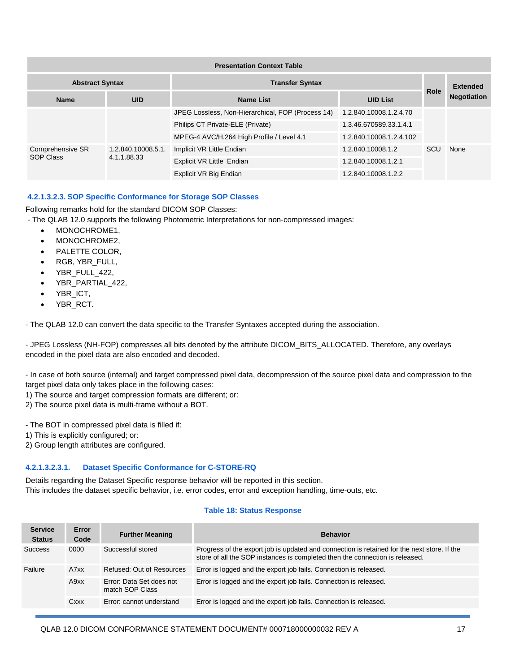| <b>Presentation Context Table</b> |                                   |                                                   |                         |      |                    |
|-----------------------------------|-----------------------------------|---------------------------------------------------|-------------------------|------|--------------------|
| <b>Abstract Syntax</b>            |                                   | <b>Transfer Syntax</b>                            |                         |      | <b>Extended</b>    |
| <b>Name</b>                       | <b>UID</b>                        | <b>Name List</b>                                  | <b>UID List</b>         | Role | <b>Negotiation</b> |
|                                   |                                   | JPEG Lossless, Non-Hierarchical, FOP (Process 14) | 1.2.840.10008.1.2.4.70  |      |                    |
|                                   |                                   | Philips CT Private-ELE (Private)                  | 1.3.46.670589.33.1.4.1  |      |                    |
|                                   |                                   | MPEG-4 AVC/H.264 High Profile / Level 4.1         | 1.2.840.10008.1.2.4.102 |      |                    |
| Comprehensive SR<br>SOP Class     | 1.2.840.10008.5.1.<br>4.1.1.88.33 | Implicit VR Little Endian                         | 1.2.840.10008.1.2       | SCU  | None               |
|                                   |                                   | Explicit VR Little Endian                         | 1.2.840.10008.1.2.1     |      |                    |
|                                   |                                   | Explicit VR Big Endian                            | 1.2.840.10008.1.2.2     |      |                    |

#### **4.2.1.3.2.3. SOP Specific Conformance for Storage SOP Classes**

Following remarks hold for the standard DICOM SOP Classes:

- The QLAB 12.0 supports the following Photometric Interpretations for non-compressed images:
	- MONOCHROME1,
	- MONOCHROME2,
	- PALETTE COLOR,
	- RGB, YBR\_FULL,
	- YBR\_FULL\_422,
	- YBR\_PARTIAL\_422,
	- YBR\_ICT,
	- YBR\_RCT.

- The QLAB 12.0 can convert the data specific to the Transfer Syntaxes accepted during the association.

- JPEG Lossless (NH-FOP) compresses all bits denoted by the attribute DICOM\_BITS\_ALLOCATED. Therefore, any overlays encoded in the pixel data are also encoded and decoded.

- In case of both source (internal) and target compressed pixel data, decompression of the source pixel data and compression to the target pixel data only takes place in the following cases:

1) The source and target compression formats are different; or:

2) The source pixel data is multi-frame without a BOT.

- The BOT in compressed pixel data is filled if:

1) This is explicitly configured; or:

2) Group length attributes are configured.

#### **4.2.1.3.2.3.1. Dataset Specific Conformance for C-STORE-RQ**

Details regarding the Dataset Specific response behavior will be reported in this section. This includes the dataset specific behavior, i.e. error codes, error and exception handling, time-outs, etc.

#### **Table 18: Status Response**

| <b>Service</b><br><b>Status</b> | Error<br>Code | <b>Further Meaning</b>                      | <b>Behavior</b>                                                                                                                                                             |
|---------------------------------|---------------|---------------------------------------------|-----------------------------------------------------------------------------------------------------------------------------------------------------------------------------|
| <b>Success</b>                  | 0000          | Successful stored                           | Progress of the export job is updated and connection is retained for the next store. If the<br>store of all the SOP instances is completed then the connection is released. |
| Failure                         | A7xx          | Refused: Out of Resources                   | Error is logged and the export job fails. Connection is released.                                                                                                           |
|                                 | A9xx          | Error: Data Set does not<br>match SOP Class | Error is logged and the export job fails. Connection is released.                                                                                                           |
|                                 | Cxxx          | Error: cannot understand                    | Error is logged and the export job fails. Connection is released.                                                                                                           |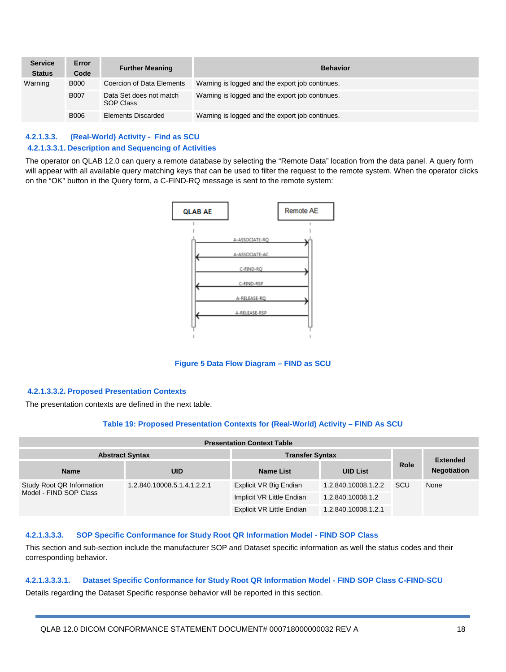| <b>Service</b><br><b>Status</b> | Error<br>Code | <b>Further Meaning</b>               | <b>Behavior</b>                                 |
|---------------------------------|---------------|--------------------------------------|-------------------------------------------------|
| Warning                         | <b>B000</b>   | Coercion of Data Elements            | Warning is logged and the export job continues. |
|                                 | <b>B007</b>   | Data Set does not match<br>SOP Class | Warning is logged and the export job continues. |
|                                 | <b>B006</b>   | <b>Elements Discarded</b>            | Warning is logged and the export job continues. |

#### **4.2.1.3.3. (Real-World) Activity - Find as SCU 4.2.1.3.3.1. Description and Sequencing of Activities**

The operator on QLAB 12.0 can query a remote database by selecting the "Remote Data" location from the data panel. A query form will appear with all available query matching keys that can be used to filter the request to the remote system. When the operator clicks on the "OK" button in the Query form, a C-FIND-RQ message is sent to the remote system:



**Figure 5 Data Flow Diagram – FIND as SCU**

#### **4.2.1.3.3.2. Proposed Presentation Contexts**

The presentation contexts are defined in the next table.

#### **Table 19: Proposed Presentation Contexts for (Real-World) Activity – FIND As SCU**

| <b>Presentation Context Table</b>                   |                             |                           |                     |             |                         |  |  |
|-----------------------------------------------------|-----------------------------|---------------------------|---------------------|-------------|-------------------------|--|--|
| <b>Abstract Syntax</b>                              |                             | <b>Transfer Syntax</b>    |                     |             |                         |  |  |
| <b>Name</b>                                         | <b>UID</b>                  | Name List                 | <b>UID List</b>     | <b>Role</b> | <b>Negotiation</b>      |  |  |
| Study Root QR Information<br>Model - FIND SOP Class | 1.2.840.10008.5.1.4.1.2.2.1 | Explicit VR Big Endian    | 1.2.840.10008.1.2.2 | <b>SCU</b>  | <b>Extended</b><br>None |  |  |
|                                                     |                             | Implicit VR Little Endian | 1.2.840.10008.1.2   |             |                         |  |  |
|                                                     |                             | Explicit VR Little Endian | 1.2.840.10008.1.2.1 |             |                         |  |  |

#### **4.2.1.3.3.3. SOP Specific Conformance for Study Root QR Information Model - FIND SOP Class**

This section and sub-section include the manufacturer SOP and Dataset specific information as well the status codes and their corresponding behavior.

## **4.2.1.3.3.3.1. Dataset Specific Conformance for Study Root QR Information Model - FIND SOP Class C-FIND-SCU**

Details regarding the Dataset Specific response behavior will be reported in this section.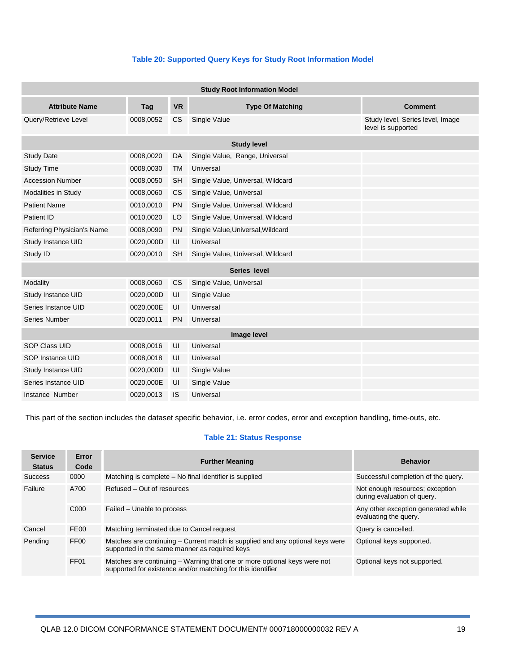#### **Table 20: Supported Query Keys for Study Root Information Model**

| <b>Study Root Information Model</b> |                    |           |                                   |                                                        |  |  |
|-------------------------------------|--------------------|-----------|-----------------------------------|--------------------------------------------------------|--|--|
| <b>Attribute Name</b>               | Tag                | <b>VR</b> | <b>Type Of Matching</b>           | <b>Comment</b>                                         |  |  |
| Query/Retrieve Level                | 0008,0052          | <b>CS</b> | Single Value                      | Study level, Series level, Image<br>level is supported |  |  |
|                                     | <b>Study level</b> |           |                                   |                                                        |  |  |
| <b>Study Date</b>                   | 0008,0020          | DA        | Single Value, Range, Universal    |                                                        |  |  |
| <b>Study Time</b>                   | 0008,0030          | <b>TM</b> | Universal                         |                                                        |  |  |
| <b>Accession Number</b>             | 0008,0050          | <b>SH</b> | Single Value, Universal, Wildcard |                                                        |  |  |
| Modalities in Study                 | 0008,0060          | <b>CS</b> | Single Value, Universal           |                                                        |  |  |
| <b>Patient Name</b>                 | 0010,0010          | <b>PN</b> | Single Value, Universal, Wildcard |                                                        |  |  |
| Patient ID                          | 0010,0020          | LO        | Single Value, Universal, Wildcard |                                                        |  |  |
| Referring Physician's Name          | 0008,0090          | <b>PN</b> | Single Value, Universal, Wildcard |                                                        |  |  |
| Study Instance UID                  | 0020,000D          | UI        | Universal                         |                                                        |  |  |
| Study ID                            | 0020,0010          | <b>SH</b> | Single Value, Universal, Wildcard |                                                        |  |  |
|                                     |                    |           | Series level                      |                                                        |  |  |
| Modality                            | 0008,0060          | <b>CS</b> | Single Value, Universal           |                                                        |  |  |
| Study Instance UID                  | 0020,000D          | UI        | Single Value                      |                                                        |  |  |
| Series Instance UID                 | 0020,000E          | UI        | Universal                         |                                                        |  |  |
| Series Number                       | 0020,0011          | <b>PN</b> | Universal                         |                                                        |  |  |
| Image level                         |                    |           |                                   |                                                        |  |  |
| <b>SOP Class UID</b>                | 0008,0016          | UI        | Universal                         |                                                        |  |  |
| SOP Instance UID                    | 0008,0018          | UI        | Universal                         |                                                        |  |  |
| Study Instance UID                  | 0020,000D          | UI        | Single Value                      |                                                        |  |  |
| Series Instance UID                 | 0020,000E          | UI        | Single Value                      |                                                        |  |  |
| Instance Number                     | 0020,0013          | <b>IS</b> | Universal                         |                                                        |  |  |

This part of the section includes the dataset specific behavior, i.e. error codes, error and exception handling, time-outs, etc.

#### **Table 21: Status Response**

| <b>Service</b><br><b>Status</b> | Error<br>Code    | <b>Further Meaning</b>                                                                                                                  | <b>Behavior</b>                                                |
|---------------------------------|------------------|-----------------------------------------------------------------------------------------------------------------------------------------|----------------------------------------------------------------|
| <b>Success</b>                  | 0000             | Matching is complete – No final identifier is supplied                                                                                  | Successful completion of the query.                            |
| Failure                         | A700             | Refused – Out of resources                                                                                                              | Not enough resources; exception<br>during evaluation of query. |
|                                 | C <sub>000</sub> | Failed – Unable to process                                                                                                              | Any other exception generated while<br>evaluating the query.   |
| Cancel                          | FE <sub>00</sub> | Matching terminated due to Cancel request                                                                                               | Query is cancelled.                                            |
| Pending                         | FF <sub>00</sub> | Matches are continuing - Current match is supplied and any optional keys were<br>supported in the same manner as required keys          | Optional keys supported.                                       |
|                                 | FF <sub>01</sub> | Matches are continuing – Warning that one or more optional keys were not<br>supported for existence and/or matching for this identifier | Optional keys not supported.                                   |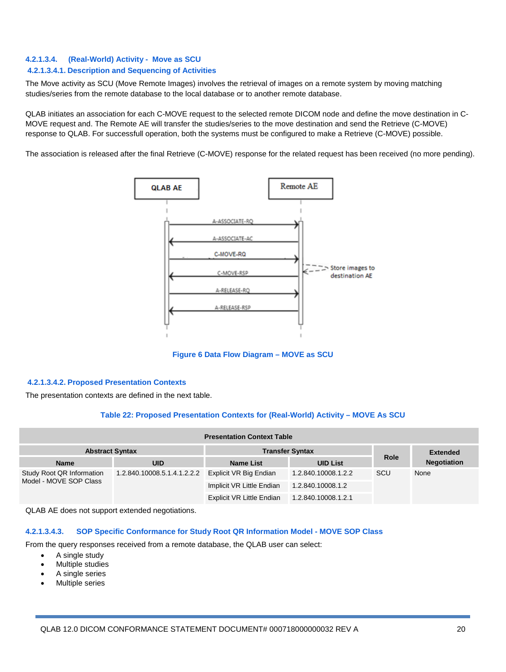#### **4.2.1.3.4. (Real-World) Activity - Move as SCU**

#### **4.2.1.3.4.1. Description and Sequencing of Activities**

The Move activity as SCU (Move Remote Images) involves the retrieval of images on a remote system by moving matching studies/series from the remote database to the local database or to another remote database.

QLAB initiates an association for each C-MOVE request to the selected remote DICOM node and define the move destination in C-MOVE request and. The Remote AE will transfer the studies/series to the move destination and send the Retrieve (C-MOVE) response to QLAB. For successfull operation, both the systems must be configured to make a Retrieve (C-MOVE) possible.

The association is released after the final Retrieve (C-MOVE) response for the related request has been received (no more pending).



**Figure 6 Data Flow Diagram – MOVE as SCU**

#### **4.2.1.3.4.2. Proposed Presentation Contexts**

The presentation contexts are defined in the next table.

#### **Table 22: Proposed Presentation Contexts for (Real-World) Activity – MOVE As SCU**

| <b>Presentation Context Table</b>                   |                             |                           |                     |                 |                    |  |  |
|-----------------------------------------------------|-----------------------------|---------------------------|---------------------|-----------------|--------------------|--|--|
| <b>Abstract Syntax</b>                              |                             | <b>Transfer Syntax</b>    |                     | <b>Extended</b> |                    |  |  |
| <b>Name</b>                                         | UID                         | <b>Name List</b>          | <b>UID List</b>     | <b>Role</b>     | <b>Negotiation</b> |  |  |
| Study Root QR Information<br>Model - MOVE SOP Class | 1.2.840.10008.5.1.4.1.2.2.2 | Explicit VR Big Endian    | 1.2.840.10008.1.2.2 | <b>SCU</b>      | None               |  |  |
|                                                     |                             | Implicit VR Little Endian | 1.2.840.10008.1.2   |                 |                    |  |  |
|                                                     |                             | Explicit VR Little Endian | 1.2.840.10008.1.2.1 |                 |                    |  |  |

QLAB AE does not support extended negotiations.

#### **4.2.1.3.4.3. SOP Specific Conformance for Study Root QR Information Model - MOVE SOP Class**

From the query responses received from a remote database, the QLAB user can select:

- A single study
- Multiple studies
- A single series
- Multiple series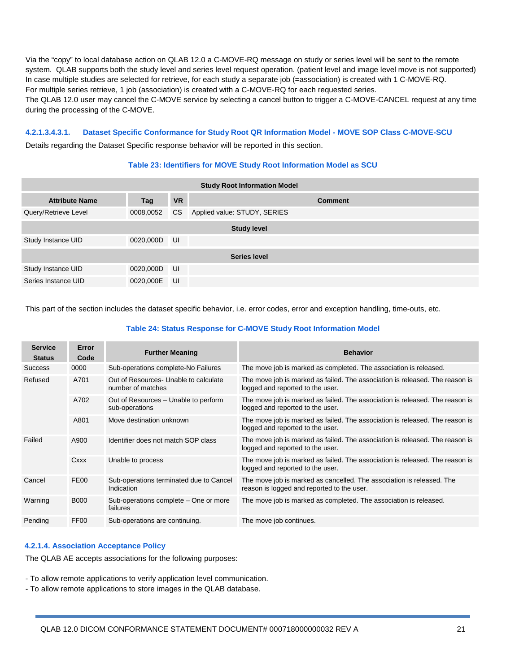Via the "copy" to local database action on QLAB 12.0 a C-MOVE-RQ message on study or series level will be sent to the remote system. QLAB supports both the study level and series level request operation. (patient level and image level move is not supported) In case multiple studies are selected for retrieve, for each study a separate job (=association) is created with 1 C-MOVE-RQ. For multiple series retrieve, 1 job (association) is created with a C-MOVE-RQ for each requested series. The QLAB 12.0 user may cancel the C-MOVE service by selecting a cancel button to trigger a C-MOVE-CANCEL request at any time during the processing of the C-MOVE.

#### **4.2.1.3.4.3.1. Dataset Specific Conformance for Study Root QR Information Model - MOVE SOP Class C-MOVE-SCU**

Details regarding the Dataset Specific response behavior will be reported in this section.

#### **Table 23: Identifiers for MOVE Study Root Information Model as SCU**

| <b>Study Root Information Model</b> |                    |           |                              |  |  |
|-------------------------------------|--------------------|-----------|------------------------------|--|--|
| <b>Attribute Name</b>               | Tag                | <b>VR</b> | <b>Comment</b>               |  |  |
| Query/Retrieve Level                | 0008,0052          | <b>CS</b> | Applied value: STUDY, SERIES |  |  |
|                                     | <b>Study level</b> |           |                              |  |  |
| Study Instance UID                  | 0020,000D          | UI        |                              |  |  |
| Series level                        |                    |           |                              |  |  |
| Study Instance UID                  | 0020,000D          | UI        |                              |  |  |
| Series Instance UID                 | 0020,000E          | UI        |                              |  |  |

This part of the section includes the dataset specific behavior, i.e. error codes, error and exception handling, time-outs, etc.

#### **Table 24: Status Response for C-MOVE Study Root Information Model**

| <b>Service</b><br><b>Status</b> | Error<br>Code    | <b>Further Meaning</b>                                     | <b>Behavior</b>                                                                                                     |
|---------------------------------|------------------|------------------------------------------------------------|---------------------------------------------------------------------------------------------------------------------|
| <b>Success</b>                  | 0000             | Sub-operations complete-No Failures                        | The move job is marked as completed. The association is released.                                                   |
| Refused<br>A701                 |                  | Out of Resources- Unable to calculate<br>number of matches | The move job is marked as failed. The association is released. The reason is<br>logged and reported to the user.    |
|                                 | A702             | Out of Resources - Unable to perform<br>sub-operations     | The move job is marked as failed. The association is released. The reason is<br>logged and reported to the user.    |
|                                 | A801             | Move destination unknown                                   | The move job is marked as failed. The association is released. The reason is<br>logged and reported to the user.    |
| Failed                          | A900             | Identifier does not match SOP class                        | The move job is marked as failed. The association is released. The reason is<br>logged and reported to the user.    |
|                                 | Cxxx             | Unable to process                                          | The move job is marked as failed. The association is released. The reason is<br>logged and reported to the user.    |
| Cancel                          | FE <sub>00</sub> | Sub-operations terminated due to Cancel<br>Indication      | The move job is marked as cancelled. The association is released. The<br>reason is logged and reported to the user. |
| Warning                         | <b>B000</b>      | Sub-operations complete – One or more<br>failures          | The move job is marked as completed. The association is released.                                                   |
| Pending                         | FF <sub>00</sub> | Sub-operations are continuing.                             | The move job continues.                                                                                             |

#### **4.2.1.4. Association Acceptance Policy**

The QLAB AE accepts associations for the following purposes:

- To allow remote applications to verify application level communication.

- To allow remote applications to store images in the QLAB database.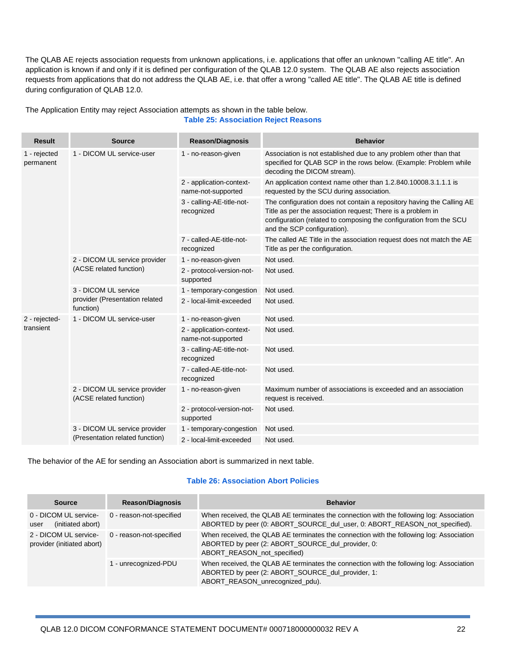The QLAB AE rejects association requests from unknown applications, i.e. applications that offer an unknown "calling AE title". An application is known if and only if it is defined per configuration of the QLAB 12.0 system. The QLAB AE also rejects association requests from applications that do not address the QLAB AE, i.e. that offer a wrong "called AE title". The QLAB AE title is defined during configuration of QLAB 12.0.

| <b>Result</b>             | <b>Source</b>                                            | <b>Reason/Diagnosis</b>                        | <b>Behavior</b>                                                                                                                                                                                                                           |
|---------------------------|----------------------------------------------------------|------------------------------------------------|-------------------------------------------------------------------------------------------------------------------------------------------------------------------------------------------------------------------------------------------|
| 1 - rejected<br>permanent | 1 - DICOM UL service-user                                | 1 - no-reason-given                            | Association is not established due to any problem other than that<br>specified for QLAB SCP in the rows below. (Example: Problem while<br>decoding the DICOM stream).                                                                     |
|                           |                                                          | 2 - application-context-<br>name-not-supported | An application context name other than 1.2.840.10008.3.1.1.1 is<br>requested by the SCU during association.                                                                                                                               |
|                           |                                                          | 3 - calling-AE-title-not-<br>recognized        | The configuration does not contain a repository having the Calling AE<br>Title as per the association request; There is a problem in<br>configuration (related to composing the configuration from the SCU<br>and the SCP configuration). |
|                           |                                                          | 7 - called-AE-title-not-<br>recognized         | The called AE Title in the association request does not match the AE<br>Title as per the configuration.                                                                                                                                   |
|                           | 2 - DICOM UL service provider<br>(ACSE related function) | 1 - no-reason-given                            | Not used.                                                                                                                                                                                                                                 |
|                           |                                                          | 2 - protocol-version-not-<br>supported         | Not used.                                                                                                                                                                                                                                 |
|                           | 3 - DICOM UL service                                     | 1 - temporary-congestion                       | Not used.                                                                                                                                                                                                                                 |
|                           | provider (Presentation related<br>function)              | 2 - local-limit-exceeded                       | Not used.                                                                                                                                                                                                                                 |
| 2 - rejected-             | 1 - DICOM UL service-user                                | 1 - no-reason-given                            | Not used.                                                                                                                                                                                                                                 |
| transient                 |                                                          | 2 - application-context-<br>name-not-supported | Not used.                                                                                                                                                                                                                                 |
|                           |                                                          | 3 - calling-AE-title-not-<br>recognized        | Not used.                                                                                                                                                                                                                                 |
|                           |                                                          | 7 - called-AE-title-not-<br>recognized         | Not used.                                                                                                                                                                                                                                 |
|                           | 2 - DICOM UL service provider<br>(ACSE related function) | 1 - no-reason-given                            | Maximum number of associations is exceeded and an association<br>request is received.                                                                                                                                                     |
|                           |                                                          | 2 - protocol-version-not-<br>supported         | Not used.                                                                                                                                                                                                                                 |
|                           | 3 - DICOM UL service provider                            | 1 - temporary-congestion                       | Not used.                                                                                                                                                                                                                                 |
|                           | (Presentation related function)                          | 2 - local-limit-exceeded                       | Not used.                                                                                                                                                                                                                                 |

#### The Application Entity may reject Association attempts as shown in the table below. **Table 25: Association Reject Reasons**

The behavior of the AE for sending an Association abort is summarized in next table.

#### **Table 26: Association Abort Policies**

| <b>Source</b>                                       | <b>Reason/Diagnosis</b>  | <b>Behavior</b>                                                                                                                                                                  |
|-----------------------------------------------------|--------------------------|----------------------------------------------------------------------------------------------------------------------------------------------------------------------------------|
| 0 - DICOM UL service-<br>(initiated abort)<br>user  | 0 - reason-not-specified | When received, the QLAB AE terminates the connection with the following log: Association<br>ABORTED by peer (0: ABORT_SOURCE_dul_user, 0: ABORT_REASON_not_specified).           |
| 2 - DICOM UL service-<br>provider (initiated abort) | 0 - reason-not-specified | When received, the QLAB AE terminates the connection with the following log: Association<br>ABORTED by peer (2: ABORT_SOURCE_dul_provider, 0:<br>ABORT_REASON_not_specified)     |
|                                                     | 1 - unrecognized-PDU     | When received, the QLAB AE terminates the connection with the following log: Association<br>ABORTED by peer (2: ABORT_SOURCE_dul_provider, 1:<br>ABORT_REASON_unrecognized_pdu). |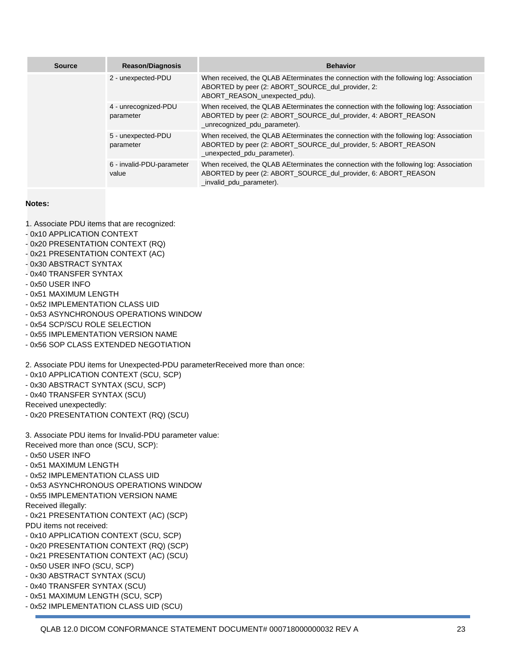| <b>Source</b> | <b>Reason/Diagnosis</b>            | <b>Behavior</b>                                                                                                                                                                            |
|---------------|------------------------------------|--------------------------------------------------------------------------------------------------------------------------------------------------------------------------------------------|
|               | 2 - unexpected-PDU                 | When received, the QLAB AEterminates the connection with the following log: Association<br>ABORTED by peer (2: ABORT_SOURCE_dul_provider, 2:<br>ABORT REASON unexpected pdu).              |
|               | 4 - unrecognized-PDU<br>parameter  | When received, the QLAB AEterminates the connection with the following log: Association<br>ABORTED by peer (2: ABORT_SOURCE_dul_provider, 4: ABORT_REASON<br>_unrecognized_pdu_parameter). |
|               | 5 - unexpected-PDU<br>parameter    | When received, the QLAB AEterminates the connection with the following log: Association<br>ABORTED by peer (2: ABORT_SOURCE_dul_provider, 5: ABORT_REASON<br>_unexpected_pdu_parameter).   |
|               | 6 - invalid-PDU-parameter<br>value | When received, the QLAB AEterminates the connection with the following log: Association<br>ABORTED by peer (2: ABORT SOURCE dul provider, 6: ABORT REASON<br>invalid pdu parameter).       |

#### **Notes:**

1. Associate PDU items that are recognized:

- 0x10 APPLICATION CONTEXT
- 0x20 PRESENTATION CONTEXT (RQ)
- 0x21 PRESENTATION CONTEXT (AC)
- 0x30 ABSTRACT SYNTAX
- 0x40 TRANSFER SYNTAX
- 0x50 USER INFO
- 0x51 MAXIMUM LENGTH
- 0x52 IMPLEMENTATION CLASS UID
- 0x53 ASYNCHRONOUS OPERATIONS WINDOW
- 0x54 SCP/SCU ROLE SELECTION
- 0x55 IMPLEMENTATION VERSION NAME
- 0x56 SOP CLASS EXTENDED NEGOTIATION

2. Associate PDU items for Unexpected-PDU parameterReceived more than once:

- 0x10 APPLICATION CONTEXT (SCU, SCP)
- 0x30 ABSTRACT SYNTAX (SCU, SCP)
- 0x40 TRANSFER SYNTAX (SCU)

Received unexpectedly:

- 0x20 PRESENTATION CONTEXT (RQ) (SCU)
- 3. Associate PDU items for Invalid-PDU parameter value:
- Received more than once (SCU, SCP):
- 0x50 USER INFO
- 0x51 MAXIMUM LENGTH
- 0x52 IMPLEMENTATION CLASS UID
- 0x53 ASYNCHRONOUS OPERATIONS WINDOW
- 0x55 IMPLEMENTATION VERSION NAME
- Received illegally:
- 0x21 PRESENTATION CONTEXT (AC) (SCP)
- PDU items not received:
- 0x10 APPLICATION CONTEXT (SCU, SCP)
- 0x20 PRESENTATION CONTEXT (RQ) (SCP)
- 0x21 PRESENTATION CONTEXT (AC) (SCU)
- 0x50 USER INFO (SCU, SCP)
- 0x30 ABSTRACT SYNTAX (SCU)
- 0x40 TRANSFER SYNTAX (SCU)
- 0x51 MAXIMUM LENGTH (SCU, SCP)
- 0x52 IMPLEMENTATION CLASS UID (SCU)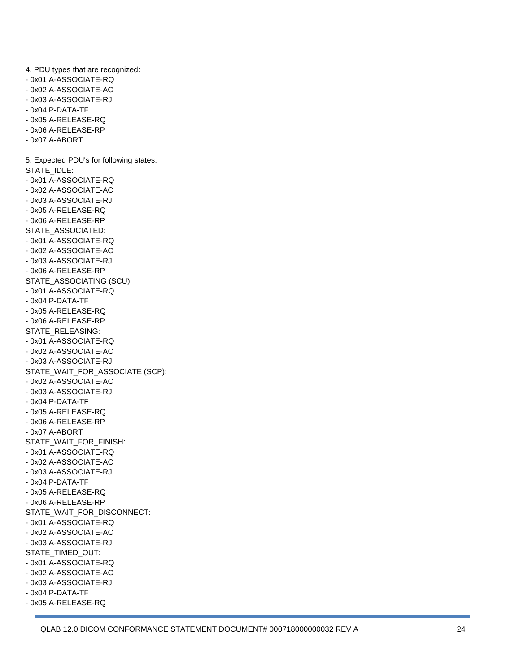4. PDU types that are recognized: - 0x01 A-ASSOCIATE-RQ - 0x02 A-ASSOCIATE-AC - 0x03 A-ASSOCIATE-RJ - 0x04 P-DATA-TF - 0x05 A-RELEASE-RQ - 0x06 A-RELEASE-RP - 0x07 A-ABORT 5. Expected PDU's for following states: STATE\_IDLE: - 0x01 A-ASSOCIATE-RQ - 0x02 A-ASSOCIATE-AC - 0x03 A-ASSOCIATE-RJ - 0x05 A-RELEASE-RQ - 0x06 A-RELEASE-RP STATE\_ASSOCIATED: - 0x01 A-ASSOCIATE-RQ - 0x02 A-ASSOCIATE-AC - 0x03 A-ASSOCIATE-RJ - 0x06 A-RELEASE-RP STATE\_ASSOCIATING (SCU): - 0x01 A-ASSOCIATE-RQ - 0x04 P-DATA-TF - 0x05 A-RELEASE-RQ - 0x06 A-RELEASE-RP STATE\_RELEASING: - 0x01 A-ASSOCIATE-RQ - 0x02 A-ASSOCIATE-AC - 0x03 A-ASSOCIATE-RJ STATE\_WAIT\_FOR\_ASSOCIATE (SCP): - 0x02 A-ASSOCIATE-AC - 0x03 A-ASSOCIATE-RJ - 0x04 P-DATA-TF - 0x05 A-RELEASE-RQ - 0x06 A-RELEASE-RP - 0x07 A-ABORT STATE\_WAIT\_FOR\_FINISH: - 0x01 A-ASSOCIATE-RQ - 0x02 A-ASSOCIATE-AC - 0x03 A-ASSOCIATE-RJ - 0x04 P-DATA-TF - 0x05 A-RELEASE-RQ - 0x06 A-RELEASE-RP STATE\_WAIT\_FOR\_DISCONNECT: - 0x01 A-ASSOCIATE-RQ - 0x02 A-ASSOCIATE-AC - 0x03 A-ASSOCIATE-RJ STATE\_TIMED\_OUT: - 0x01 A-ASSOCIATE-RQ - 0x02 A-ASSOCIATE-AC - 0x03 A-ASSOCIATE-RJ - 0x04 P-DATA-TF - 0x05 A-RELEASE-RQ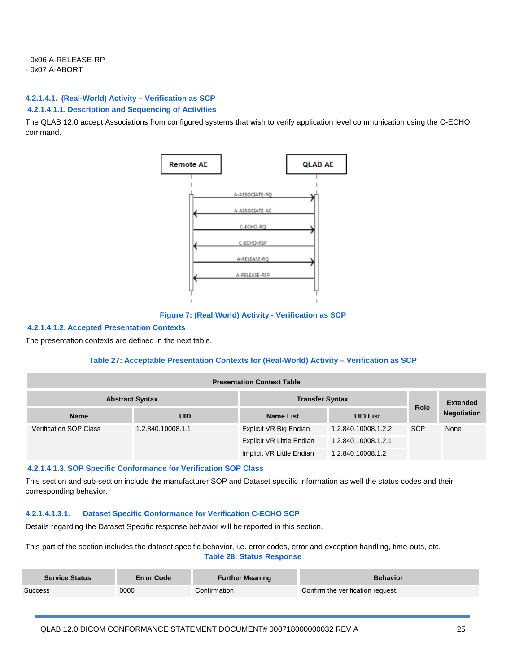#### - 0x07 A-ABORT

### **4.2.1.4.1. (Real-World) Activity – Verification as SCP**

#### **4.2.1.4.1.1. Description and Sequencing of Activities**

The QLAB 12.0 accept Associations from configured systems that wish to verify application level communication using the C-ECHO command.



**Figure 7: (Real World) Activity - Verification as SCP**

#### **4.2.1.4.1.2. Accepted Presentation Contexts**

The presentation contexts are defined in the next table.

#### **Table 27: Acceptable Presentation Contexts for (Real-World) Activity – Verification as SCP**

| <b>Presentation Context Table</b> |                        |                           |                     |                 |                    |  |
|-----------------------------------|------------------------|---------------------------|---------------------|-----------------|--------------------|--|
|                                   | <b>Abstract Syntax</b> | <b>Transfer Syntax</b>    |                     | <b>Extended</b> |                    |  |
| <b>Name</b>                       | <b>UID</b>             | <b>Name List</b>          | <b>UID List</b>     | <b>Role</b>     | <b>Negotiation</b> |  |
| <b>Verification SOP Class</b>     | 1.2.840.10008.1.1      | Explicit VR Big Endian    | 1.2.840.10008.1.2.2 | <b>SCP</b>      | None               |  |
|                                   |                        | Explicit VR Little Endian | 1.2.840.10008.1.2.1 |                 |                    |  |
|                                   |                        | Implicit VR Little Endian | 1.2.840.10008.1.2   |                 |                    |  |

#### **4.2.1.4.1.3. SOP Specific Conformance for Verification SOP Class**

This section and sub-section include the manufacturer SOP and Dataset specific information as well the status codes and their corresponding behavior.

### **4.2.1.4.1.3.1. Dataset Specific Conformance for Verification C-ECHO SCP**

Details regarding the Dataset Specific response behavior will be reported in this section.

This part of the section includes the dataset specific behavior, i.e. error codes, error and exception handling, time-outs, etc. **Table 28: Status Response**

| <b>Service Status</b> | <b>Error Code</b> | <b>Further Meaning</b> | <b>Behavior</b>                   |
|-----------------------|-------------------|------------------------|-----------------------------------|
| Success               | 0000              | Confirmation           | Confirm the verification request. |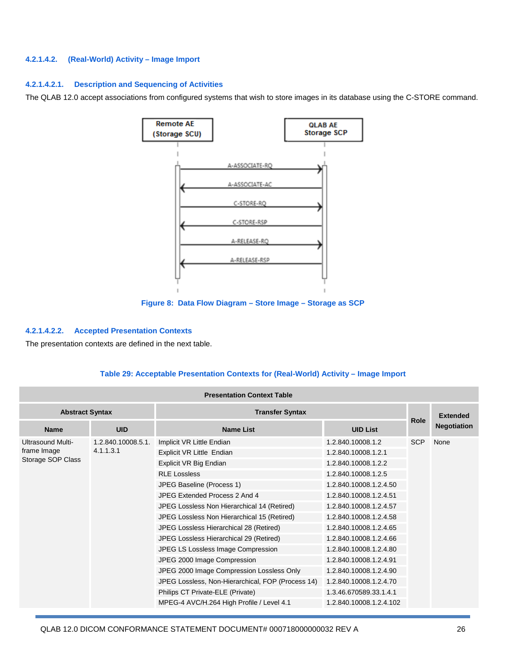#### **4.2.1.4.2. (Real-World) Activity – Image Import**

#### **4.2.1.4.2.1. Description and Sequencing of Activities**

The QLAB 12.0 accept associations from configured systems that wish to store images in its database using the C-STORE command.



**Figure 8: Data Flow Diagram – Store Image – Storage as SCP**

#### **4.2.1.4.2.2. Accepted Presentation Contexts**

The presentation contexts are defined in the next table.

#### **Table 29: Acceptable Presentation Contexts for (Real-World) Activity – Image Import**

| <b>Presentation Context Table</b>                |                    |                                                   |                         |             |                    |  |  |
|--------------------------------------------------|--------------------|---------------------------------------------------|-------------------------|-------------|--------------------|--|--|
| <b>Abstract Syntax</b><br><b>Transfer Syntax</b> |                    |                                                   |                         |             | <b>Extended</b>    |  |  |
| <b>Name</b>                                      | <b>UID</b>         | <b>Name List</b>                                  | <b>UID List</b>         | <b>Role</b> | <b>Negotiation</b> |  |  |
| Ultrasound Multi-<br>4.1.1.3.1<br>frame Image    | 1.2.840.10008.5.1. | Implicit VR Little Endian                         | 1.2.840.10008.1.2       | <b>SCP</b>  | None               |  |  |
|                                                  |                    | Explicit VR Little Endian                         | 1.2.840.10008.1.2.1     |             |                    |  |  |
| Storage SOP Class                                |                    | Explicit VR Big Endian                            | 1.2.840.10008.1.2.2     |             |                    |  |  |
|                                                  |                    | <b>RLE Lossless</b>                               | 1.2.840.10008.1.2.5     |             |                    |  |  |
|                                                  |                    | JPEG Baseline (Process 1)                         | 1.2.840.10008.1.2.4.50  |             |                    |  |  |
|                                                  |                    | JPEG Extended Process 2 And 4                     | 1.2.840.10008.1.2.4.51  |             |                    |  |  |
|                                                  |                    | JPEG Lossless Non Hierarchical 14 (Retired)       | 1.2.840.10008.1.2.4.57  |             |                    |  |  |
|                                                  |                    | JPEG Lossless Non Hierarchical 15 (Retired)       | 1.2.840.10008.1.2.4.58  |             |                    |  |  |
|                                                  |                    | JPEG Lossless Hierarchical 28 (Retired)           | 1.2.840.10008.1.2.4.65  |             |                    |  |  |
|                                                  |                    | JPEG Lossless Hierarchical 29 (Retired)           | 1.2.840.10008.1.2.4.66  |             |                    |  |  |
|                                                  |                    | JPEG LS Lossless Image Compression                | 1.2.840.10008.1.2.4.80  |             |                    |  |  |
|                                                  |                    | JPEG 2000 Image Compression                       | 1.2.840.10008.1.2.4.91  |             |                    |  |  |
|                                                  |                    | JPEG 2000 Image Compression Lossless Only         | 1.2.840.10008.1.2.4.90  |             |                    |  |  |
|                                                  |                    | JPEG Lossless, Non-Hierarchical, FOP (Process 14) | 1.2.840.10008.1.2.4.70  |             |                    |  |  |
|                                                  |                    | Philips CT Private-ELE (Private)                  | 1.3.46.670589.33.1.4.1  |             |                    |  |  |
|                                                  |                    | MPEG-4 AVC/H.264 High Profile / Level 4.1         | 1.2.840.10008.1.2.4.102 |             |                    |  |  |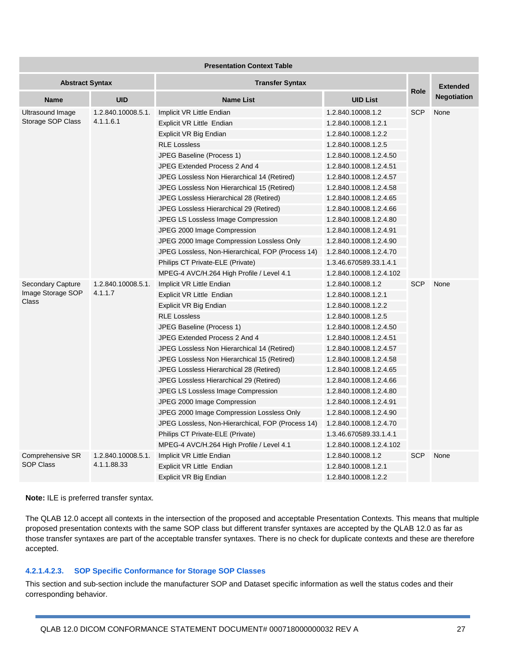| <b>Presentation Context Table</b> |                               |                                                   |                         |            |                    |  |
|-----------------------------------|-------------------------------|---------------------------------------------------|-------------------------|------------|--------------------|--|
| <b>Abstract Syntax</b>            |                               | <b>Transfer Syntax</b>                            |                         |            | <b>Extended</b>    |  |
| <b>Name</b>                       | <b>UID</b>                    | <b>Name List</b>                                  | <b>UID List</b>         | Role       | <b>Negotiation</b> |  |
| Ultrasound Image                  | 1.2.840.10008.5.1.            | Implicit VR Little Endian                         | 1.2.840.10008.1.2       | <b>SCP</b> | None               |  |
| Storage SOP Class                 | 4.1.1.6.1                     | Explicit VR Little Endian                         | 1.2.840.10008.1.2.1     |            |                    |  |
|                                   |                               | Explicit VR Big Endian                            | 1.2.840.10008.1.2.2     |            |                    |  |
|                                   |                               | <b>RLE Lossless</b>                               | 1.2.840.10008.1.2.5     |            |                    |  |
|                                   |                               | JPEG Baseline (Process 1)                         | 1.2.840.10008.1.2.4.50  |            |                    |  |
|                                   |                               | JPEG Extended Process 2 And 4                     | 1.2.840.10008.1.2.4.51  |            |                    |  |
|                                   |                               | JPEG Lossless Non Hierarchical 14 (Retired)       | 1.2.840.10008.1.2.4.57  |            |                    |  |
|                                   |                               | JPEG Lossless Non Hierarchical 15 (Retired)       | 1.2.840.10008.1.2.4.58  |            |                    |  |
|                                   |                               | JPEG Lossless Hierarchical 28 (Retired)           | 1.2.840.10008.1.2.4.65  |            |                    |  |
|                                   |                               | JPEG Lossless Hierarchical 29 (Retired)           | 1.2.840.10008.1.2.4.66  |            |                    |  |
|                                   |                               | JPEG LS Lossless Image Compression                | 1.2.840.10008.1.2.4.80  |            |                    |  |
|                                   |                               | JPEG 2000 Image Compression                       | 1.2.840.10008.1.2.4.91  |            |                    |  |
|                                   |                               | JPEG 2000 Image Compression Lossless Only         | 1.2.840.10008.1.2.4.90  |            |                    |  |
|                                   |                               | JPEG Lossless, Non-Hierarchical, FOP (Process 14) | 1.2.840.10008.1.2.4.70  |            |                    |  |
|                                   |                               | Philips CT Private-ELE (Private)                  | 1.3.46.670589.33.1.4.1  |            |                    |  |
|                                   |                               | MPEG-4 AVC/H.264 High Profile / Level 4.1         | 1.2.840.10008.1.2.4.102 |            |                    |  |
| Secondary Capture                 | 1.2.840.10008.5.1.<br>4.1.1.7 | Implicit VR Little Endian                         | 1.2.840.10008.1.2       | <b>SCP</b> | None               |  |
| Image Storage SOP                 |                               | Explicit VR Little Endian                         | 1.2.840.10008.1.2.1     |            |                    |  |
| Class                             |                               | Explicit VR Big Endian                            | 1.2.840.10008.1.2.2     |            |                    |  |
|                                   |                               | <b>RLE Lossless</b>                               | 1.2.840.10008.1.2.5     |            |                    |  |
|                                   |                               | JPEG Baseline (Process 1)                         | 1.2.840.10008.1.2.4.50  |            |                    |  |
|                                   |                               | JPEG Extended Process 2 And 4                     | 1.2.840.10008.1.2.4.51  |            |                    |  |
|                                   |                               | JPEG Lossless Non Hierarchical 14 (Retired)       | 1.2.840.10008.1.2.4.57  |            |                    |  |
|                                   |                               | JPEG Lossless Non Hierarchical 15 (Retired)       | 1.2.840.10008.1.2.4.58  |            |                    |  |
|                                   |                               | JPEG Lossless Hierarchical 28 (Retired)           | 1.2.840.10008.1.2.4.65  |            |                    |  |
|                                   |                               | JPEG Lossless Hierarchical 29 (Retired)           | 1.2.840.10008.1.2.4.66  |            |                    |  |
|                                   |                               | JPEG LS Lossless Image Compression                | 1.2.840.10008.1.2.4.80  |            |                    |  |
|                                   |                               | JPEG 2000 Image Compression                       | 1.2.840.10008.1.2.4.91  |            |                    |  |
|                                   |                               | JPEG 2000 Image Compression Lossless Only         | 1.2.840.10008.1.2.4.90  |            |                    |  |
|                                   |                               | JPEG Lossless, Non-Hierarchical, FOP (Process 14) | 1.2.840.10008.1.2.4.70  |            |                    |  |
|                                   |                               | Philips CT Private-ELE (Private)                  | 1.3.46.670589.33.1.4.1  |            |                    |  |
|                                   |                               | MPEG-4 AVC/H.264 High Profile / Level 4.1         | 1.2.840.10008.1.2.4.102 |            |                    |  |
| Comprehensive SR                  | 1.2.840.10008.5.1.            | Implicit VR Little Endian                         | 1.2.840.10008.1.2       | <b>SCP</b> | None               |  |
| <b>SOP Class</b>                  | 4.1.1.88.33                   | Explicit VR Little Endian                         | 1.2.840.10008.1.2.1     |            |                    |  |
|                                   |                               | Explicit VR Big Endian                            | 1.2.840.10008.1.2.2     |            |                    |  |

**Note:** ILE is preferred transfer syntax.

The QLAB 12.0 accept all contexts in the intersection of the proposed and acceptable Presentation Contexts. This means that multiple proposed presentation contexts with the same SOP class but different transfer syntaxes are accepted by the QLAB 12.0 as far as those transfer syntaxes are part of the acceptable transfer syntaxes. There is no check for duplicate contexts and these are therefore accepted.

#### **4.2.1.4.2.3. SOP Specific Conformance for Storage SOP Classes**

This section and sub-section include the manufacturer SOP and Dataset specific information as well the status codes and their corresponding behavior.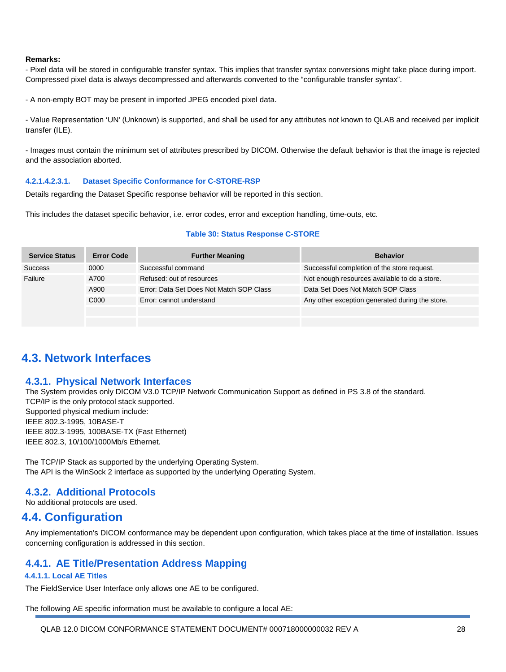#### **Remarks:**

- Pixel data will be stored in configurable transfer syntax. This implies that transfer syntax conversions might take place during import. Compressed pixel data is always decompressed and afterwards converted to the "configurable transfer syntax".

- A non-empty BOT may be present in imported JPEG encoded pixel data.

- Value Representation 'UN' (Unknown) is supported, and shall be used for any attributes not known to QLAB and received per implicit transfer (ILE).

- Images must contain the minimum set of attributes prescribed by DICOM. Otherwise the default behavior is that the image is rejected and the association aborted.

#### **4.2.1.4.2.3.1. Dataset Specific Conformance for C-STORE-RSP**

Details regarding the Dataset Specific response behavior will be reported in this section.

This includes the dataset specific behavior, i.e. error codes, error and exception handling, time-outs, etc.

#### **Table 30: Status Response C-STORE**

| <b>Service Status</b> | <b>Error Code</b> | <b>Further Meaning</b>                   | <b>Behavior</b>                                 |
|-----------------------|-------------------|------------------------------------------|-------------------------------------------------|
| <b>Success</b>        | 0000              | Successful command                       | Successful completion of the store request.     |
| Failure               | A700              | Refused: out of resources                | Not enough resources available to do a store.   |
|                       | A900              | Error: Data Set Does Not Match SOP Class | Data Set Does Not Match SOP Class               |
|                       | C <sub>000</sub>  | Error: cannot understand                 | Any other exception generated during the store. |
|                       |                   |                                          |                                                 |

## **4.3. Network Interfaces**

#### **4.3.1. Physical Network Interfaces**

The System provides only DICOM V3.0 TCP/IP Network Communication Support as defined in PS 3.8 of the standard. TCP/IP is the only protocol stack supported. Supported physical medium include: IEEE 802.3-1995, 10BASE-T IEEE 802.3-1995, 100BASE-TX (Fast Ethernet) IEEE 802.3, 10/100/1000Mb/s Ethernet.

The TCP/IP Stack as supported by the underlying Operating System. The API is the WinSock 2 interface as supported by the underlying Operating System.

#### **4.3.2. Additional Protocols**

No additional protocols are used.

## **4.4. Configuration**

Any implementation's DICOM conformance may be dependent upon configuration, which takes place at the time of installation. Issues concerning configuration is addressed in this section.

### **4.4.1. AE Title/Presentation Address Mapping**

#### **4.4.1.1. Local AE Titles**

The FieldService User Interface only allows one AE to be configured.

The following AE specific information must be available to configure a local AE:

QLAB 12.0 DICOM CONFORMANCE STATEMENT DOCUMENT# 000718000000032 REV A 28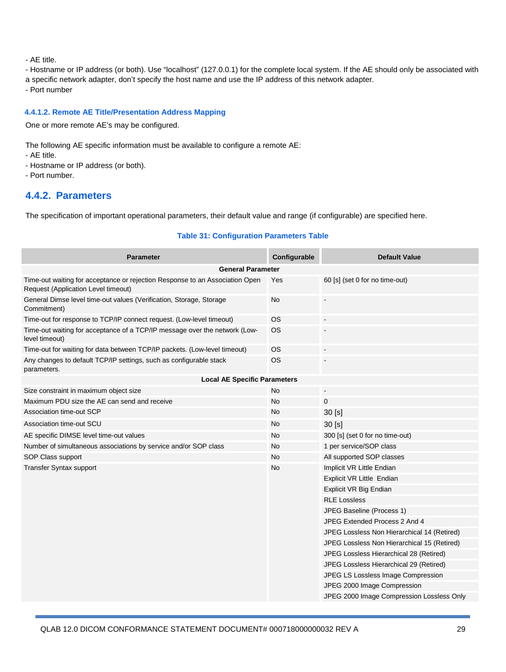- AE title.

- Hostname or IP address (or both). Use "localhost" (127.0.0.1) for the complete local system. If the AE should only be associated with
- a specific network adapter, don't specify the host name and use the IP address of this network adapter.
- Port number

#### **4.4.1.2. Remote AE Title/Presentation Address Mapping**

One or more remote AE's may be configured.

The following AE specific information must be available to configure a remote AE:

- AE title.
- Hostname or IP address (or both).
- Port number.

### **4.4.2. Parameters**

The specification of important operational parameters, their default value and range (if configurable) are specified here.

#### **Table 31: Configuration Parameters Table**

| <b>Parameter</b>                                                                                                    | Configurable | <b>Default Value</b>                        |  |  |  |
|---------------------------------------------------------------------------------------------------------------------|--------------|---------------------------------------------|--|--|--|
| <b>General Parameter</b>                                                                                            |              |                                             |  |  |  |
| Time-out waiting for acceptance or rejection Response to an Association Open<br>Request (Application Level timeout) | Yes          | 60 [s] (set 0 for no time-out)              |  |  |  |
| General Dimse level time-out values (Verification, Storage, Storage<br>Commitment)                                  | <b>No</b>    |                                             |  |  |  |
| Time-out for response to TCP/IP connect request. (Low-level timeout)                                                | <b>OS</b>    | $\blacksquare$                              |  |  |  |
| Time-out waiting for acceptance of a TCP/IP message over the network (Low-<br>level timeout)                        | OS.          |                                             |  |  |  |
| Time-out for waiting for data between TCP/IP packets. (Low-level timeout)                                           | <b>OS</b>    | $\overline{\phantom{a}}$                    |  |  |  |
| Any changes to default TCP/IP settings, such as configurable stack<br>parameters.                                   | <b>OS</b>    | $\blacksquare$                              |  |  |  |
| <b>Local AE Specific Parameters</b>                                                                                 |              |                                             |  |  |  |
| Size constraint in maximum object size                                                                              | <b>No</b>    |                                             |  |  |  |
| Maximum PDU size the AE can send and receive                                                                        | <b>No</b>    | $\mathbf 0$                                 |  |  |  |
| Association time-out SCP                                                                                            | No           | 30 [s]                                      |  |  |  |
| Association time-out SCU                                                                                            | <b>No</b>    | 30 [s]                                      |  |  |  |
| AE specific DIMSE level time-out values                                                                             | <b>No</b>    | 300 [s] (set 0 for no time-out)             |  |  |  |
| Number of simultaneous associations by service and/or SOP class                                                     | <b>No</b>    | 1 per service/SOP class                     |  |  |  |
| SOP Class support                                                                                                   | <b>No</b>    | All supported SOP classes                   |  |  |  |
| Transfer Syntax support                                                                                             | <b>No</b>    | Implicit VR Little Endian                   |  |  |  |
|                                                                                                                     |              | Explicit VR Little Endian                   |  |  |  |
|                                                                                                                     |              | Explicit VR Big Endian                      |  |  |  |
|                                                                                                                     |              | <b>RLE Lossless</b>                         |  |  |  |
|                                                                                                                     |              | JPEG Baseline (Process 1)                   |  |  |  |
|                                                                                                                     |              | JPEG Extended Process 2 And 4               |  |  |  |
|                                                                                                                     |              | JPEG Lossless Non Hierarchical 14 (Retired) |  |  |  |
|                                                                                                                     |              | JPEG Lossless Non Hierarchical 15 (Retired) |  |  |  |
|                                                                                                                     |              | JPEG Lossless Hierarchical 28 (Retired)     |  |  |  |
|                                                                                                                     |              | JPEG Lossless Hierarchical 29 (Retired)     |  |  |  |
|                                                                                                                     |              | JPEG LS Lossless Image Compression          |  |  |  |
|                                                                                                                     |              | JPEG 2000 Image Compression                 |  |  |  |
|                                                                                                                     |              | JPEG 2000 Image Compression Lossless Only   |  |  |  |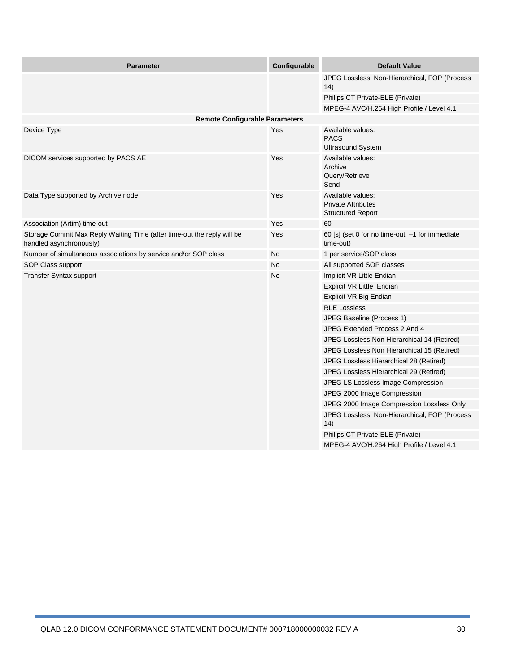| <b>Parameter</b>                                                                                   | Configurable | <b>Default Value</b>                                                       |
|----------------------------------------------------------------------------------------------------|--------------|----------------------------------------------------------------------------|
|                                                                                                    |              | JPEG Lossless, Non-Hierarchical, FOP (Process<br>14)                       |
|                                                                                                    |              | Philips CT Private-ELE (Private)                                           |
|                                                                                                    |              | MPEG-4 AVC/H.264 High Profile / Level 4.1                                  |
| <b>Remote Configurable Parameters</b>                                                              |              |                                                                            |
| Device Type                                                                                        | Yes          | Available values:<br><b>PACS</b><br><b>Ultrasound System</b>               |
| DICOM services supported by PACS AE                                                                | Yes          | Available values:<br>Archive<br>Query/Retrieve<br>Send                     |
| Data Type supported by Archive node                                                                | Yes          | Available values:<br><b>Private Attributes</b><br><b>Structured Report</b> |
| Association (Artim) time-out                                                                       | Yes          | 60                                                                         |
| Storage Commit Max Reply Waiting Time (after time-out the reply will be<br>handled asynchronously) | Yes          | 60 [s] (set 0 for no time-out, -1 for immediate<br>time-out)               |
| Number of simultaneous associations by service and/or SOP class                                    | No           | 1 per service/SOP class                                                    |
| SOP Class support                                                                                  | No           | All supported SOP classes                                                  |
| <b>Transfer Syntax support</b>                                                                     | No           | Implicit VR Little Endian                                                  |
|                                                                                                    |              | Explicit VR Little Endian                                                  |
|                                                                                                    |              | Explicit VR Big Endian                                                     |
|                                                                                                    |              | <b>RLE Lossless</b>                                                        |
|                                                                                                    |              | JPEG Baseline (Process 1)                                                  |
|                                                                                                    |              | JPEG Extended Process 2 And 4                                              |
|                                                                                                    |              | JPEG Lossless Non Hierarchical 14 (Retired)                                |
|                                                                                                    |              | JPEG Lossless Non Hierarchical 15 (Retired)                                |
|                                                                                                    |              | JPEG Lossless Hierarchical 28 (Retired)                                    |
|                                                                                                    |              | JPEG Lossless Hierarchical 29 (Retired)                                    |
|                                                                                                    |              | JPEG LS Lossless Image Compression                                         |
|                                                                                                    |              | JPEG 2000 Image Compression                                                |
|                                                                                                    |              | JPEG 2000 Image Compression Lossless Only                                  |
|                                                                                                    |              | JPEG Lossless, Non-Hierarchical, FOP (Process<br>14)                       |
|                                                                                                    |              | Philips CT Private-ELE (Private)                                           |
|                                                                                                    |              | MPEG-4 AVC/H.264 High Profile / Level 4.1                                  |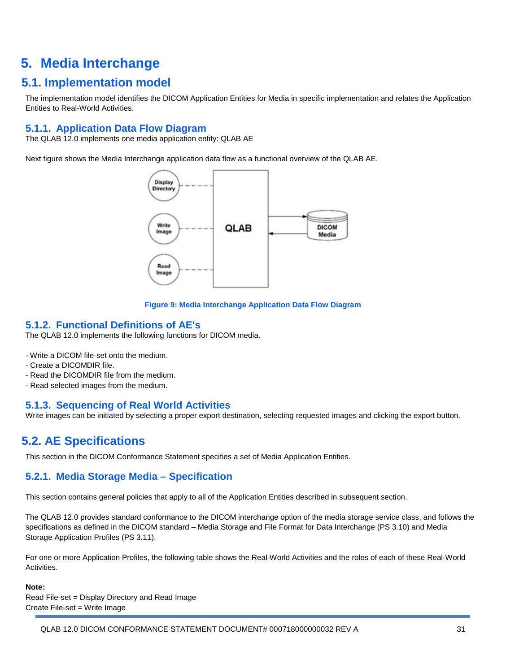## **5. Media Interchange**

## **5.1. Implementation model**

The implementation model identifies the DICOM Application Entities for Media in specific implementation and relates the Application Entities to Real-World Activities.

## **5.1.1. Application Data Flow Diagram**

The QLAB 12.0 implements one media application entity: QLAB AE

Next figure shows the Media Interchange application data flow as a functional overview of the QLAB AE.





### **5.1.2. Functional Definitions of AE's**

The QLAB 12.0 implements the following functions for DICOM media.

- Write a DICOM file-set onto the medium.
- Create a DICOMDIR file.
- Read the DICOMDIR file from the medium.
- Read selected images from the medium.

### **5.1.3. Sequencing of Real World Activities**

Write images can be initiated by selecting a proper export destination, selecting requested images and clicking the export button.

## **5.2. AE Specifications**

This section in the DICOM Conformance Statement specifies a set of Media Application Entities.

## **5.2.1. Media Storage Media – Specification**

This section contains general policies that apply to all of the Application Entities described in subsequent section.

The QLAB 12.0 provides standard conformance to the DICOM interchange option of the media storage service class, and follows the specifications as defined in the DICOM standard – Media Storage and File Format for Data Interchange (PS 3.10) and Media Storage Application Profiles (PS 3.11).

For one or more Application Profiles, the following table shows the Real-World Activities and the roles of each of these Real-World Activities.

#### **Note:**

Read File-set = Display Directory and Read Image Create File-set = Write Image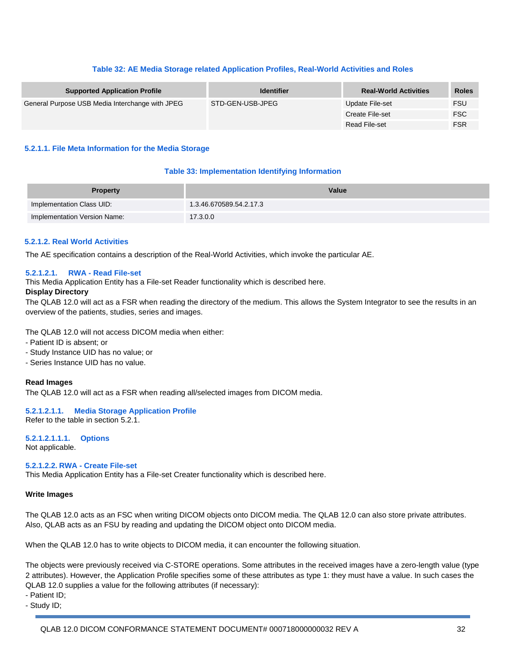#### **Table 32: AE Media Storage related Application Profiles, Real-World Activities and Roles**

| <b>Supported Application Profile</b>            | <b>Identifier</b> | <b>Real-World Activities</b> | <b>Roles</b> |
|-------------------------------------------------|-------------------|------------------------------|--------------|
| General Purpose USB Media Interchange with JPEG | STD-GEN-USB-JPEG  | Update File-set              | <b>FSU</b>   |
|                                                 |                   | Create File-set              | <b>FSC</b>   |
|                                                 |                   | Read File-set                | <b>FSR</b>   |

#### **5.2.1.1. File Meta Information for the Media Storage**

#### **Table 33: Implementation Identifying Information**

| <b>Property</b>              | Value                   |
|------------------------------|-------------------------|
| Implementation Class UID:    | 1.3.46.670589.54.2.17.3 |
| Implementation Version Name: | 17.3.0.0                |

#### **5.2.1.2. Real World Activities**

The AE specification contains a description of the Real-World Activities, which invoke the particular AE.

#### **5.2.1.2.1. RWA - Read File-set**

This Media Application Entity has a File-set Reader functionality which is described here.

#### **Display Directory**

The QLAB 12.0 will act as a FSR when reading the directory of the medium. This allows the System Integrator to see the results in an overview of the patients, studies, series and images.

The QLAB 12.0 will not access DICOM media when either:

- Patient ID is absent; or
- Study Instance UID has no value; or
- Series Instance UID has no value.

#### **Read Images**

The QLAB 12.0 will act as a FSR when reading all/selected images from DICOM media.

**5.2.1.2.1.1. Media Storage Application Profile** Refer to the table in section 5.2.1.

**5.2.1.2.1.1.1. Options** Not applicable.

**5.2.1.2.2. RWA - Create File-set**

This Media Application Entity has a File-set Creater functionality which is described here.

#### **Write Images**

The QLAB 12.0 acts as an FSC when writing DICOM objects onto DICOM media. The QLAB 12.0 can also store private attributes. Also, QLAB acts as an FSU by reading and updating the DICOM object onto DICOM media.

When the QLAB 12.0 has to write objects to DICOM media, it can encounter the following situation.

The objects were previously received via C-STORE operations. Some attributes in the received images have a zero-length value (type 2 attributes). However, the Application Profile specifies some of these attributes as type 1: they must have a value. In such cases the QLAB 12.0 supplies a value for the following attributes (if necessary):

- Patient ID;

- Study ID;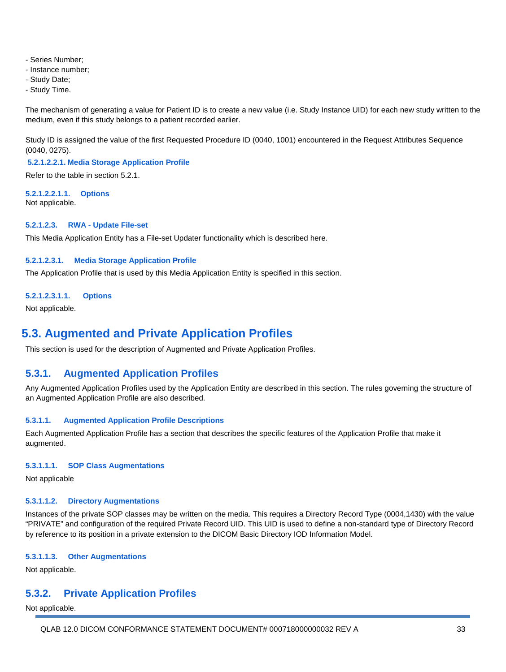- Series Number;
- Instance number;
- Study Date;
- Study Time.

The mechanism of generating a value for Patient ID is to create a new value (i.e. Study Instance UID) for each new study written to the medium, even if this study belongs to a patient recorded earlier.

Study ID is assigned the value of the first Requested Procedure ID (0040, 1001) encountered in the Request Attributes Sequence (0040, 0275).

**5.2.1.2.2.1. Media Storage Application Profile**

Refer to the table in section 5.2.1.

**5.2.1.2.2.1.1. Options** Not applicable.

#### **5.2.1.2.3. RWA - Update File-set**

This Media Application Entity has a File-set Updater functionality which is described here.

#### **5.2.1.2.3.1. Media Storage Application Profile**

The Application Profile that is used by this Media Application Entity is specified in this section.

#### **5.2.1.2.3.1.1. Options**

Not applicable.

## **5.3. Augmented and Private Application Profiles**

This section is used for the description of Augmented and Private Application Profiles.

#### **5.3.1. Augmented Application Profiles**

Any Augmented Application Profiles used by the Application Entity are described in this section. The rules governing the structure of an Augmented Application Profile are also described.

#### **5.3.1.1. Augmented Application Profile Descriptions**

Each Augmented Application Profile has a section that describes the specific features of the Application Profile that make it augmented.

#### **5.3.1.1.1. SOP Class Augmentations**

Not applicable

#### **5.3.1.1.2. Directory Augmentations**

Instances of the private SOP classes may be written on the media. This requires a Directory Record Type (0004,1430) with the value "PRIVATE" and configuration of the required Private Record UID. This UID is used to define a non-standard type of Directory Record by reference to its position in a private extension to the DICOM Basic Directory IOD Information Model.

#### **5.3.1.1.3. Other Augmentations**

Not applicable.

#### **5.3.2. Private Application Profiles**

Not applicable.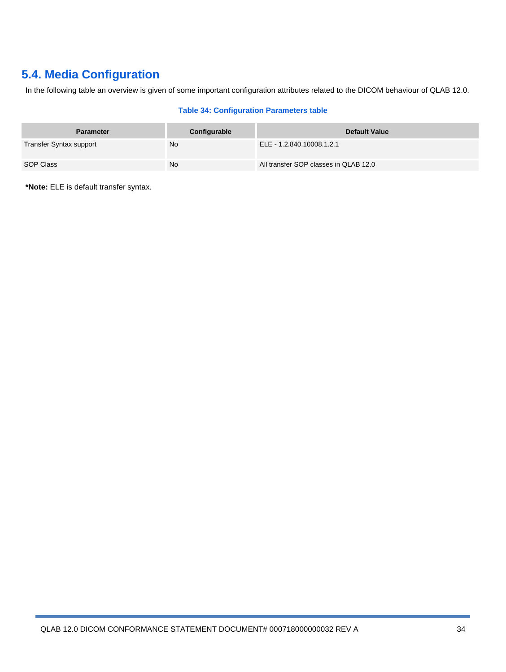## **5.4. Media Configuration**

In the following table an overview is given of some important configuration attributes related to the DICOM behaviour of QLAB 12.0.

#### **Table 34: Configuration Parameters table**

| <b>Parameter</b>        | Configurable | Default Value                         |
|-------------------------|--------------|---------------------------------------|
| Transfer Syntax support | <b>No</b>    | ELE - 1.2.840.10008.1.2.1             |
| SOP Class               | <b>No</b>    | All transfer SOP classes in QLAB 12.0 |

**\*Note:** ELE is default transfer syntax.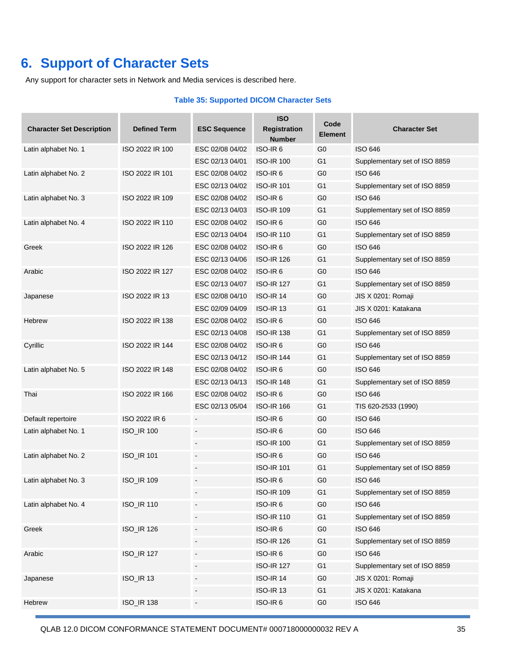## **6. Support of Character Sets**

Any support for character sets in Network and Media services is described here.

#### **Table 35: Supported DICOM Character Sets**

| <b>Character Set Description</b> | <b>Defined Term</b> | <b>ESC Sequence</b>          | <b>ISO</b><br><b>Registration</b><br><b>Number</b> | Code<br><b>Element</b> | <b>Character Set</b>          |
|----------------------------------|---------------------|------------------------------|----------------------------------------------------|------------------------|-------------------------------|
| Latin alphabet No. 1             | ISO 2022 IR 100     | ESC 02/08 04/02              | ISO-IR <sub>6</sub>                                | G <sub>0</sub>         | <b>ISO 646</b>                |
|                                  |                     | ESC 02/13 04/01              | <b>ISO-IR 100</b>                                  | G1                     | Supplementary set of ISO 8859 |
| Latin alphabet No. 2             | ISO 2022 IR 101     | ESC 02/08 04/02              | ISO-IR <sub>6</sub>                                | G0                     | <b>ISO 646</b>                |
|                                  |                     | ESC 02/13 04/02              | <b>ISO-IR 101</b>                                  | G <sub>1</sub>         | Supplementary set of ISO 8859 |
| Latin alphabet No. 3             | ISO 2022 IR 109     | ESC 02/08 04/02              | ISO-IR <sub>6</sub>                                | G <sub>0</sub>         | <b>ISO 646</b>                |
|                                  |                     | ESC 02/13 04/03              | <b>ISO-IR 109</b>                                  | G <sub>1</sub>         | Supplementary set of ISO 8859 |
| Latin alphabet No. 4             | ISO 2022 IR 110     | ESC 02/08 04/02              | ISO-IR <sub>6</sub>                                | G <sub>0</sub>         | <b>ISO 646</b>                |
|                                  |                     | ESC 02/13 04/04              | <b>ISO-IR 110</b>                                  | G <sub>1</sub>         | Supplementary set of ISO 8859 |
| Greek                            | ISO 2022 IR 126     | ESC 02/08 04/02              | ISO-IR <sub>6</sub>                                | G0                     | <b>ISO 646</b>                |
|                                  |                     | ESC 02/13 04/06              | <b>ISO-IR 126</b>                                  | G <sub>1</sub>         | Supplementary set of ISO 8859 |
| Arabic                           | ISO 2022 IR 127     | ESC 02/08 04/02              | ISO-IR <sub>6</sub>                                | G <sub>0</sub>         | <b>ISO 646</b>                |
|                                  |                     | ESC 02/13 04/07              | <b>ISO-IR 127</b>                                  | G1                     | Supplementary set of ISO 8859 |
| Japanese                         | ISO 2022 IR 13      | ESC 02/08 04/10              | <b>ISO-IR 14</b>                                   | G <sub>0</sub>         | JIS X 0201: Romaji            |
|                                  |                     | ESC 02/09 04/09              | <b>ISO-IR 13</b>                                   | G <sub>1</sub>         | JIS X 0201: Katakana          |
| Hebrew                           | ISO 2022 IR 138     | ESC 02/08 04/02              | ISO-IR <sub>6</sub>                                | G <sub>0</sub>         | <b>ISO 646</b>                |
|                                  |                     | ESC 02/13 04/08              | <b>ISO-IR 138</b>                                  | G <sub>1</sub>         | Supplementary set of ISO 8859 |
| Cyrillic                         | ISO 2022 IR 144     | ESC 02/08 04/02              | ISO-IR <sub>6</sub>                                | G <sub>0</sub>         | <b>ISO 646</b>                |
|                                  |                     | ESC 02/13 04/12              | <b>ISO-IR 144</b>                                  | G1                     | Supplementary set of ISO 8859 |
| Latin alphabet No. 5             | ISO 2022 IR 148     | ESC 02/08 04/02              | ISO-IR <sub>6</sub>                                | G0                     | <b>ISO 646</b>                |
|                                  |                     | ESC 02/13 04/13              | <b>ISO-IR 148</b>                                  | G <sub>1</sub>         | Supplementary set of ISO 8859 |
| Thai                             | ISO 2022 IR 166     | ESC 02/08 04/02              | ISO-IR <sub>6</sub>                                | G <sub>0</sub>         | <b>ISO 646</b>                |
|                                  |                     | ESC 02/13 05/04              | <b>ISO-IR 166</b>                                  | G <sub>1</sub>         | TIS 620-2533 (1990)           |
| Default repertoire               | ISO 2022 IR 6       |                              | ISO-IR <sub>6</sub>                                | G <sub>0</sub>         | <b>ISO 646</b>                |
| Latin alphabet No. 1             | <b>ISO_IR 100</b>   | $\blacksquare$               | ISO-IR <sub>6</sub>                                | G <sub>0</sub>         | <b>ISO 646</b>                |
|                                  |                     |                              | <b>ISO-IR 100</b>                                  | G <sub>1</sub>         | Supplementary set of ISO 8859 |
| Latin alphabet No. 2             | ISO_IR 101          | $\qquad \qquad \blacksquare$ | ISO-IR <sub>6</sub>                                | G <sub>0</sub>         | <b>ISO 646</b>                |
|                                  |                     | $\overline{\phantom{a}}$     | <b>ISO-IR 101</b>                                  | G <sub>1</sub>         | Supplementary set of ISO 8859 |
| Latin alphabet No. 3             | <b>ISO_IR 109</b>   |                              | ISO-IR <sub>6</sub>                                | G <sub>0</sub>         | <b>ISO 646</b>                |
|                                  |                     |                              | <b>ISO-IR 109</b>                                  | G <sub>1</sub>         | Supplementary set of ISO 8859 |
| Latin alphabet No. 4             | ISO_IR 110          |                              | ISO-IR6                                            | G <sub>0</sub>         | <b>ISO 646</b>                |
|                                  |                     | $\overline{\phantom{a}}$     | <b>ISO-IR 110</b>                                  | G <sub>1</sub>         | Supplementary set of ISO 8859 |
| Greek                            | ISO_IR 126          | $\overline{\phantom{a}}$     | ISO-IR <sub>6</sub>                                | G <sub>0</sub>         | <b>ISO 646</b>                |
|                                  |                     |                              | <b>ISO-IR 126</b>                                  | G <sub>1</sub>         | Supplementary set of ISO 8859 |
| Arabic                           | ISO_IR 127          |                              | ISO-IR6                                            | G <sub>0</sub>         | <b>ISO 646</b>                |
|                                  |                     |                              | <b>ISO-IR 127</b>                                  | G <sub>1</sub>         | Supplementary set of ISO 8859 |
| Japanese                         | <b>ISO_IR 13</b>    | $\overline{\phantom{a}}$     | <b>ISO-IR 14</b>                                   | G <sub>0</sub>         | JIS X 0201: Romaji            |
|                                  |                     | $\blacksquare$               | <b>ISO-IR 13</b>                                   | G <sub>1</sub>         | JIS X 0201: Katakana          |
| Hebrew                           | <b>ISO_IR 138</b>   | $\overline{\phantom{a}}$     | ISO-IR <sub>6</sub>                                | G <sub>0</sub>         | <b>ISO 646</b>                |
|                                  |                     |                              |                                                    |                        |                               |

QLAB 12.0 DICOM CONFORMANCE STATEMENT DOCUMENT# 000718000000032 REV A 35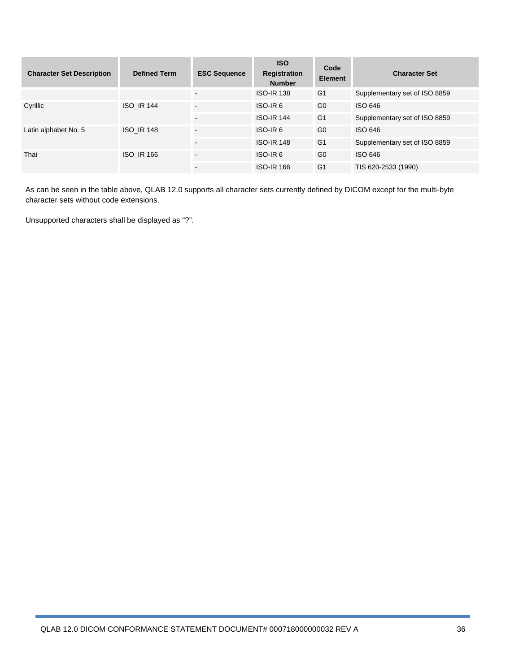| <b>Character Set Description</b> | <b>Defined Term</b> | <b>ESC Sequence</b>      | <b>ISO</b><br>Registration<br><b>Number</b> | Code<br><b>Element</b> | <b>Character Set</b>          |
|----------------------------------|---------------------|--------------------------|---------------------------------------------|------------------------|-------------------------------|
|                                  |                     | ۰                        | <b>ISO-IR 138</b>                           | G <sub>1</sub>         | Supplementary set of ISO 8859 |
| Cyrillic                         | <b>ISO IR 144</b>   | $\overline{\phantom{a}}$ | ISO-IR <sub>6</sub>                         | G <sub>0</sub>         | ISO 646                       |
|                                  |                     | $\overline{a}$           | <b>ISO-IR 144</b>                           | G <sub>1</sub>         | Supplementary set of ISO 8859 |
| Latin alphabet No. 5             | <b>ISO IR 148</b>   | $\overline{\phantom{a}}$ | ISO-IR <sub>6</sub>                         | G <sub>0</sub>         | ISO 646                       |
|                                  |                     | $\blacksquare$           | <b>ISO-IR 148</b>                           | G <sub>1</sub>         | Supplementary set of ISO 8859 |
| Thai                             | <b>ISO IR 166</b>   | $\blacksquare$           | ISO-IR <sub>6</sub>                         | G <sub>0</sub>         | ISO 646                       |
|                                  |                     | $\blacksquare$           | <b>ISO-IR 166</b>                           | G <sub>1</sub>         | TIS 620-2533 (1990)           |

As can be seen in the table above, QLAB 12.0 supports all character sets currently defined by DICOM except for the multi-byte character sets without code extensions.

Unsupported characters shall be displayed as "?".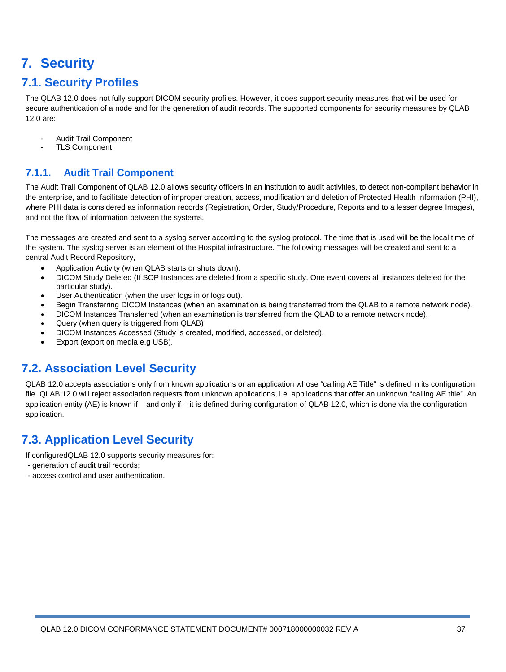## **7. Security**

## **7.1. Security Profiles**

The QLAB 12.0 does not fully support DICOM security profiles. However, it does support security measures that will be used for secure authentication of a node and for the generation of audit records. The supported components for security measures by QLAB 12.0 are:

- Audit Trail Component
- TLS Component

## **7.1.1. Audit Trail Component**

The Audit Trail Component of QLAB 12.0 allows security officers in an institution to audit activities, to detect non-compliant behavior in the enterprise, and to facilitate detection of improper creation, access, modification and deletion of Protected Health Information (PHI), where PHI data is considered as information records (Registration, Order, Study/Procedure, Reports and to a lesser degree Images), and not the flow of information between the systems.

The messages are created and sent to a syslog server according to the syslog protocol. The time that is used will be the local time of the system. The syslog server is an element of the Hospital infrastructure. The following messages will be created and sent to a central Audit Record Repository,

- Application Activity (when QLAB starts or shuts down).
- DICOM Study Deleted (If SOP Instances are deleted from a specific study. One event covers all instances deleted for the particular study).
- User Authentication (when the user logs in or logs out).
- Begin Transferring DICOM Instances (when an examination is being transferred from the QLAB to a remote network node).
- DICOM Instances Transferred (when an examination is transferred from the QLAB to a remote network node).
- Query (when query is triggered from QLAB)
- DICOM Instances Accessed (Study is created, modified, accessed, or deleted).
- Export (export on media e.g USB).

## **7.2. Association Level Security**

QLAB 12.0 accepts associations only from known applications or an application whose "calling AE Title" is defined in its configuration file. QLAB 12.0 will reject association requests from unknown applications, i.e. applications that offer an unknown "calling AE title". An application entity (AE) is known if – and only if – it is defined during configuration of QLAB 12.0, which is done via the configuration application.

## **7.3. Application Level Security**

If configuredQLAB 12.0 supports security measures for:

- generation of audit trail records;
- access control and user authentication.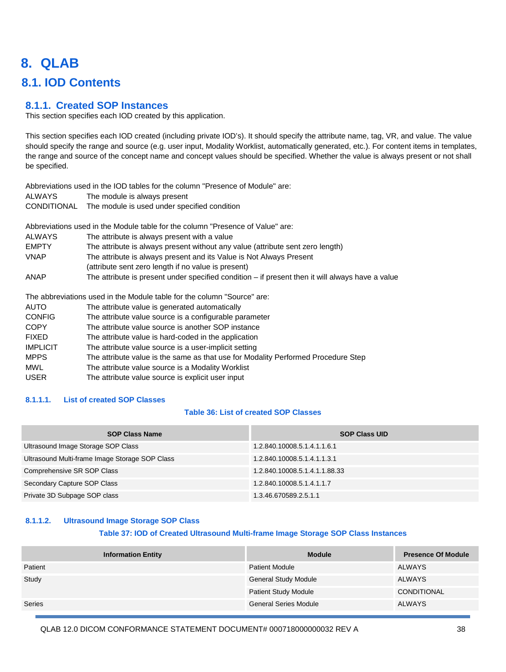## **8. QLAB**

## **8.1. IOD Contents**

#### **8.1.1. Created SOP Instances**

This section specifies each IOD created by this application.

This section specifies each IOD created (including private IOD's). It should specify the attribute name, tag, VR, and value. The value should specify the range and source (e.g. user input, Modality Worklist, automatically generated, etc.). For content items in templates, the range and source of the concept name and concept values should be specified. Whether the value is always present or not shall be specified.

Abbreviations used in the IOD tables for the column "Presence of Module" are: ALWAYS The module is always present CONDITIONAL The module is used under specified condition

Abbreviations used in the Module table for the column "Presence of Value" are:

- ALWAYS The attribute is always present with a value EMPTY The attribute is always present without any value (attribute sent zero length) VNAP The attribute is always present and its Value is Not Always Present (attribute sent zero length if no value is present)
- ANAP The attribute is present under specified condition if present then it will always have a value

The abbreviations used in the Module table for the column "Source" are:

AUTO The attribute value is generated automatically CONFIG The attribute value source is a configurable parameter COPY The attribute value source is another SOP instance FIXED The attribute value is hard-coded in the application IMPLICIT The attribute value source is a user-implicit setting MPPS The attribute value is the same as that use for Modality Performed Procedure Step MWL The attribute value source is a Modality Worklist USER The attribute value source is explicit user input

#### **8.1.1.1. List of created SOP Classes**

#### **Table 36: List of created SOP Classes**

| <b>SOP Class Name</b>                          | <b>SOP Class UID</b>          |
|------------------------------------------------|-------------------------------|
| Ultrasound Image Storage SOP Class             | 1.2.840.10008.5.1.4.1.1.6.1   |
| Ultrasound Multi-frame Image Storage SOP Class | 1.2.840.10008.5.1.4.1.1.3.1   |
| Comprehensive SR SOP Class                     | 1.2.840.10008.5.1.4.1.1.88.33 |
| Secondary Capture SOP Class                    | 1.2.840.10008.5.1.4.1.1.7     |
| Private 3D Subpage SOP class                   | 1.3.46.670589.2.5.1.1         |

#### **8.1.1.2. Ultrasound Image Storage SOP Class**

#### **Table 37: IOD of Created Ultrasound Multi-frame Image Storage SOP Class Instances**

| <b>Information Entity</b> | <b>Module</b>                | <b>Presence Of Module</b> |
|---------------------------|------------------------------|---------------------------|
| Patient                   | <b>Patient Module</b>        | <b>ALWAYS</b>             |
| Study                     | <b>General Study Module</b>  | <b>ALWAYS</b>             |
|                           | <b>Patient Study Module</b>  | <b>CONDITIONAL</b>        |
| Series                    | <b>General Series Module</b> | <b>ALWAYS</b>             |

QLAB 12.0 DICOM CONFORMANCE STATEMENT DOCUMENT# 000718000000032 REV A 38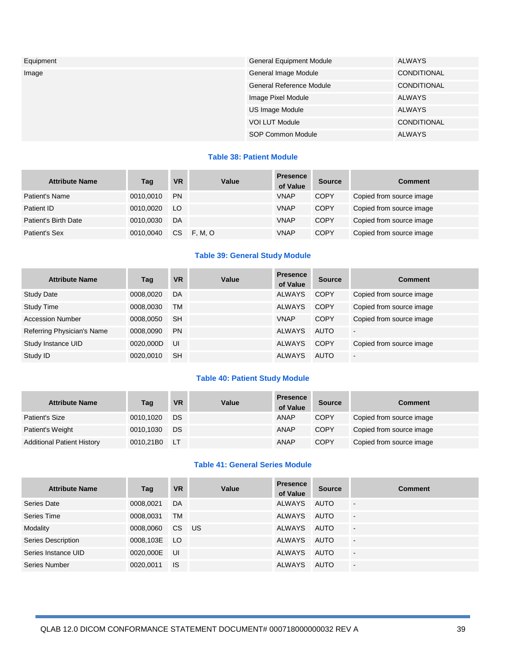| Equipment | General Equipment Module        | <b>ALWAYS</b>      |
|-----------|---------------------------------|--------------------|
| Image     | General Image Module            | CONDITIONAL        |
|           | <b>General Reference Module</b> | CONDITIONAL        |
|           | Image Pixel Module              | ALWAYS             |
|           | US Image Module                 | <b>ALWAYS</b>      |
|           | <b>VOI LUT Module</b>           | <b>CONDITIONAL</b> |
|           | SOP Common Module               | <b>ALWAYS</b>      |

#### **Table 38: Patient Module**

| <b>Attribute Name</b> | Tag       | <b>VR</b> | Value          | <b>Presence</b><br>of Value | <b>Source</b> | <b>Comment</b>           |
|-----------------------|-----------|-----------|----------------|-----------------------------|---------------|--------------------------|
| Patient's Name        | 0010.0010 | <b>PN</b> |                | <b>VNAP</b>                 | <b>COPY</b>   | Copied from source image |
| Patient ID            | 0010.0020 | LO        |                | <b>VNAP</b>                 | <b>COPY</b>   | Copied from source image |
| Patient's Birth Date  | 0010,0030 | DA        |                | <b>VNAP</b>                 | <b>COPY</b>   | Copied from source image |
| Patient's Sex         | 0010.0040 | CS        | <b>F. M. O</b> | <b>VNAP</b>                 | <b>COPY</b>   | Copied from source image |

## **Table 39: General Study Module**

| <b>Attribute Name</b>      | Tag       | <b>VR</b> | Value | <b>Presence</b><br>of Value | <b>Source</b> | <b>Comment</b>           |
|----------------------------|-----------|-----------|-------|-----------------------------|---------------|--------------------------|
| <b>Study Date</b>          | 0008,0020 | DA        |       | <b>ALWAYS</b>               | COPY          | Copied from source image |
| <b>Study Time</b>          | 0008.0030 | TМ        |       | <b>ALWAYS</b>               | <b>COPY</b>   | Copied from source image |
| <b>Accession Number</b>    | 0008.0050 | <b>SH</b> |       | <b>VNAP</b>                 | COPY          | Copied from source image |
| Referring Physician's Name | 0008.0090 | <b>PN</b> |       | <b>ALWAYS</b>               | AUTO          | $\blacksquare$           |
| Study Instance UID         | 0020.000D | UI        |       | <b>ALWAYS</b>               | <b>COPY</b>   | Copied from source image |
| Study ID                   | 0020,0010 | <b>SH</b> |       | <b>ALWAYS</b>               | <b>AUTO</b>   | $\overline{\phantom{0}}$ |

#### **Table 40: Patient Study Module**

| <b>Attribute Name</b>             | Tag       | <b>VR</b> | Value | <b>Presence</b><br>of Value | <b>Source</b> | Comment                  |
|-----------------------------------|-----------|-----------|-------|-----------------------------|---------------|--------------------------|
| Patient's Size                    | 0010,1020 | DS        |       | ANAP                        | <b>COPY</b>   | Copied from source image |
| Patient's Weight                  | 0010,1030 | DS        |       | ANAP                        | <b>COPY</b>   | Copied from source image |
| <b>Additional Patient History</b> | 0010,21B0 | ⊟ LT      |       | ANAP                        | <b>COPY</b>   | Copied from source image |

#### **Table 41: General Series Module**

| <b>Attribute Name</b> | Tag       | <b>VR</b>       | Value | <b>Presence</b><br>of Value | <b>Source</b> | <b>Comment</b>           |
|-----------------------|-----------|-----------------|-------|-----------------------------|---------------|--------------------------|
| Series Date           | 0008,0021 | DA              |       | <b>ALWAYS</b>               | AUTO          | $\overline{\phantom{a}}$ |
| Series Time           | 0008,0031 | TM              |       | <b>ALWAYS</b>               | <b>AUTO</b>   | $\blacksquare$           |
| Modality              | 0008.0060 | C <sub>S</sub>  | US.   | <b>ALWAYS</b>               | AUTO          | $\blacksquare$           |
| Series Description    | 0008,103E | LO <sub>1</sub> |       | ALWAYS                      | AUTO          | $\overline{\phantom{a}}$ |
| Series Instance UID   | 0020,000E | UI              |       | <b>ALWAYS</b>               | AUTO          | $\overline{\phantom{a}}$ |
| Series Number         | 0020.0011 | <b>IS</b>       |       | <b>ALWAYS</b>               | <b>AUTO</b>   | $\blacksquare$           |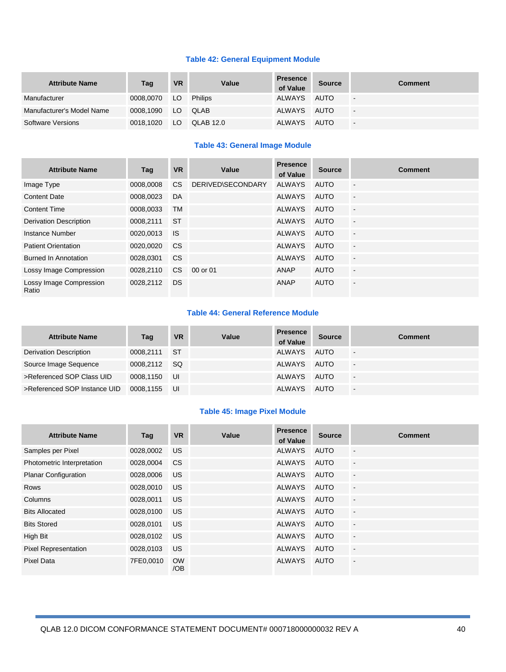#### **Table 42: General Equipment Module**

| <b>Attribute Name</b>     | Tag       | <b>VR</b> | Value     | <b>Presence</b><br>of Value | <b>Source</b> | <b>Comment</b>           |
|---------------------------|-----------|-----------|-----------|-----------------------------|---------------|--------------------------|
| Manufacturer              | 0008,0070 | $J = LO$  | Philips   | ALWAYS                      | AUTO          | $\overline{\phantom{a}}$ |
| Manufacturer's Model Name | 0008.1090 |           | LO QLAB   | ALWAYS                      | AUTO          | $\overline{\phantom{a}}$ |
| Software Versions         | 0018,1020 | - LO      | QLAB 12.0 | ALWAYS                      | AUTO          | $\overline{\phantom{a}}$ |

#### **Table 43: General Image Module**

| <b>Attribute Name</b>            | Tag       | <b>VR</b> | Value                    | <b>Presence</b><br>of Value | <b>Source</b> | <b>Comment</b>           |
|----------------------------------|-----------|-----------|--------------------------|-----------------------------|---------------|--------------------------|
| Image Type                       | 0008.0008 | CS.       | <b>DERIVED\SECONDARY</b> | ALWAYS                      | <b>AUTO</b>   | $\overline{\phantom{a}}$ |
| <b>Content Date</b>              | 0008.0023 | DA        |                          | ALWAYS                      | <b>AUTO</b>   | $\overline{\phantom{a}}$ |
| <b>Content Time</b>              | 0008,0033 | <b>TM</b> |                          | <b>ALWAYS</b>               | <b>AUTO</b>   | $\overline{a}$           |
| <b>Derivation Description</b>    | 0008,2111 | <b>ST</b> |                          | <b>ALWAYS</b>               | <b>AUTO</b>   | $\overline{\phantom{a}}$ |
| Instance Number                  | 0020,0013 | <b>IS</b> |                          | ALWAYS                      | <b>AUTO</b>   | $\overline{\phantom{a}}$ |
| <b>Patient Orientation</b>       | 0020,0020 | <b>CS</b> |                          | <b>ALWAYS</b>               | <b>AUTO</b>   | $\overline{a}$           |
| <b>Burned In Annotation</b>      | 0028,0301 | <b>CS</b> |                          | <b>ALWAYS</b>               | <b>AUTO</b>   | $\blacksquare$           |
| Lossy Image Compression          | 0028.2110 | CS.       | 00 or 01                 | <b>ANAP</b>                 | <b>AUTO</b>   | $\overline{\phantom{a}}$ |
| Lossy Image Compression<br>Ratio | 0028.2112 | <b>DS</b> |                          | <b>ANAP</b>                 | <b>AUTO</b>   | $\sim$                   |

#### **Table 44: General Reference Module**

| <b>Attribute Name</b>        | Tag          | <b>VR</b> | Value | <b>Presence</b><br>of Value | <b>Source</b> | <b>Comment</b>           |
|------------------------------|--------------|-----------|-------|-----------------------------|---------------|--------------------------|
| Derivation Description       | 0008,2111 ST |           |       | ALWAYS                      | AUTO          | $\sim$                   |
| Source Image Sequence        | 0008,2112 SQ |           |       | ALWAYS                      | AUTO          | $\overline{\phantom{a}}$ |
| >Referenced SOP Class UID    | 0008.1150    | <b>UI</b> |       | ALWAYS                      | AUTO          | $\blacksquare$           |
| >Referenced SOP Instance UID | 0008.1155    | - UI      |       | ALWAYS                      | AUTO          | $\overline{\phantom{a}}$ |

#### **Table 45: Image Pixel Module**

| <b>Attribute Name</b>       | Tag       | <b>VR</b>        | Value | <b>Presence</b><br>of Value | <b>Source</b> | <b>Comment</b>           |
|-----------------------------|-----------|------------------|-------|-----------------------------|---------------|--------------------------|
| Samples per Pixel           | 0028,0002 | <b>US</b>        |       | ALWAYS                      | <b>AUTO</b>   | $\overline{\phantom{a}}$ |
| Photometric Interpretation  | 0028,0004 | <b>CS</b>        |       | ALWAYS                      | <b>AUTO</b>   | $\ddot{\phantom{a}}$     |
| <b>Planar Configuration</b> | 0028,0006 | <b>US</b>        |       | ALWAYS                      | <b>AUTO</b>   | $\overline{\phantom{a}}$ |
| <b>Rows</b>                 | 0028,0010 | US.              |       | ALWAYS                      | <b>AUTO</b>   | $\overline{\phantom{a}}$ |
| Columns                     | 0028.0011 | US.              |       | ALWAYS                      | AUTO          | $\overline{a}$           |
| <b>Bits Allocated</b>       | 0028,0100 | US.              |       | ALWAYS                      | <b>AUTO</b>   | $\overline{\phantom{a}}$ |
| <b>Bits Stored</b>          | 0028,0101 | US.              |       | ALWAYS                      | <b>AUTO</b>   | $\overline{\phantom{a}}$ |
| High Bit                    | 0028,0102 | <b>US</b>        |       | ALWAYS                      | <b>AUTO</b>   | $\ddot{\phantom{a}}$     |
| Pixel Representation        | 0028,0103 | US.              |       | ALWAYS                      | <b>AUTO</b>   | $\overline{a}$           |
| Pixel Data                  | 7FE0,0010 | <b>OW</b><br>/OB |       | <b>ALWAYS</b>               | <b>AUTO</b>   | $\overline{a}$           |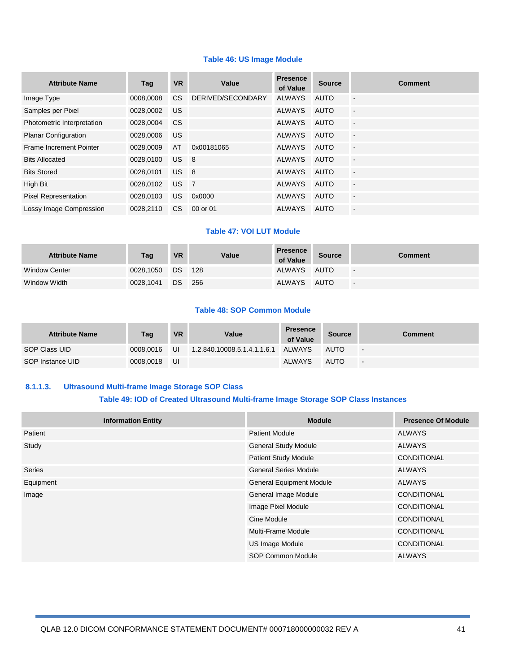#### **Table 46: US Image Module**

| <b>Attribute Name</b>       | Tag       | <b>VR</b>       | Value                      | <b>Presence</b><br>of Value | <b>Source</b> | <b>Comment</b>           |
|-----------------------------|-----------|-----------------|----------------------------|-----------------------------|---------------|--------------------------|
| Image Type                  | 0008.0008 | CS.             | DERIVED/SECONDARY          | <b>ALWAYS</b>               | <b>AUTO</b>   | $\overline{\phantom{a}}$ |
| Samples per Pixel           | 0028,0002 | US.             |                            | <b>ALWAYS</b>               | <b>AUTO</b>   | $\blacksquare$           |
| Photometric Interpretation  | 0028.0004 | <b>CS</b>       |                            | <b>ALWAYS</b>               | <b>AUTO</b>   | $\overline{\phantom{a}}$ |
| <b>Planar Configuration</b> | 0028,0006 | US.             |                            | <b>ALWAYS</b>               | <b>AUTO</b>   | $\overline{\phantom{a}}$ |
| Frame Increment Pointer     | 0028,0009 | AT              | 0x00181065                 | <b>ALWAYS</b>               | <b>AUTO</b>   | $\overline{\phantom{a}}$ |
| <b>Bits Allocated</b>       | 0028,0100 | US <sub>8</sub> |                            | <b>ALWAYS</b>               | <b>AUTO</b>   | $\overline{a}$           |
| <b>Bits Stored</b>          | 0028,0101 | US.             | $\overline{\phantom{0}}$ 8 | <b>ALWAYS</b>               | <b>AUTO</b>   | $\overline{\phantom{a}}$ |
| High Bit                    | 0028.0102 | <b>US</b>       | $\overline{7}$             | <b>ALWAYS</b>               | <b>AUTO</b>   | $\overline{\phantom{a}}$ |
| <b>Pixel Representation</b> | 0028,0103 | US.             | 0x0000                     | <b>ALWAYS</b>               | <b>AUTO</b>   | $\blacksquare$           |
| Lossy Image Compression     | 0028.2110 | CS.             | 00 or 01                   | <b>ALWAYS</b>               | AUTO          | $\blacksquare$           |

#### **Table 47: VOI LUT Module**

| <b>Attribute Name</b> | Tag              | <b>VR</b>       | Value | <b>Presence</b><br>of Value | <b>Source</b> | Comment                  |
|-----------------------|------------------|-----------------|-------|-----------------------------|---------------|--------------------------|
| <b>Window Center</b>  | 0028,1050 DS 128 |                 |       | ALWAYS AUTO                 |               | $\blacksquare$           |
| Window Width          | 0028.1041        | DS <sub>-</sub> | 256   | ALWAYS AUTO                 |               | $\overline{\phantom{a}}$ |

#### **Table 48: SOP Common Module**

| <b>Attribute Name</b> | Taq       | <b>VR</b> | Value                       | <b>Presence</b><br>of Value | <b>Source</b> | Comment |
|-----------------------|-----------|-----------|-----------------------------|-----------------------------|---------------|---------|
| SOP Class UID         | 0008.0016 | UI        | 1.2.840.10008.5.1.4.1.1.6.1 | ALWAYS                      | <b>AUTO</b>   | $\sim$  |
| SOP Instance UID      | 0008.0018 | UI        |                             | <b>ALWAYS</b>               | <b>AUTO</b>   | $\sim$  |

#### **8.1.1.3. Ultrasound Multi-frame Image Storage SOP Class Table 49: IOD of Created Ultrasound Multi-frame Image Storage SOP Class Instances**

## **Information Entity Contract Contract Contract Contract Contract Contract Contract Contract Contract Contract Contract Contract Contract Contract Contract Contract Contract Contract Contract Contract Contract Contract Co** Patient **Patient ALWAYS Patient Module ALWAYS** Study General Study Module ALWAYS Patient Study Module CONDITIONAL Series General Series Module ALWAYS Equipment Contract Contract Contract Contract Contract Contract Contract Contract Contract Contract Contract Contract Contract Contract Contract Contract Contract Contract Contract Contract Contract Contract Contract Contr Image General Image Module CONDITIONAL Image Pixel Module **CONDITIONAL** Cine Module CONDITIONAL Multi-Frame Module CONDITIONAL US Image Module CONDITIONAL SOP Common Module ALWAYS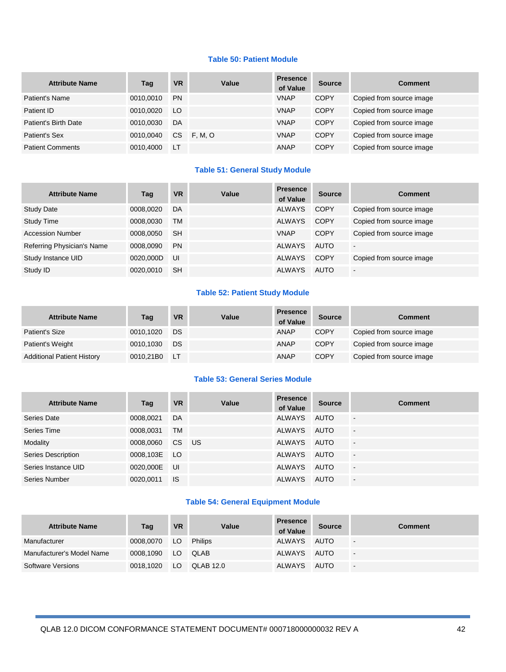#### **Table 50: Patient Module**

| <b>Attribute Name</b>   | Tag       | <b>VR</b> | Value   | <b>Presence</b><br>of Value | <b>Source</b> | <b>Comment</b>           |
|-------------------------|-----------|-----------|---------|-----------------------------|---------------|--------------------------|
| Patient's Name          | 0010.0010 | <b>PN</b> |         | <b>VNAP</b>                 | <b>COPY</b>   | Copied from source image |
| Patient ID              | 0010.0020 | LO        |         | <b>VNAP</b>                 | <b>COPY</b>   | Copied from source image |
| Patient's Birth Date    | 0010.0030 | DA        |         | <b>VNAP</b>                 | <b>COPY</b>   | Copied from source image |
| Patient's Sex           | 0010.0040 | CS.       | F. M. O | <b>VNAP</b>                 | <b>COPY</b>   | Copied from source image |
| <b>Patient Comments</b> | 0010.4000 | LT.       |         | <b>ANAP</b>                 | <b>COPY</b>   | Copied from source image |

#### **Table 51: General Study Module**

| <b>Attribute Name</b>      | Taq       | <b>VR</b> | Value | <b>Presence</b><br>of Value | <b>Source</b> | <b>Comment</b>           |
|----------------------------|-----------|-----------|-------|-----------------------------|---------------|--------------------------|
| <b>Study Date</b>          | 0008.0020 | DA        |       | <b>ALWAYS</b>               | <b>COPY</b>   | Copied from source image |
| <b>Study Time</b>          | 0008.0030 | TM        |       | <b>ALWAYS</b>               | <b>COPY</b>   | Copied from source image |
| <b>Accession Number</b>    | 0008.0050 | <b>SH</b> |       | <b>VNAP</b>                 | <b>COPY</b>   | Copied from source image |
| Referring Physician's Name | 0008.0090 | <b>PN</b> |       | <b>ALWAYS</b>               | <b>AUTO</b>   | $\sim$                   |
| Study Instance UID         | 0020,000D | UI        |       | <b>ALWAYS</b>               | COPY          | Copied from source image |
| Study ID                   | 0020.0010 | <b>SH</b> |       | <b>ALWAYS</b>               | <b>AUTO</b>   | $\overline{\phantom{a}}$ |

## **Table 52: Patient Study Module**

| <b>Attribute Name</b>             | Tag       | <b>VR</b> | Value | <b>Presence</b><br>of Value | <b>Source</b> | Comment                  |
|-----------------------------------|-----------|-----------|-------|-----------------------------|---------------|--------------------------|
| Patient's Size                    | 0010.1020 | DS        |       | <b>ANAP</b>                 | <b>COPY</b>   | Copied from source image |
| Patient's Weight                  | 0010.1030 | DS        |       | <b>ANAP</b>                 | <b>COPY</b>   | Copied from source image |
| <b>Additional Patient History</b> | 0010.21B0 | AL LT     |       | <b>ANAP</b>                 | <b>COPY</b>   | Copied from source image |

#### **Table 53: General Series Module**

| <b>Attribute Name</b>     | Tag          | <b>VR</b> | Value | <b>Presence</b><br>of Value | <b>Source</b> | <b>Comment</b>           |
|---------------------------|--------------|-----------|-------|-----------------------------|---------------|--------------------------|
| Series Date               | 0008,0021    | DA        |       | ALWAYS                      | AUTO          | $\overline{\phantom{a}}$ |
| Series Time               | 0008,0031    | <b>TM</b> |       | ALWAYS                      | AUTO          | $\overline{\phantom{a}}$ |
| Modality                  | 0008.0060    | CS .      | US.   | ALWAYS                      | AUTO          | $\blacksquare$           |
| <b>Series Description</b> | 0008,103E LO |           |       | ALWAYS                      | AUTO          | G.                       |
| Series Instance UID       | 0020,000E    | UI        |       | ALWAYS                      | AUTO          | G.                       |
| Series Number             | 0020.0011    | <b>IS</b> |       | <b>ALWAYS</b>               | <b>AUTO</b>   | $\blacksquare$           |

### **Table 54: General Equipment Module**

| <b>Attribute Name</b>     | Tag       | <b>VR</b> | Value      | <b>Presence</b><br>of Value | <b>Source</b> | <b>Comment</b>           |
|---------------------------|-----------|-----------|------------|-----------------------------|---------------|--------------------------|
| Manufacturer              | 0008.0070 |           | LO Philips | ALWAYS                      | <b>AUTO</b>   | $\overline{\phantom{a}}$ |
| Manufacturer's Model Name | 0008.1090 |           | LO QLAB    | ALWAYS                      | AUTO          | $\overline{\phantom{a}}$ |
| Software Versions         | 0018,1020 | LO.       | QLAB 12.0  | ALWAYS                      | <b>AUTO</b>   | $\sim$                   |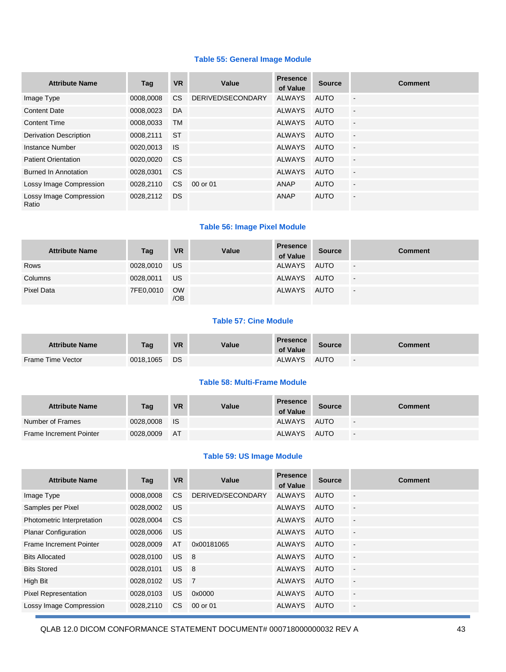#### **Table 55: General Image Module**

| <b>Attribute Name</b>            | Tag       | <b>VR</b>      | Value                    | <b>Presence</b><br>of Value | <b>Source</b> | <b>Comment</b>           |
|----------------------------------|-----------|----------------|--------------------------|-----------------------------|---------------|--------------------------|
| Image Type                       | 0008.0008 | C <sub>S</sub> | <b>DERIVED\SECONDARY</b> | <b>ALWAYS</b>               | AUTO          | $\blacksquare$           |
| <b>Content Date</b>              | 0008,0023 | DA             |                          | <b>ALWAYS</b>               | <b>AUTO</b>   | $\overline{\phantom{a}}$ |
| <b>Content Time</b>              | 0008,0033 | <b>TM</b>      |                          | <b>ALWAYS</b>               | <b>AUTO</b>   | $\blacksquare$           |
| <b>Derivation Description</b>    | 0008,2111 | <b>ST</b>      |                          | <b>ALWAYS</b>               | <b>AUTO</b>   | $\overline{\phantom{a}}$ |
| Instance Number                  | 0020,0013 | <b>IS</b>      |                          | <b>ALWAYS</b>               | AUTO          | $\overline{\phantom{a}}$ |
| <b>Patient Orientation</b>       | 0020,0020 | <b>CS</b>      |                          | <b>ALWAYS</b>               | <b>AUTO</b>   | $\mathbf{r}$             |
| <b>Burned In Annotation</b>      | 0028.0301 | <b>CS</b>      |                          | <b>ALWAYS</b>               | <b>AUTO</b>   | $\overline{\phantom{a}}$ |
| Lossy Image Compression          | 0028.2110 | CS.            | 00 or 01                 | ANAP                        | <b>AUTO</b>   | $\blacksquare$           |
| Lossy Image Compression<br>Ratio | 0028,2112 | <b>DS</b>      |                          | <b>ANAP</b>                 | <b>AUTO</b>   | $\blacksquare$           |

#### **Table 56: Image Pixel Module**

| <b>Attribute Name</b> | Tag       | <b>VR</b>        | Value | <b>Presence</b><br>of Value | <b>Source</b> | <b>Comment</b>           |
|-----------------------|-----------|------------------|-------|-----------------------------|---------------|--------------------------|
| Rows                  | 0028,0010 | US.              |       | ALWAYS                      | AUTO          | $\overline{\phantom{a}}$ |
| Columns               | 0028,0011 | US.              |       | ALWAYS                      | AUTO          | $\blacksquare$           |
| Pixel Data            | 7FE0,0010 | <b>OW</b><br>/OB |       | ALWAYS                      | AUTO          | $\sim$                   |

#### **Table 57: Cine Module**

| <b>Attribute Name</b> | Taq       | <b>VR</b> | Value | <b>Presence</b><br>of Value | <b>Source</b> | Comment                  |
|-----------------------|-----------|-----------|-------|-----------------------------|---------------|--------------------------|
| Frame Time Vector     | 0018,1065 | DS        |       | ALWAYS                      | <b>AUTO</b>   | $\overline{\phantom{a}}$ |

#### **Table 58: Multi-Frame Module**

| <b>Attribute Name</b>   | <b>Tag</b> | <b>VR</b> | Value | <b>Presence</b><br>of Value | <b>Source</b> | Comment                  |
|-------------------------|------------|-----------|-------|-----------------------------|---------------|--------------------------|
| Number of Frames        | 0028,0008  | - IS      |       | ALWAYS                      | AUTO          | $\overline{\phantom{a}}$ |
| Frame Increment Pointer | 0028,0009  | AT        |       | ALWAYS                      | <b>AUTO</b>   | $\overline{\phantom{a}}$ |

### **Table 59: US Image Module**

| <b>Attribute Name</b>       | Tag       | <b>VR</b>       | Value             | <b>Presence</b><br>of Value | <b>Source</b> | <b>Comment</b>           |
|-----------------------------|-----------|-----------------|-------------------|-----------------------------|---------------|--------------------------|
| Image Type                  | 0008.0008 | <b>CS</b>       | DERIVED/SECONDARY | <b>ALWAYS</b>               | AUTO          | $\blacksquare$           |
| Samples per Pixel           | 0028.0002 | US              |                   | <b>ALWAYS</b>               | <b>AUTO</b>   | $\overline{\phantom{a}}$ |
| Photometric Interpretation  | 0028,0004 | <b>CS</b>       |                   | <b>ALWAYS</b>               | <b>AUTO</b>   | $\overline{a}$           |
| <b>Planar Configuration</b> | 0028,0006 | US.             |                   | <b>ALWAYS</b>               | AUTO          | $\blacksquare$           |
| Frame Increment Pointer     | 0028,0009 | AT              | 0x00181065        | <b>ALWAYS</b>               | <b>AUTO</b>   | $\blacksquare$           |
| <b>Bits Allocated</b>       | 0028,0100 | US <sub>8</sub> |                   | <b>ALWAYS</b>               | AUTO          | $\blacksquare$           |
| <b>Bits Stored</b>          | 0028,0101 | US <sub>8</sub> |                   | <b>ALWAYS</b>               | <b>AUTO</b>   | $\blacksquare$           |
| High Bit                    | 0028,0102 | US.             | $\overline{7}$    | <b>ALWAYS</b>               | <b>AUTO</b>   | $\overline{\phantom{a}}$ |
| <b>Pixel Representation</b> | 0028,0103 | US.             | 0x0000            | <b>ALWAYS</b>               | <b>AUTO</b>   | $\overline{\phantom{a}}$ |
| Lossy Image Compression     | 0028.2110 | CS.             | 00 or 01          | <b>ALWAYS</b>               | AUTO          | $\blacksquare$           |

QLAB 12.0 DICOM CONFORMANCE STATEMENT DOCUMENT# 000718000000032 REV A 43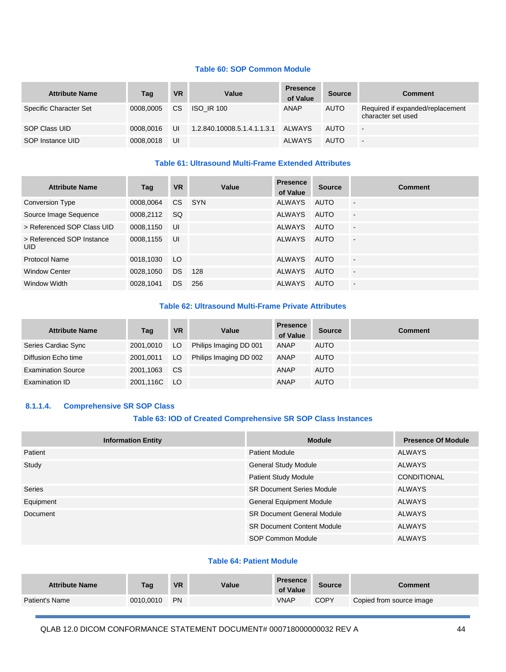#### **Table 60: SOP Common Module**

| <b>Attribute Name</b>  | Tag       | <b>VR</b> | Value                              | <b>Presence</b><br>of Value | <b>Source</b> | <b>Comment</b>                                         |
|------------------------|-----------|-----------|------------------------------------|-----------------------------|---------------|--------------------------------------------------------|
| Specific Character Set | 0008.0005 | CS.       | <b>ISO IR 100</b>                  | <b>ANAP</b>                 | <b>AUTO</b>   | Required if expanded/replacement<br>character set used |
| SOP Class UID          | 0008.0016 | UI        | 1.2.840.10008.5.1.4.1.1.3.1 ALWAYS |                             | <b>AUTO</b>   | $\blacksquare$                                         |
| SOP Instance UID       | 0008,0018 | UI        |                                    | <b>ALWAYS</b>               | <b>AUTO</b>   | $\sim$                                                 |

#### **Table 61: Ultrasound Multi-Frame Extended Attributes**

| <b>Attribute Name</b>                   | Tag       | <b>VR</b> | Value | <b>Presence</b><br>of Value | <b>Source</b> | <b>Comment</b>           |
|-----------------------------------------|-----------|-----------|-------|-----------------------------|---------------|--------------------------|
| Conversion Type                         | 0008.0064 | CS.       | SYN   | <b>ALWAYS</b>               | AUTO          | $\blacksquare$           |
| Source Image Sequence                   | 0008,2112 | <b>SQ</b> |       | <b>ALWAYS</b>               | AUTO          | $\overline{\phantom{a}}$ |
| > Referenced SOP Class UID              | 0008,1150 | UI        |       | <b>ALWAYS</b>               | <b>AUTO</b>   | $\blacksquare$           |
| > Referenced SOP Instance<br><b>UID</b> | 0008,1155 | UI        |       | <b>ALWAYS</b>               | <b>AUTO</b>   | $\blacksquare$           |
| Protocol Name                           | 0018,1030 | LO.       |       | <b>ALWAYS</b>               | AUTO          | $\blacksquare$           |
| <b>Window Center</b>                    | 0028,1050 | <b>DS</b> | 128   | <b>ALWAYS</b>               | AUTO          | $\blacksquare$           |
| Window Width                            | 0028,1041 | <b>DS</b> | 256   | <b>ALWAYS</b>               | <b>AUTO</b>   | $\blacksquare$           |

#### **Table 62: Ultrasound Multi-Frame Private Attributes**

| <b>Attribute Name</b>     | Tag          | <b>VR</b> | Value                  | <b>Presence</b><br>of Value | <b>Source</b> | <b>Comment</b> |
|---------------------------|--------------|-----------|------------------------|-----------------------------|---------------|----------------|
| Series Cardiac Sync       | 2001,0010    | LO.       | Philips Imaging DD 001 | ANAP                        | <b>AUTO</b>   |                |
| Diffusion Echo time       | 2001,0011    | LO.       | Philips Imaging DD 002 | ANAP                        | <b>AUTO</b>   |                |
| <b>Examination Source</b> | 2001,1063    | <b>CS</b> |                        | ANAP                        | <b>AUTO</b>   |                |
| Examination ID            | 2001,116C LO |           |                        | ANAP                        | <b>AUTO</b>   |                |

#### **8.1.1.4. Comprehensive SR SOP Class**

#### **Table 63: IOD of Created Comprehensive SR SOP Class Instances**

| <b>Information Entity</b> | <b>Module</b>                     | <b>Presence Of Module</b> |
|---------------------------|-----------------------------------|---------------------------|
| Patient                   | <b>Patient Module</b>             | <b>ALWAYS</b>             |
| Study                     | <b>General Study Module</b>       | <b>ALWAYS</b>             |
|                           | <b>Patient Study Module</b>       | <b>CONDITIONAL</b>        |
| Series                    | <b>SR Document Series Module</b>  | <b>ALWAYS</b>             |
| Equipment                 | <b>General Equipment Module</b>   | <b>ALWAYS</b>             |
| Document                  | <b>SR Document General Module</b> | <b>ALWAYS</b>             |
|                           | <b>SR Document Content Module</b> | <b>ALWAYS</b>             |
|                           | SOP Common Module                 | <b>ALWAYS</b>             |

#### **Table 64: Patient Module**

| <b>Attribute Name</b> | Taq       | <b>VR</b> | Value | <b>Presence</b><br>of Value | <b>Source</b> | Comment                  |
|-----------------------|-----------|-----------|-------|-----------------------------|---------------|--------------------------|
| <b>Patient's Name</b> | 0010,0010 | <b>PN</b> |       | <b>VNAP</b>                 | <b>COPY</b>   | Copied from source image |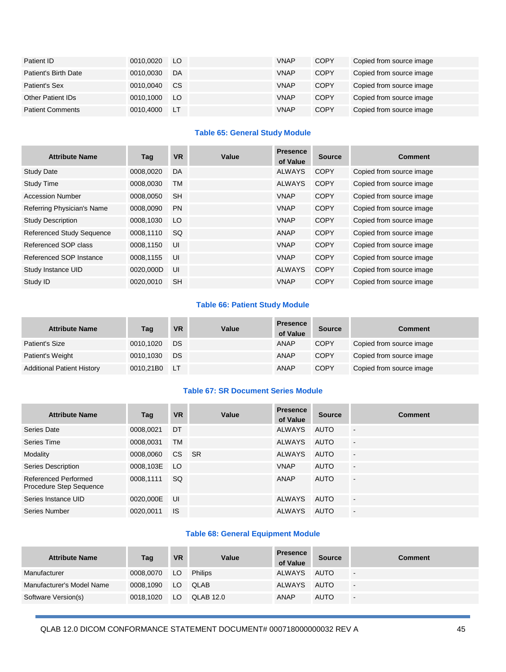| Patient ID               | 0010.0020 | LO.       | <b>VNAP</b> | <b>COPY</b> | Copied from source image |
|--------------------------|-----------|-----------|-------------|-------------|--------------------------|
| Patient's Birth Date     | 0010,0030 | DA        | <b>VNAP</b> | <b>COPY</b> | Copied from source image |
| Patient's Sex            | 0010.0040 | <b>CS</b> | <b>VNAP</b> | <b>COPY</b> | Copied from source image |
| <b>Other Patient IDs</b> | 0010,1000 | LO.       | <b>VNAP</b> | <b>COPY</b> | Copied from source image |
| <b>Patient Comments</b>  | 0010.4000 | LТ        | <b>VNAP</b> | <b>COPY</b> | Copied from source image |

#### **Table 65: General Study Module**

| <b>Attribute Name</b>            | Tag       | <b>VR</b> | Value | <b>Presence</b><br>of Value | <b>Source</b> | <b>Comment</b>           |
|----------------------------------|-----------|-----------|-------|-----------------------------|---------------|--------------------------|
| <b>Study Date</b>                | 0008,0020 | DA        |       | <b>ALWAYS</b>               | <b>COPY</b>   | Copied from source image |
| <b>Study Time</b>                | 0008,0030 | <b>TM</b> |       | <b>ALWAYS</b>               | <b>COPY</b>   | Copied from source image |
| <b>Accession Number</b>          | 0008,0050 | <b>SH</b> |       | <b>VNAP</b>                 | <b>COPY</b>   | Copied from source image |
| Referring Physician's Name       | 0008,0090 | <b>PN</b> |       | <b>VNAP</b>                 | <b>COPY</b>   | Copied from source image |
| <b>Study Description</b>         | 0008,1030 | LO.       |       | <b>VNAP</b>                 | <b>COPY</b>   | Copied from source image |
| <b>Referenced Study Sequence</b> | 0008,1110 | <b>SQ</b> |       | ANAP                        | <b>COPY</b>   | Copied from source image |
| Referenced SOP class             | 0008,1150 | UI        |       | <b>VNAP</b>                 | <b>COPY</b>   | Copied from source image |
| Referenced SOP Instance          | 0008,1155 | UI        |       | <b>VNAP</b>                 | <b>COPY</b>   | Copied from source image |
| Study Instance UID               | 0020,000D | UI        |       | <b>ALWAYS</b>               | <b>COPY</b>   | Copied from source image |
| Study ID                         | 0020.0010 | <b>SH</b> |       | <b>VNAP</b>                 | <b>COPY</b>   | Copied from source image |

### **Table 66: Patient Study Module**

| <b>Attribute Name</b>             | Tag       | <b>VR</b> | Value | <b>Presence</b><br>of Value | <b>Source</b> | Comment                  |
|-----------------------------------|-----------|-----------|-------|-----------------------------|---------------|--------------------------|
| Patient's Size                    | 0010,1020 | DS.       |       | ANAP                        | <b>COPY</b>   | Copied from source image |
| Patient's Weight                  | 0010,1030 | DS        |       | <b>ANAP</b>                 | <b>COPY</b>   | Copied from source image |
| <b>Additional Patient History</b> | 0010,21B0 | / LT      |       | <b>ANAP</b>                 | <b>COPY</b>   | Copied from source image |

#### **Table 67: SR Document Series Module**

| <b>Attribute Name</b>                           | Tag       | <b>VR</b>       | Value     | <b>Presence</b><br>of Value | <b>Source</b> | <b>Comment</b>           |
|-------------------------------------------------|-----------|-----------------|-----------|-----------------------------|---------------|--------------------------|
| Series Date                                     | 0008,0021 | DT              |           | <b>ALWAYS</b>               | AUTO          | $\blacksquare$           |
| Series Time                                     | 0008,0031 | <b>TM</b>       |           | <b>ALWAYS</b>               | <b>AUTO</b>   | $\overline{\phantom{a}}$ |
| Modality                                        | 0008,0060 | C <sub>S</sub>  | <b>SR</b> | <b>ALWAYS</b>               | <b>AUTO</b>   | $\blacksquare$           |
| Series Description                              | 0008,103E | LO <sub>1</sub> |           | <b>VNAP</b>                 | <b>AUTO</b>   | $\blacksquare$           |
| Referenced Performed<br>Procedure Step Sequence | 0008.1111 | <b>SQ</b>       |           | ANAP                        | <b>AUTO</b>   | $\overline{\phantom{a}}$ |
| Series Instance UID                             | 0020,000E | UI              |           | <b>ALWAYS</b>               | AUTO          | $\overline{\phantom{a}}$ |
| Series Number                                   | 0020,0011 | <b>IS</b>       |           | <b>ALWAYS</b>               | AUTO          | $\overline{a}$           |

#### **Table 68: General Equipment Module**

| <b>Attribute Name</b>     | Tag       | <b>VR</b> | Value          | <b>Presence</b><br>of Value | <b>Source</b> | <b>Comment</b> |
|---------------------------|-----------|-----------|----------------|-----------------------------|---------------|----------------|
| Manufacturer              | 0008,0070 | LO.       | <b>Philips</b> | ALWAYS                      | AUTO          | $\sim$         |
| Manufacturer's Model Name | 0008.1090 | LO.       | QLAB           | ALWAYS                      | AUTO          | $\sim$         |
| Software Version(s)       | 0018.1020 | LO.       | QLAB 12.0      | <b>ANAP</b>                 | <b>AUTO</b>   | $\sim$         |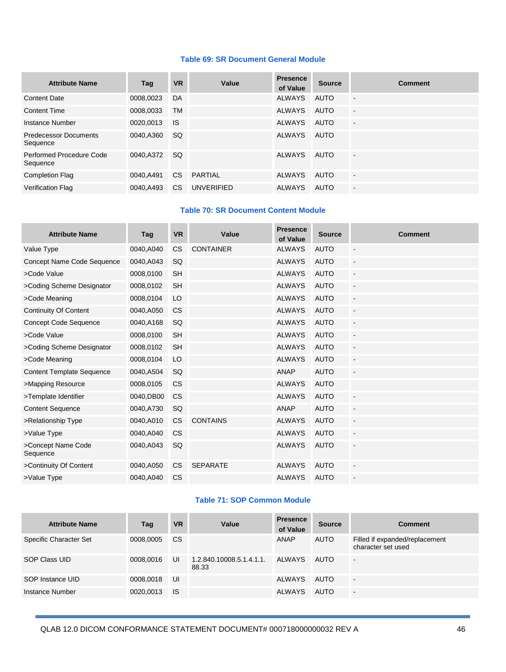#### **Table 69: SR Document General Module**

| <b>Attribute Name</b>                    | Tag       | <b>VR</b> | Value             | <b>Presence</b><br>of Value | <b>Source</b> | <b>Comment</b>           |
|------------------------------------------|-----------|-----------|-------------------|-----------------------------|---------------|--------------------------|
| <b>Content Date</b>                      | 0008,0023 | DA        |                   | <b>ALWAYS</b>               | AUTO          | $\sim$                   |
| <b>Content Time</b>                      | 0008.0033 | <b>TM</b> |                   | <b>ALWAYS</b>               | <b>AUTO</b>   | $\overline{a}$           |
| Instance Number                          | 0020,0013 | <b>IS</b> |                   | <b>ALWAYS</b>               | <b>AUTO</b>   | $\overline{\phantom{a}}$ |
| <b>Predecessor Documents</b><br>Sequence | 0040,A360 | SQ.       |                   | <b>ALWAYS</b>               | AUTO          |                          |
| Performed Procedure Code<br>Sequence     | 0040.A372 | <b>SQ</b> |                   | <b>ALWAYS</b>               | <b>AUTO</b>   | $\blacksquare$           |
| <b>Completion Flag</b>                   | 0040.A491 | <b>CS</b> | PARTIAL           | <b>ALWAYS</b>               | <b>AUTO</b>   | $\blacksquare$           |
| <b>Verification Flag</b>                 | 0040.A493 | CS.       | <b>UNVERIFIED</b> | <b>ALWAYS</b>               | <b>AUTO</b>   | $\blacksquare$           |

#### **Table 70: SR Document Content Module**

| <b>Attribute Name</b>            | Tag       | <b>VR</b> | Value            | <b>Presence</b><br>of Value | <b>Source</b> | <b>Comment</b>           |
|----------------------------------|-----------|-----------|------------------|-----------------------------|---------------|--------------------------|
| Value Type                       | 0040,A040 | <b>CS</b> | <b>CONTAINER</b> | <b>ALWAYS</b>               | <b>AUTO</b>   | $\blacksquare$           |
| Concept Name Code Sequence       | 0040,A043 | SQ        |                  | <b>ALWAYS</b>               | <b>AUTO</b>   | $\Box$                   |
| >Code Value                      | 0008,0100 | <b>SH</b> |                  | <b>ALWAYS</b>               | <b>AUTO</b>   | $\overline{a}$           |
| >Coding Scheme Designator        | 0008,0102 | <b>SH</b> |                  | <b>ALWAYS</b>               | <b>AUTO</b>   | $\overline{\phantom{a}}$ |
| >Code Meaning                    | 0008,0104 | LO        |                  | <b>ALWAYS</b>               | <b>AUTO</b>   | $\overline{a}$           |
| <b>Continuity Of Content</b>     | 0040,A050 | <b>CS</b> |                  | <b>ALWAYS</b>               | <b>AUTO</b>   | $\blacksquare$           |
| <b>Concept Code Sequence</b>     | 0040,A168 | <b>SQ</b> |                  | <b>ALWAYS</b>               | <b>AUTO</b>   | $\overline{\phantom{a}}$ |
| >Code Value                      | 0008,0100 | <b>SH</b> |                  | <b>ALWAYS</b>               | <b>AUTO</b>   | $\overline{\phantom{a}}$ |
| >Coding Scheme Designator        | 0008,0102 | <b>SH</b> |                  | <b>ALWAYS</b>               | <b>AUTO</b>   | $\overline{\phantom{a}}$ |
| >Code Meaning                    | 0008,0104 | LO        |                  | <b>ALWAYS</b>               | <b>AUTO</b>   | $\Box$                   |
| <b>Content Template Sequence</b> | 0040,A504 | SQ        |                  | <b>ANAP</b>                 | <b>AUTO</b>   | $\overline{\phantom{a}}$ |
| >Mapping Resource                | 0008,0105 | <b>CS</b> |                  | <b>ALWAYS</b>               | <b>AUTO</b>   |                          |
| >Template Identifier             | 0040,DB00 | <b>CS</b> |                  | <b>ALWAYS</b>               | <b>AUTO</b>   | $\blacksquare$           |
| <b>Content Sequence</b>          | 0040,A730 | SQ        |                  | ANAP                        | <b>AUTO</b>   | $\blacksquare$           |
| >Relationship Type               | 0040,A010 | <b>CS</b> | <b>CONTAINS</b>  | <b>ALWAYS</b>               | <b>AUTO</b>   | $\Box$                   |
| >Value Type                      | 0040,A040 | <b>CS</b> |                  | <b>ALWAYS</b>               | <b>AUTO</b>   | $\blacksquare$           |
| >Concept Name Code<br>Sequence   | 0040,A043 | <b>SQ</b> |                  | <b>ALWAYS</b>               | <b>AUTO</b>   | $\blacksquare$           |
| >Continuity Of Content           | 0040,A050 | <b>CS</b> | <b>SEPARATE</b>  | <b>ALWAYS</b>               | <b>AUTO</b>   | $\overline{a}$           |
| >Value Type                      | 0040,A040 | <b>CS</b> |                  | <b>ALWAYS</b>               | <b>AUTO</b>   | $\overline{a}$           |

#### **Table 71: SOP Common Module**

| <b>Attribute Name</b>  | Tag       | <b>VR</b> | Value                             | <b>Presence</b><br>of Value | <b>Source</b> | <b>Comment</b>                                       |
|------------------------|-----------|-----------|-----------------------------------|-----------------------------|---------------|------------------------------------------------------|
| Specific Character Set | 0008,0005 | CS.       |                                   | ANAP                        | AUTO          | Filled if expanded/replacement<br>character set used |
| SOP Class UID          | 0008,0016 | UI        | 1.2.840.10008.5.1.4.1.1.<br>88.33 | ALWAYS                      | AUTO          | $\blacksquare$                                       |
| SOP Instance UID       | 0008,0018 | UI        |                                   | <b>ALWAYS</b>               | AUTO          | $\blacksquare$                                       |
| Instance Number        | 0020,0013 | IS        |                                   | <b>ALWAYS</b>               | <b>AUTO</b>   | $\overline{\phantom{a}}$                             |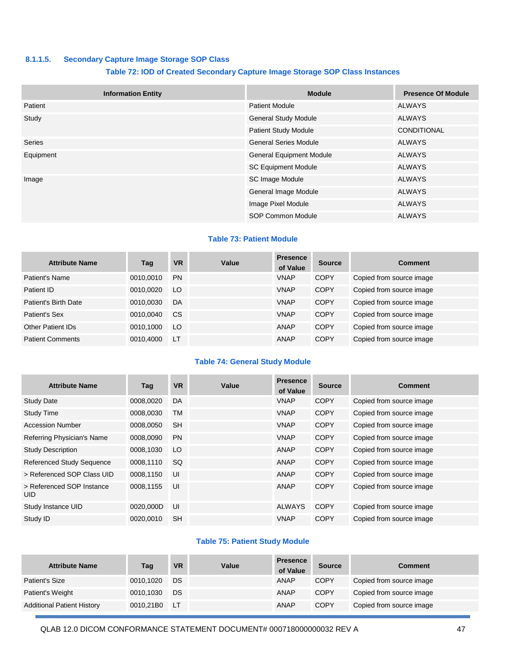#### **8.1.1.5. Secondary Capture Image Storage SOP Class**

#### **Table 72: IOD of Created Secondary Capture Image Storage SOP Class Instances**

| <b>Information Entity</b> | <b>Module</b>                   | <b>Presence Of Module</b> |
|---------------------------|---------------------------------|---------------------------|
| Patient                   | <b>Patient Module</b>           | <b>ALWAYS</b>             |
| Study                     | <b>General Study Module</b>     | <b>ALWAYS</b>             |
|                           | <b>Patient Study Module</b>     | <b>CONDITIONAL</b>        |
| <b>Series</b>             | <b>General Series Module</b>    | <b>ALWAYS</b>             |
| Equipment                 | <b>General Equipment Module</b> | <b>ALWAYS</b>             |
|                           | <b>SC Equipment Module</b>      | <b>ALWAYS</b>             |
| Image                     | <b>SC Image Module</b>          | <b>ALWAYS</b>             |
|                           | General Image Module            | <b>ALWAYS</b>             |
|                           | Image Pixel Module              | <b>ALWAYS</b>             |
|                           | <b>SOP Common Module</b>        | <b>ALWAYS</b>             |

#### **Table 73: Patient Module**

| <b>Attribute Name</b>    | Tag       | <b>VR</b> | Value | <b>Presence</b><br>of Value | <b>Source</b> | <b>Comment</b>           |
|--------------------------|-----------|-----------|-------|-----------------------------|---------------|--------------------------|
| Patient's Name           | 0010,0010 | <b>PN</b> |       | <b>VNAP</b>                 | <b>COPY</b>   | Copied from source image |
| Patient ID               | 0010,0020 | LO        |       | <b>VNAP</b>                 | <b>COPY</b>   | Copied from source image |
| Patient's Birth Date     | 0010.0030 | DA        |       | <b>VNAP</b>                 | <b>COPY</b>   | Copied from source image |
| Patient's Sex            | 0010,0040 | <b>CS</b> |       | <b>VNAP</b>                 | <b>COPY</b>   | Copied from source image |
| <b>Other Patient IDs</b> | 0010.1000 | LO        |       | ANAP                        | <b>COPY</b>   | Copied from source image |
| <b>Patient Comments</b>  | 0010.4000 | <b>LT</b> |       | ANAP                        | <b>COPY</b>   | Copied from source image |

#### **Table 74: General Study Module**

| <b>Attribute Name</b>                   | Tag       | <b>VR</b> | Value | <b>Presence</b><br>of Value | <b>Source</b> | <b>Comment</b>           |
|-----------------------------------------|-----------|-----------|-------|-----------------------------|---------------|--------------------------|
| <b>Study Date</b>                       | 0008,0020 | DA        |       | <b>VNAP</b>                 | <b>COPY</b>   | Copied from source image |
| <b>Study Time</b>                       | 0008,0030 | <b>TM</b> |       | <b>VNAP</b>                 | <b>COPY</b>   | Copied from source image |
| <b>Accession Number</b>                 | 0008.0050 | <b>SH</b> |       | <b>VNAP</b>                 | <b>COPY</b>   | Copied from source image |
| Referring Physician's Name              | 0008,0090 | <b>PN</b> |       | <b>VNAP</b>                 | <b>COPY</b>   | Copied from source image |
| <b>Study Description</b>                | 0008,1030 | LO.       |       | <b>ANAP</b>                 | <b>COPY</b>   | Copied from source image |
| <b>Referenced Study Sequence</b>        | 0008,1110 | <b>SQ</b> |       | <b>ANAP</b>                 | <b>COPY</b>   | Copied from source image |
| > Referenced SOP Class UID              | 0008,1150 | UI        |       | ANAP                        | <b>COPY</b>   | Copied from source image |
| > Referenced SOP Instance<br><b>UID</b> | 0008,1155 | UI        |       | ANAP                        | <b>COPY</b>   | Copied from source image |
| Study Instance UID                      | 0020,000D | UI        |       | <b>ALWAYS</b>               | <b>COPY</b>   | Copied from source image |
| Study ID                                | 0020.0010 | <b>SH</b> |       | <b>VNAP</b>                 | <b>COPY</b>   | Copied from source image |

#### **Table 75: Patient Study Module**

| <b>Attribute Name</b>             | Tag       | <b>VR</b> | Value | <b>Presence</b><br>of Value | <b>Source</b> | <b>Comment</b>           |
|-----------------------------------|-----------|-----------|-------|-----------------------------|---------------|--------------------------|
| Patient's Size                    | 0010.1020 | DS        |       | ANAP                        | <b>COPY</b>   | Copied from source image |
| Patient's Weight                  | 0010,1030 | DS.       |       | ANAP                        | <b>COPY</b>   | Copied from source image |
| <b>Additional Patient History</b> | 0010.21B0 | ⊟ LT      |       | ANAP                        | <b>COPY</b>   | Copied from source image |

QLAB 12.0 DICOM CONFORMANCE STATEMENT DOCUMENT# 000718000000032 REV A 47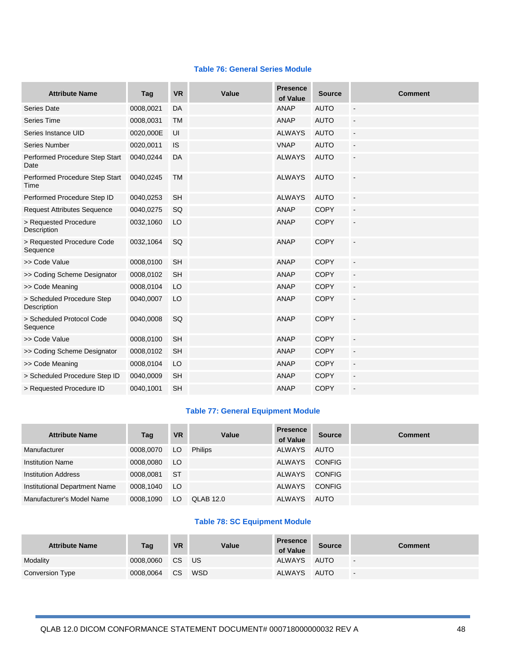#### **Table 76: General Series Module**

| <b>Attribute Name</b>                     | Tag       | <b>VR</b> | Value | <b>Presence</b><br>of Value | <b>Source</b> | <b>Comment</b>           |
|-------------------------------------------|-----------|-----------|-------|-----------------------------|---------------|--------------------------|
| Series Date                               | 0008,0021 | DA        |       | <b>ANAP</b>                 | <b>AUTO</b>   | $\blacksquare$           |
| Series Time                               | 0008,0031 | <b>TM</b> |       | <b>ANAP</b>                 | <b>AUTO</b>   | $\overline{\phantom{a}}$ |
| Series Instance UID                       | 0020,000E | UI        |       | <b>ALWAYS</b>               | <b>AUTO</b>   | $\blacksquare$           |
| Series Number                             | 0020,0011 | <b>IS</b> |       | <b>VNAP</b>                 | <b>AUTO</b>   | $\blacksquare$           |
| Performed Procedure Step Start<br>Date    | 0040,0244 | DA        |       | <b>ALWAYS</b>               | <b>AUTO</b>   | $\overline{\phantom{a}}$ |
| Performed Procedure Step Start<br>Time    | 0040,0245 | <b>TM</b> |       | <b>ALWAYS</b>               | <b>AUTO</b>   | L.                       |
| Performed Procedure Step ID               | 0040,0253 | <b>SH</b> |       | <b>ALWAYS</b>               | <b>AUTO</b>   | $\mathbf{r}$             |
| <b>Request Attributes Sequence</b>        | 0040,0275 | SQ        |       | <b>ANAP</b>                 | <b>COPY</b>   | $\blacksquare$           |
| > Requested Procedure<br>Description      | 0032,1060 | LO        |       | <b>ANAP</b>                 | <b>COPY</b>   | $\overline{\phantom{a}}$ |
| > Requested Procedure Code<br>Sequence    | 0032,1064 | SQ        |       | <b>ANAP</b>                 | <b>COPY</b>   | $\mathbb{Z}$             |
| >> Code Value                             | 0008,0100 | <b>SH</b> |       | <b>ANAP</b>                 | <b>COPY</b>   | $\mathbb{Z}$             |
| >> Coding Scheme Designator               | 0008,0102 | <b>SH</b> |       | <b>ANAP</b>                 | <b>COPY</b>   | $\overline{\phantom{a}}$ |
| >> Code Meaning                           | 0008,0104 | LO        |       | <b>ANAP</b>                 | <b>COPY</b>   | $\bar{\phantom{a}}$      |
| > Scheduled Procedure Step<br>Description | 0040,0007 | LO        |       | <b>ANAP</b>                 | <b>COPY</b>   | $\mathbf{r}$             |
| > Scheduled Protocol Code<br>Sequence     | 0040,0008 | SQ        |       | <b>ANAP</b>                 | <b>COPY</b>   | $\sim$                   |
| >> Code Value                             | 0008,0100 | <b>SH</b> |       | <b>ANAP</b>                 | <b>COPY</b>   | $\overline{\phantom{a}}$ |
| >> Coding Scheme Designator               | 0008,0102 | <b>SH</b> |       | <b>ANAP</b>                 | <b>COPY</b>   | $\blacksquare$           |
| >> Code Meaning                           | 0008,0104 | LO        |       | <b>ANAP</b>                 | <b>COPY</b>   | $\overline{\phantom{a}}$ |
| > Scheduled Procedure Step ID             | 0040,0009 | <b>SH</b> |       | <b>ANAP</b>                 | <b>COPY</b>   | $\overline{\phantom{a}}$ |
| > Requested Procedure ID                  | 0040,1001 | <b>SH</b> |       | <b>ANAP</b>                 | <b>COPY</b>   | L.                       |

#### **Table 77: General Equipment Module**

| <b>Attribute Name</b>         | Tag       | <b>VR</b> | Value            | <b>Presence</b><br>of Value | <b>Source</b> | <b>Comment</b> |
|-------------------------------|-----------|-----------|------------------|-----------------------------|---------------|----------------|
| Manufacturer                  | 0008.0070 | LO.       | <b>Philips</b>   | <b>ALWAYS</b>               | AUTO          |                |
| <b>Institution Name</b>       | 0008,0080 | <b>LO</b> |                  | ALWAYS                      | <b>CONFIG</b> |                |
| <b>Institution Address</b>    | 0008.0081 | -ST       |                  | ALWAYS                      | <b>CONFIG</b> |                |
| Institutional Department Name | 0008.1040 | <b>LO</b> |                  | ALWAYS                      | <b>CONFIG</b> |                |
| Manufacturer's Model Name     | 0008.1090 | LO        | <b>QLAB 12.0</b> | <b>ALWAYS</b>               | <b>AUTO</b>   |                |

### **Table 78: SC Equipment Module**

| <b>Attribute Name</b>  | Tag       | <b>VR</b>       | Value | <b>Presence</b><br>of Value | <b>Source</b> | <b>Comment</b>           |
|------------------------|-----------|-----------------|-------|-----------------------------|---------------|--------------------------|
| Modality               | 0008.0060 | CS US           |       | ALWAYS                      | <b>AUTO</b>   | $\overline{\phantom{a}}$ |
| <b>Conversion Type</b> | 0008.0064 | CS <sub>1</sub> | WSD   | ALWAYS                      | AUTO          | $\overline{\phantom{a}}$ |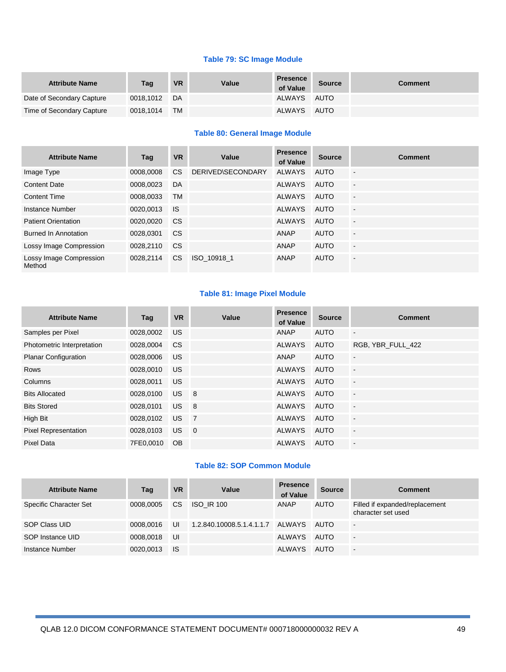#### **Table 79: SC Image Module**

| <b>Attribute Name</b>     | Tag       | <b>VR</b> | Value | <b>Presence</b><br>of Value | <b>Source</b> | <b>Comment</b> |
|---------------------------|-----------|-----------|-------|-----------------------------|---------------|----------------|
| Date of Secondary Capture | 0018.1012 | DA        |       | ALWAYS AUTO                 |               |                |
| Time of Secondary Capture | 0018,1014 | <b>TM</b> |       | ALWAYS                      | AUTO          |                |

#### **Table 80: General Image Module**

| <b>Attribute Name</b>             | Tag       | <b>VR</b> | Value             | <b>Presence</b><br>of Value | <b>Source</b> | <b>Comment</b>           |
|-----------------------------------|-----------|-----------|-------------------|-----------------------------|---------------|--------------------------|
| Image Type                        | 0008,0008 | CS.       | DERIVED\SECONDARY | <b>ALWAYS</b>               | AUTO          | $\blacksquare$           |
| <b>Content Date</b>               | 0008.0023 | DA        |                   | <b>ALWAYS</b>               | <b>AUTO</b>   | $\blacksquare$           |
| <b>Content Time</b>               | 0008,0033 | <b>TM</b> |                   | <b>ALWAYS</b>               | <b>AUTO</b>   | $\blacksquare$           |
| Instance Number                   | 0020.0013 | <b>IS</b> |                   | <b>ALWAYS</b>               | AUTO          | $\overline{\phantom{a}}$ |
| <b>Patient Orientation</b>        | 0020,0020 | <b>CS</b> |                   | <b>ALWAYS</b>               | <b>AUTO</b>   | $\sim$                   |
| <b>Burned In Annotation</b>       | 0028,0301 | <b>CS</b> |                   | <b>ANAP</b>                 | <b>AUTO</b>   | $\blacksquare$           |
| Lossy Image Compression           | 0028,2110 | <b>CS</b> |                   | <b>ANAP</b>                 | <b>AUTO</b>   | $\overline{\phantom{a}}$ |
| Lossy Image Compression<br>Method | 0028.2114 | CS.       | ISO 10918 1       | <b>ANAP</b>                 | <b>AUTO</b>   | $\overline{\phantom{a}}$ |

#### **Table 81: Image Pixel Module**

| <b>Attribute Name</b>       | Tag       | <b>VR</b> | Value                      | <b>Presence</b><br>of Value | <b>Source</b> | <b>Comment</b>           |
|-----------------------------|-----------|-----------|----------------------------|-----------------------------|---------------|--------------------------|
| Samples per Pixel           | 0028.0002 | <b>US</b> |                            | ANAP                        | <b>AUTO</b>   | $\overline{\phantom{a}}$ |
| Photometric Interpretation  | 0028,0004 | <b>CS</b> |                            | <b>ALWAYS</b>               | <b>AUTO</b>   | RGB, YBR FULL 422        |
| <b>Planar Configuration</b> | 0028,0006 | US.       |                            | ANAP                        | <b>AUTO</b>   | $\overline{\phantom{a}}$ |
| <b>Rows</b>                 | 0028,0010 | <b>US</b> |                            | <b>ALWAYS</b>               | <b>AUTO</b>   | $\overline{\phantom{a}}$ |
| Columns                     | 0028.0011 | US.       |                            | <b>ALWAYS</b>               | <b>AUTO</b>   | $\overline{\phantom{a}}$ |
| <b>Bits Allocated</b>       | 0028.0100 | US.       | $\overline{\phantom{0}}$ 8 | <b>ALWAYS</b>               | <b>AUTO</b>   | $\overline{a}$           |
| <b>Bits Stored</b>          | 0028,0101 | US.       | $\overline{\phantom{0}}$ 8 | <b>ALWAYS</b>               | <b>AUTO</b>   | $\overline{\phantom{a}}$ |
| High Bit                    | 0028,0102 | <b>US</b> | $\overline{7}$             | <b>ALWAYS</b>               | <b>AUTO</b>   | $\blacksquare$           |
| <b>Pixel Representation</b> | 0028.0103 | US.       | $\overline{0}$             | <b>ALWAYS</b>               | <b>AUTO</b>   | $\blacksquare$           |
| Pixel Data                  | 7FE0.0010 | <b>OB</b> |                            | <b>ALWAYS</b>               | <b>AUTO</b>   | $\blacksquare$           |

#### **Table 82: SOP Common Module**

| <b>Attribute Name</b>  | Tag       | <b>VR</b> | Value                            | <b>Presence</b><br>of Value | <b>Source</b> | <b>Comment</b>                                       |
|------------------------|-----------|-----------|----------------------------------|-----------------------------|---------------|------------------------------------------------------|
| Specific Character Set | 0008.0005 | CS.       | <b>ISO IR 100</b>                | ANAP                        | <b>AUTO</b>   | Filled if expanded/replacement<br>character set used |
| SOP Class UID          | 0008.0016 | UI        | 1.2.840.10008.5.1.4.1.1.7 ALWAYS |                             | AUTO          | $\blacksquare$                                       |
| SOP Instance UID       | 0008.0018 | IJI       |                                  | ALWAYS                      | AUTO          | $\blacksquare$                                       |
| Instance Number        | 0020.0013 | <b>IS</b> |                                  | ALWAYS                      | <b>AUTO</b>   | $\overline{\phantom{a}}$                             |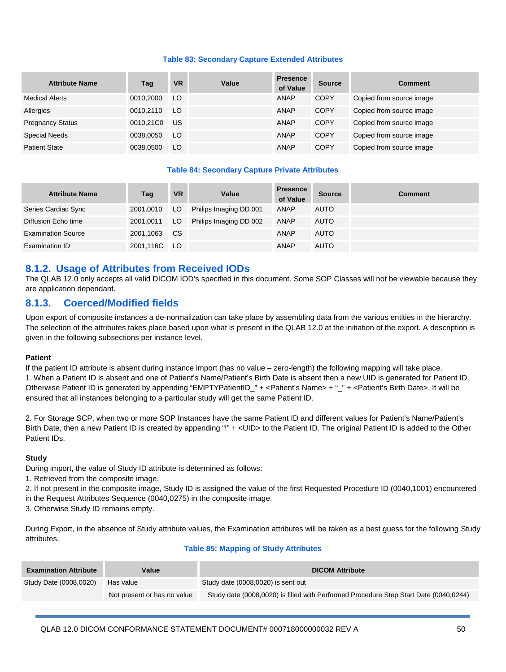#### **Table 83: Secondary Capture Extended Attributes**

| <b>Attribute Name</b>   | Tag       | <b>VR</b> | Value | <b>Presence</b><br>of Value | <b>Source</b> | <b>Comment</b>           |
|-------------------------|-----------|-----------|-------|-----------------------------|---------------|--------------------------|
| <b>Medical Alerts</b>   | 0010.2000 | LO        |       | ANAP                        | <b>COPY</b>   | Copied from source image |
| Allergies               | 0010.2110 | LO        |       | ANAP                        | <b>COPY</b>   | Copied from source image |
| <b>Pregnancy Status</b> | 0010.21C0 | US        |       | ANAP                        | <b>COPY</b>   | Copied from source image |
| <b>Special Needs</b>    | 0038.0050 | LO        |       | ANAP                        | <b>COPY</b>   | Copied from source image |
| <b>Patient State</b>    | 0038,0500 | LO        |       | <b>ANAP</b>                 | <b>COPY</b>   | Copied from source image |

#### **Table 84: Secondary Capture Private Attributes**

| <b>Attribute Name</b>     | Tag          | <b>VR</b> | Value                  | <b>Presence</b><br>of Value | <b>Source</b> | <b>Comment</b> |
|---------------------------|--------------|-----------|------------------------|-----------------------------|---------------|----------------|
| Series Cardiac Sync       | 2001.0010    | LO.       | Philips Imaging DD 001 | ANAP                        | <b>AUTO</b>   |                |
| Diffusion Echo time       | 2001,0011    | LO.       | Philips Imaging DD 002 | <b>ANAP</b>                 | <b>AUTO</b>   |                |
| <b>Examination Source</b> | 2001,1063    | <b>CS</b> |                        | ANAP                        | <b>AUTO</b>   |                |
| <b>Examination ID</b>     | 2001,116C LO |           |                        | ANAP                        | <b>AUTO</b>   |                |

#### **8.1.2. Usage of Attributes from Received IODs**

The QLAB 12.0 only accepts all valid DICOM IOD's specified in this document. Some SOP Classes will not be viewable because they are application dependant.

#### **8.1.3. Coerced/Modified fields**

Upon export of composite instances a de-normalization can take place by assembling data from the various entities in the hierarchy. The selection of the attributes takes place based upon what is present in the QLAB 12.0 at the initiation of the export. A description is given in the following subsections per instance level.

#### **Patient**

If the patient ID attribute is absent during instance import (has no value – zero-length) the following mapping will take place. 1. When a Patient ID is absent and one of Patient's Name/Patient's Birth Date is absent then a new UID is generated for Patient ID. Otherwise Patient ID is generated by appending "EMPTYPatientID\_" + <Patient's Name> + "\_" + <Patient's Birth Date>. It will be ensured that all instances belonging to a particular study will get the same Patient ID.

2. For Storage SCP, when two or more SOP Instances have the same Patient ID and different values for Patient's Name/Patient's Birth Date, then a new Patient ID is created by appending "!" + <UID> to the Patient ID. The original Patient ID is added to the Other Patient IDs.

#### **Study**

During import, the value of Study ID attribute is determined as follows:

1. Retrieved from the composite image.

2. If not present in the composite image, Study ID is assigned the value of the first Requested Procedure ID (0040,1001) encountered in the Request Attributes Sequence (0040,0275) in the composite image.

3. Otherwise Study ID remains empty.

During Export, in the absence of Study attribute values, the Examination attributes will be taken as a best guess for the following Study attributes.

#### **Table 85: Mapping of Study Attributes**

| <b>Examination Attribute</b> | Value                       | <b>DICOM Attribute</b>                                                                |
|------------------------------|-----------------------------|---------------------------------------------------------------------------------------|
| Study Date (0008,0020)       | Has value                   | Study date (0008,0020) is sent out                                                    |
|                              | Not present or has no value | Study date (0008,0020) is filled with Performed Procedure Step Start Date (0040,0244) |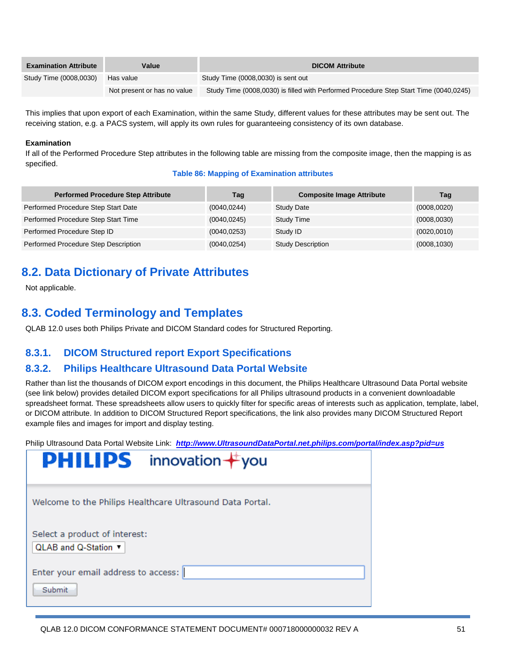| <b>Examination Attribute</b> | Value                       | <b>DICOM Attribute</b>                                                                |
|------------------------------|-----------------------------|---------------------------------------------------------------------------------------|
| Study Time (0008,0030)       | Has value                   | Study Time (0008,0030) is sent out                                                    |
|                              | Not present or has no value | Study Time (0008,0030) is filled with Performed Procedure Step Start Time (0040,0245) |

This implies that upon export of each Examination, within the same Study, different values for these attributes may be sent out. The receiving station, e.g. a PACS system, will apply its own rules for guaranteeing consistency of its own database.

#### **Examination**

If all of the Performed Procedure Step attributes in the following table are missing from the composite image, then the mapping is as specified.

#### **Table 86: Mapping of Examination attributes**

| <b>Performed Procedure Step Attribute</b> | Tag          | <b>Composite Image Attribute</b> | Tag          |
|-------------------------------------------|--------------|----------------------------------|--------------|
| Performed Procedure Step Start Date       | (0040, 0244) | <b>Study Date</b>                | (0008, 0020) |
| Performed Procedure Step Start Time       | (0040, 0245) | <b>Study Time</b>                | (0008, 0030) |
| Performed Procedure Step ID               | (0040, 0253) | Study ID                         | (0020, 0010) |
| Performed Procedure Step Description      | (0040, 0254) | <b>Study Description</b>         | (0008, 1030) |

## **8.2. Data Dictionary of Private Attributes**

Not applicable.

## **8.3. Coded Terminology and Templates**

QLAB 12.0 uses both Philips Private and DICOM Standard codes for Structured Reporting.

## **8.3.1. DICOM Structured report Export Specifications**

## **8.3.2. Philips Healthcare Ultrasound Data Portal Website**

Rather than list the thousands of DICOM export encodings in this document, the Philips Healthcare Ultrasound Data Portal website (see link below) provides detailed DICOM export specifications for all Philips ultrasound products in a convenient downloadable spreadsheet format. These spreadsheets allow users to quickly filter for specific areas of interests such as application, template, label, or DICOM attribute. In addition to DICOM Structured Report specifications, the link also provides many DICOM Structured Report example files and images for import and display testing.

Philip Ultrasound Data Portal Website Link: *[http://www.UltrasoundDataPortal.net.philips.com/portal/index.asp?pid=us](http://www.ultrasounddataportal.net.philips.com/portal/index.asp?pid=us)*

| innovation $+$ you<br><b>PHILIPS</b>                      |
|-----------------------------------------------------------|
| Welcome to the Philips Healthcare Ultrasound Data Portal. |
| Select a product of interest:<br>QLAB and Q-Station ▼     |
| Enter your email address to access:<br>Submit             |